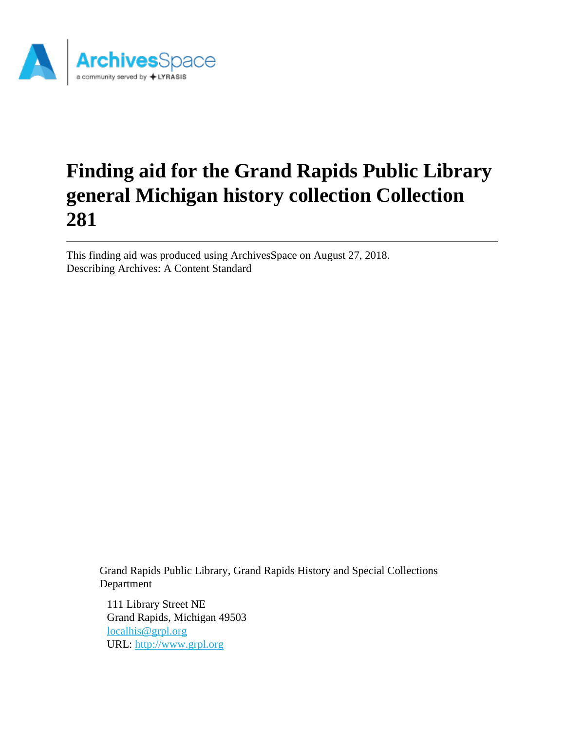

# **Finding aid for the Grand Rapids Public Library general Michigan history collection Collection 281**

This finding aid was produced using ArchivesSpace on August 27, 2018. Describing Archives: A Content Standard

> Grand Rapids Public Library, Grand Rapids History and Special Collections Department

111 Library Street NE Grand Rapids, Michigan 49503 [localhis@grpl.org](mailto:localhis@grpl.org) URL:<http://www.grpl.org>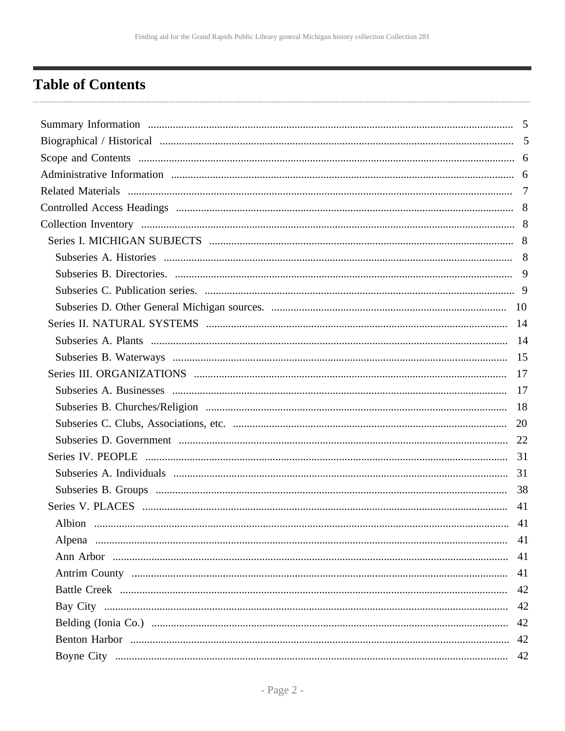# <span id="page-1-0"></span>**Table of Contents**

|        | 41 |
|--------|----|
| Albion | 41 |
|        |    |
|        |    |
|        |    |
|        | 42 |
|        |    |
|        |    |
|        |    |
|        |    |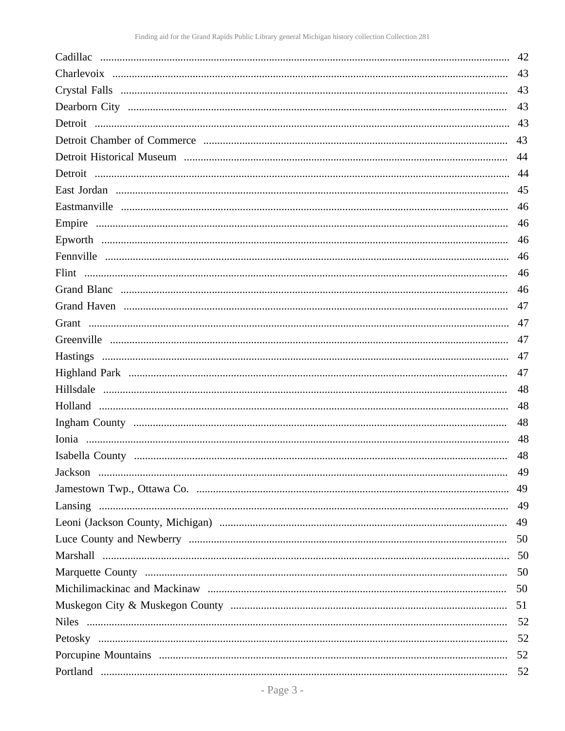| 42 |
|----|
| 43 |
| 43 |
| 43 |
| 43 |
| 43 |
| 44 |
| 44 |
| 45 |
| 46 |
| 46 |
| 46 |
| 46 |
| 46 |
| 46 |
| 47 |
| 47 |
| 47 |
| 47 |
| 47 |
| 48 |
| 48 |
| 48 |
| 48 |
| 48 |
| 49 |
| 49 |
| 49 |
| 49 |
| 50 |
|    |
| 50 |
| 50 |
| 51 |
| 52 |
| 52 |
| 52 |
| 52 |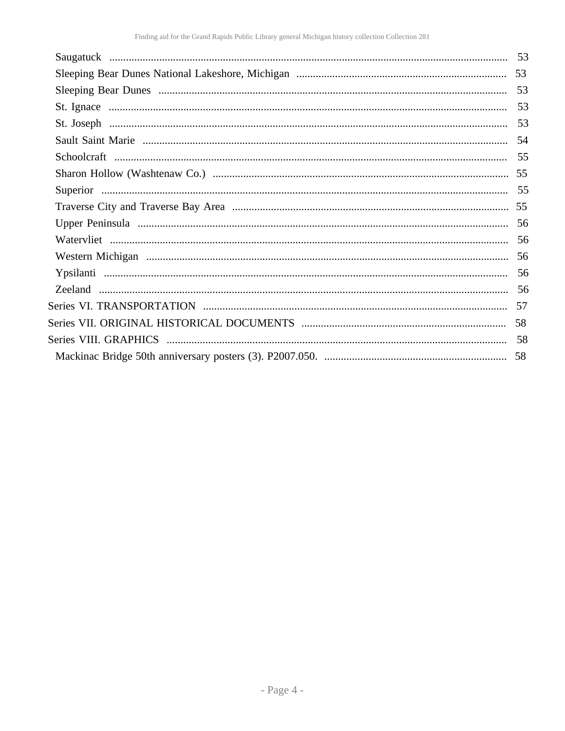| 53 |
|----|
| 53 |
| 53 |
|    |
|    |
|    |
|    |
|    |
|    |
|    |
|    |
|    |
|    |
|    |
|    |
| 58 |
|    |
|    |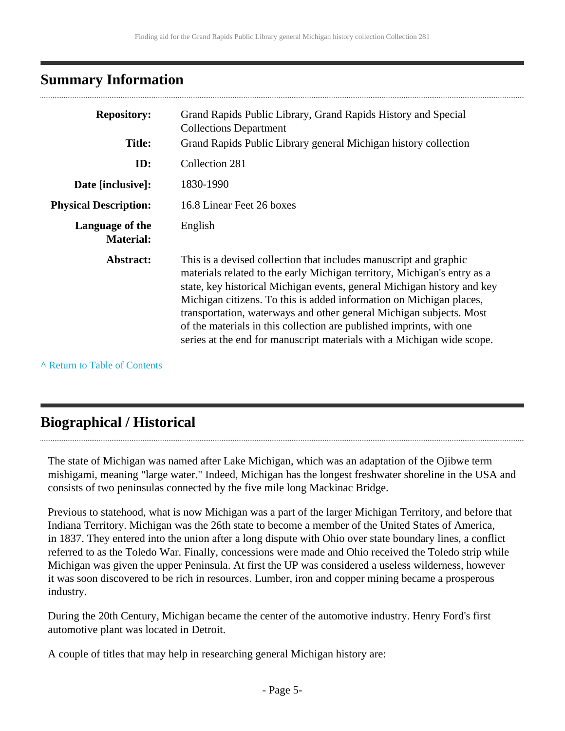## <span id="page-4-0"></span>**Summary Information**

| <b>Repository:</b>                  | Grand Rapids Public Library, Grand Rapids History and Special<br><b>Collections Department</b>                                                                                                                                                                                                                                                                                                                                                                                                                           |
|-------------------------------------|--------------------------------------------------------------------------------------------------------------------------------------------------------------------------------------------------------------------------------------------------------------------------------------------------------------------------------------------------------------------------------------------------------------------------------------------------------------------------------------------------------------------------|
| <b>Title:</b>                       | Grand Rapids Public Library general Michigan history collection                                                                                                                                                                                                                                                                                                                                                                                                                                                          |
| ID:                                 | Collection 281                                                                                                                                                                                                                                                                                                                                                                                                                                                                                                           |
| Date [inclusive]:                   | 1830-1990                                                                                                                                                                                                                                                                                                                                                                                                                                                                                                                |
| <b>Physical Description:</b>        | 16.8 Linear Feet 26 boxes                                                                                                                                                                                                                                                                                                                                                                                                                                                                                                |
| Language of the<br><b>Material:</b> | English                                                                                                                                                                                                                                                                                                                                                                                                                                                                                                                  |
| Abstract:                           | This is a devised collection that includes manuscript and graphic<br>materials related to the early Michigan territory, Michigan's entry as a<br>state, key historical Michigan events, general Michigan history and key<br>Michigan citizens. To this is added information on Michigan places,<br>transportation, waterways and other general Michigan subjects. Most<br>of the materials in this collection are published imprints, with one<br>series at the end for manuscript materials with a Michigan wide scope. |

**^** [Return to Table of Contents](#page-1-0)

# <span id="page-4-1"></span>**Biographical / Historical**

The state of Michigan was named after Lake Michigan, which was an adaptation of the Ojibwe term mishigami, meaning "large water." Indeed, Michigan has the longest freshwater shoreline in the USA and consists of two peninsulas connected by the five mile long Mackinac Bridge.

Previous to statehood, what is now Michigan was a part of the larger Michigan Territory, and before that Indiana Territory. Michigan was the 26th state to become a member of the United States of America, in 1837. They entered into the union after a long dispute with Ohio over state boundary lines, a conflict referred to as the Toledo War. Finally, concessions were made and Ohio received the Toledo strip while Michigan was given the upper Peninsula. At first the UP was considered a useless wilderness, however it was soon discovered to be rich in resources. Lumber, iron and copper mining became a prosperous industry.

During the 20th Century, Michigan became the center of the automotive industry. Henry Ford's first automotive plant was located in Detroit.

A couple of titles that may help in researching general Michigan history are: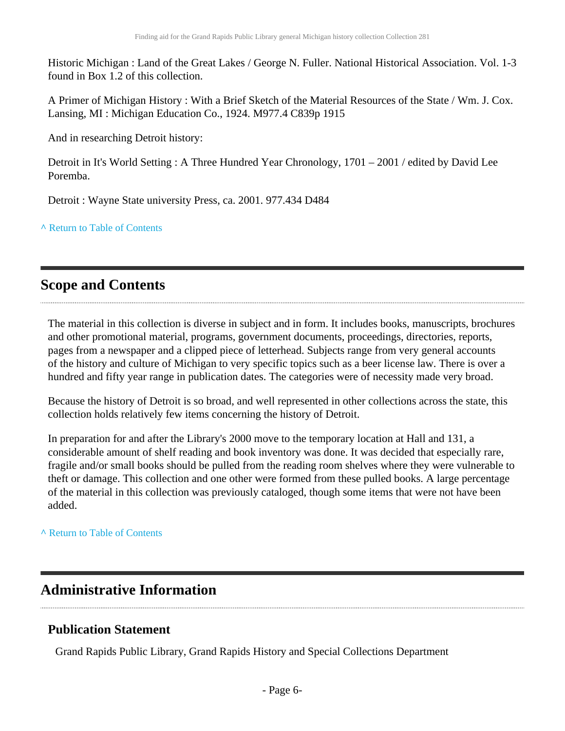Historic Michigan : Land of the Great Lakes / George N. Fuller. National Historical Association. Vol. 1-3 found in Box 1.2 of this collection.

A Primer of Michigan History : With a Brief Sketch of the Material Resources of the State / Wm. J. Cox. Lansing, MI : Michigan Education Co., 1924. M977.4 C839p 1915

And in researching Detroit history:

Detroit in It's World Setting : A Three Hundred Year Chronology, 1701 – 2001 / edited by David Lee Poremba.

Detroit : Wayne State university Press, ca. 2001. 977.434 D484

**^** [Return to Table of Contents](#page-1-0)

## <span id="page-5-0"></span>**Scope and Contents**

The material in this collection is diverse in subject and in form. It includes books, manuscripts, brochures and other promotional material, programs, government documents, proceedings, directories, reports, pages from a newspaper and a clipped piece of letterhead. Subjects range from very general accounts of the history and culture of Michigan to very specific topics such as a beer license law. There is over a hundred and fifty year range in publication dates. The categories were of necessity made very broad.

Because the history of Detroit is so broad, and well represented in other collections across the state, this collection holds relatively few items concerning the history of Detroit.

In preparation for and after the Library's 2000 move to the temporary location at Hall and 131, a considerable amount of shelf reading and book inventory was done. It was decided that especially rare, fragile and/or small books should be pulled from the reading room shelves where they were vulnerable to theft or damage. This collection and one other were formed from these pulled books. A large percentage of the material in this collection was previously cataloged, though some items that were not have been added.

#### **^** [Return to Table of Contents](#page-1-0)

## <span id="page-5-1"></span>**Administrative Information**

### **Publication Statement**

Grand Rapids Public Library, Grand Rapids History and Special Collections Department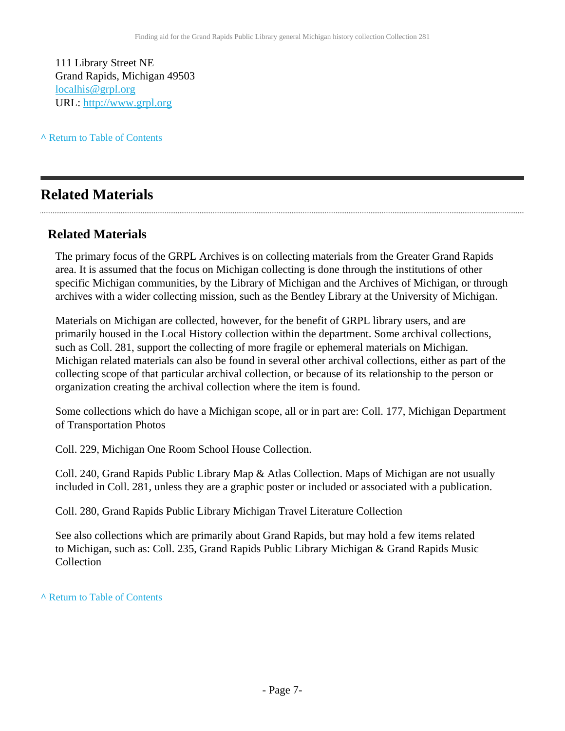111 Library Street NE Grand Rapids, Michigan 49503 [localhis@grpl.org](mailto:localhis@grpl.org) URL:<http://www.grpl.org>

**^** [Return to Table of Contents](#page-1-0)

# <span id="page-6-0"></span>**Related Materials**

### **Related Materials**

The primary focus of the GRPL Archives is on collecting materials from the Greater Grand Rapids area. It is assumed that the focus on Michigan collecting is done through the institutions of other specific Michigan communities, by the Library of Michigan and the Archives of Michigan, or through archives with a wider collecting mission, such as the Bentley Library at the University of Michigan.

Materials on Michigan are collected, however, for the benefit of GRPL library users, and are primarily housed in the Local History collection within the department. Some archival collections, such as Coll. 281, support the collecting of more fragile or ephemeral materials on Michigan. Michigan related materials can also be found in several other archival collections, either as part of the collecting scope of that particular archival collection, or because of its relationship to the person or organization creating the archival collection where the item is found.

Some collections which do have a Michigan scope, all or in part are: Coll. 177, Michigan Department of Transportation Photos

Coll. 229, Michigan One Room School House Collection.

Coll. 240, Grand Rapids Public Library Map & Atlas Collection. Maps of Michigan are not usually included in Coll. 281, unless they are a graphic poster or included or associated with a publication.

Coll. 280, Grand Rapids Public Library Michigan Travel Literature Collection

See also collections which are primarily about Grand Rapids, but may hold a few items related to Michigan, such as: Coll. 235, Grand Rapids Public Library Michigan & Grand Rapids Music Collection

**^** [Return to Table of Contents](#page-1-0)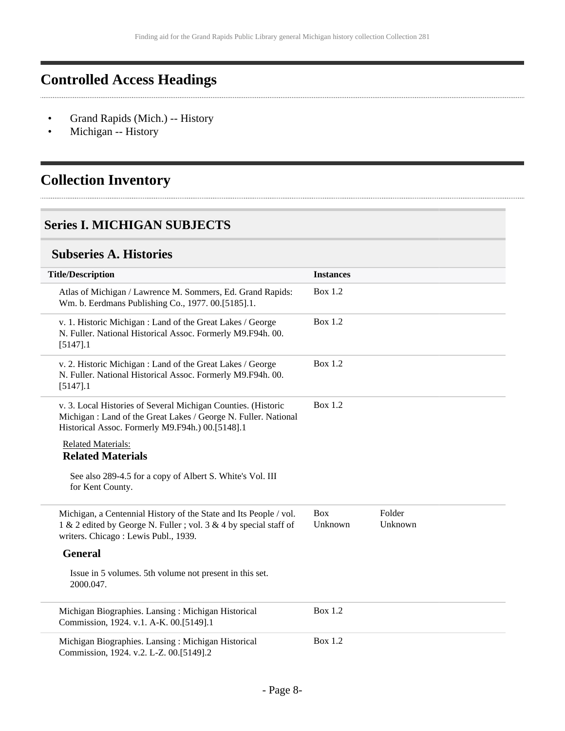# <span id="page-7-0"></span>**Controlled Access Headings**

- Grand Rapids (Mich.) -- History
- Michigan -- History

# <span id="page-7-1"></span>**Collection Inventory**

## <span id="page-7-2"></span>**Series I. MICHIGAN SUBJECTS**

### <span id="page-7-3"></span>**Subseries A. Histories**

| <b>Title/Description</b>                                                                                                                                                             | <b>Instances</b>                           |
|--------------------------------------------------------------------------------------------------------------------------------------------------------------------------------------|--------------------------------------------|
| Atlas of Michigan / Lawrence M. Sommers, Ed. Grand Rapids:<br>Wm. b. Eerdmans Publishing Co., 1977. 00.[5185].1.                                                                     | Box 1.2                                    |
| v. 1. Historic Michigan : Land of the Great Lakes / George<br>N. Fuller. National Historical Assoc. Formerly M9.F94h. 00.<br>$[5147]$ .1                                             | <b>Box 1.2</b>                             |
| v. 2. Historic Michigan : Land of the Great Lakes / George<br>N. Fuller. National Historical Assoc. Formerly M9.F94h. 00.<br>$[5147]$ .1                                             | <b>Box 1.2</b>                             |
| v. 3. Local Histories of Several Michigan Counties. (Historic<br>Michigan : Land of the Great Lakes / George N. Fuller. National<br>Historical Assoc. Formerly M9.F94h.) 00.[5148].1 | <b>Box 1.2</b>                             |
| <b>Related Materials:</b><br><b>Related Materials</b>                                                                                                                                |                                            |
| See also 289-4.5 for a copy of Albert S. White's Vol. III<br>for Kent County.                                                                                                        |                                            |
| Michigan, a Centennial History of the State and Its People / vol.<br>1 & 2 edited by George N. Fuller; vol. 3 & 4 by special staff of<br>writers. Chicago: Lewis Publ., 1939.        | Folder<br><b>Box</b><br>Unknown<br>Unknown |
| <b>General</b>                                                                                                                                                                       |                                            |
| Issue in 5 volumes. 5th volume not present in this set.<br>2000.047.                                                                                                                 |                                            |
| Michigan Biographies. Lansing: Michigan Historical<br>Commission, 1924. v.1. A-K. 00.[5149].1                                                                                        | <b>Box 1.2</b>                             |
| Michigan Biographies. Lansing: Michigan Historical<br>Commission, 1924. v.2. L-Z. 00.[5149].2                                                                                        | <b>Box 1.2</b>                             |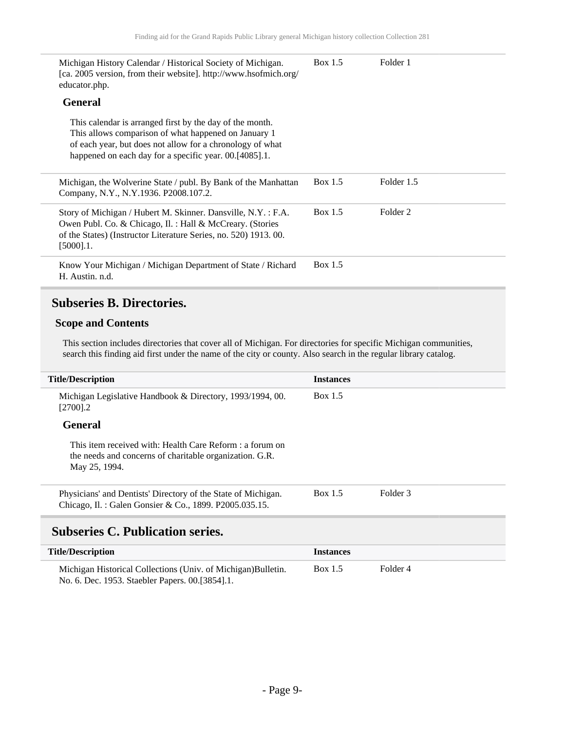| Michigan History Calendar / Historical Society of Michigan.<br>[ca. 2005 version, from their website]. http://www.hsofmich.org/<br>educator.php.                                                                                        | Box 1.5 | Folder 1   |
|-----------------------------------------------------------------------------------------------------------------------------------------------------------------------------------------------------------------------------------------|---------|------------|
| <b>General</b>                                                                                                                                                                                                                          |         |            |
| This calendar is arranged first by the day of the month.<br>This allows comparison of what happened on January 1<br>of each year, but does not allow for a chronology of what<br>happened on each day for a specific year. 00.[4085].1. |         |            |
| Michigan, the Wolverine State / publ. By Bank of the Manhattan<br>Company, N.Y., N.Y.1936. P2008.107.2.                                                                                                                                 | Box 1.5 | Folder 1.5 |
| Story of Michigan / Hubert M. Skinner. Dansville, N.Y.: F.A.<br>Owen Publ. Co. & Chicago, Il. : Hall & McCreary. (Stories<br>of the States) (Instructor Literature Series, no. 520) 1913. 00.<br>$[5000]$ .1.                           | Box 1.5 | Folder 2   |
| Know Your Michigan / Michigan Department of State / Richard<br>H. Austin. n.d.                                                                                                                                                          | Box 1.5 |            |

## <span id="page-8-0"></span>**Subseries B. Directories.**

#### **Scope and Contents**

This section includes directories that cover all of Michigan. For directories for specific Michigan communities, search this finding aid first under the name of the city or county. Also search in the regular library catalog.

| <b>Title/Description</b>                                                                                                             | <b>Instances</b> |                     |
|--------------------------------------------------------------------------------------------------------------------------------------|------------------|---------------------|
| Michigan Legislative Handbook & Directory, 1993/1994, 00.<br>$[2700]$ .2                                                             | Box 1.5          |                     |
| <b>General</b>                                                                                                                       |                  |                     |
| This item received with: Health Care Reform : a forum on<br>the needs and concerns of charitable organization. G.R.<br>May 25, 1994. |                  |                     |
| Physicians' and Dentists' Directory of the State of Michigan.<br>Chicago, Il.: Galen Gonsier & Co., 1899. P2005.035.15.              | Box $1.5$        | Folder <sub>3</sub> |
| <b>Subseries C. Publication series.</b>                                                                                              |                  |                     |

<span id="page-8-1"></span>

| <b>Title/Description</b>                                      | <i><u><b>Instances</b></u></i> |          |
|---------------------------------------------------------------|--------------------------------|----------|
| Michigan Historical Collections (Univ. of Michigan) Bulletin. | Box 1.5                        | Folder 4 |
| No. 6. Dec. 1953. Staebler Papers. 00. [3854]. 1.             |                                |          |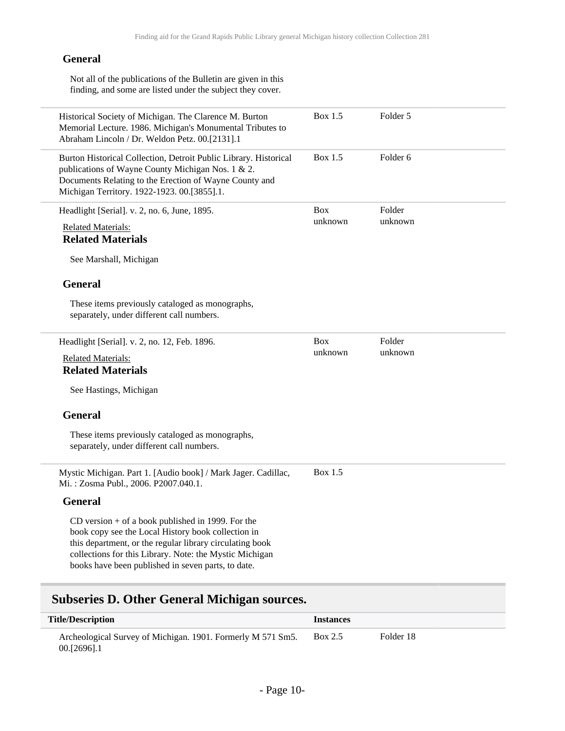Not all of the publications of the Bulletin are given in this finding, and some are listed under the subject they cover.

| Historical Society of Michigan. The Clarence M. Burton<br>Memorial Lecture. 1986. Michigan's Monumental Tributes to<br>Abraham Lincoln / Dr. Weldon Petz. 00.[2131].1                                                                                                                  | Box 1.5               | Folder 5          |
|----------------------------------------------------------------------------------------------------------------------------------------------------------------------------------------------------------------------------------------------------------------------------------------|-----------------------|-------------------|
| Burton Historical Collection, Detroit Public Library. Historical<br>publications of Wayne County Michigan Nos. 1 & 2.<br>Documents Relating to the Erection of Wayne County and<br>Michigan Territory. 1922-1923. 00.[3855].1.                                                         | Box 1.5               | Folder 6          |
| Headlight [Serial]. v. 2, no. 6, June, 1895.<br><b>Related Materials:</b><br><b>Related Materials</b>                                                                                                                                                                                  | <b>Box</b><br>unknown | Folder<br>unknown |
| See Marshall, Michigan<br><b>General</b><br>These items previously cataloged as monographs,<br>separately, under different call numbers.                                                                                                                                               |                       |                   |
| Headlight [Serial]. v. 2, no. 12, Feb. 1896.<br><b>Related Materials:</b><br><b>Related Materials</b><br>See Hastings, Michigan                                                                                                                                                        | <b>Box</b><br>unknown | Folder<br>unknown |
| <b>General</b>                                                                                                                                                                                                                                                                         |                       |                   |
| These items previously cataloged as monographs,<br>separately, under different call numbers.                                                                                                                                                                                           |                       |                   |
| Mystic Michigan. Part 1. [Audio book] / Mark Jager. Cadillac,<br>Mi.: Zosma Publ., 2006. P2007.040.1.                                                                                                                                                                                  | Box 1.5               |                   |
| <b>General</b>                                                                                                                                                                                                                                                                         |                       |                   |
| CD version $+$ of a book published in 1999. For the<br>book copy see the Local History book collection in<br>this department, or the regular library circulating book<br>collections for this Library. Note: the Mystic Michigan<br>books have been published in seven parts, to date. |                       |                   |

## <span id="page-9-0"></span>**Subseries D. Other General Michigan sources.**

| <b>Title/Description</b>                                                   | <i><u><b>Instances</b></u></i> |           |
|----------------------------------------------------------------------------|--------------------------------|-----------|
| Archeological Survey of Michigan. 1901. Formerly M 571 Sm5.<br>00.[2696].1 | Box 2.5                        | Folder 18 |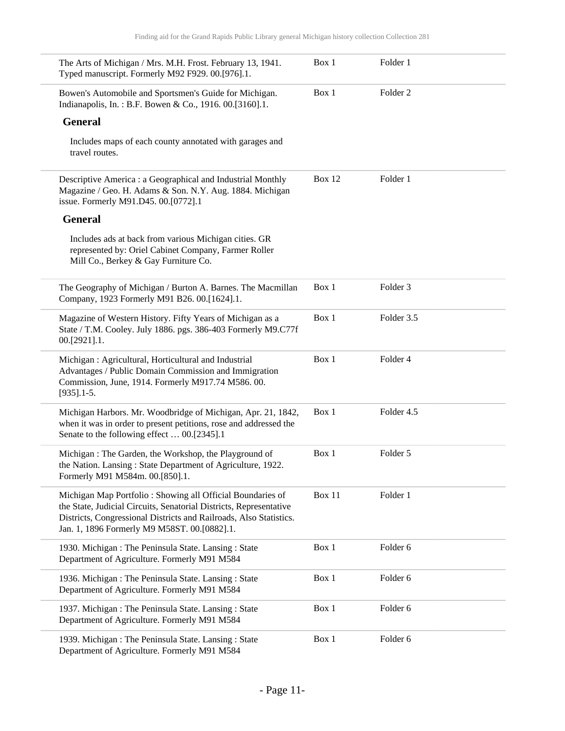| The Arts of Michigan / Mrs. M.H. Frost. February 13, 1941.<br>Typed manuscript. Formerly M92 F929. 00.[976].1.                                                                                                                                         | Box 1  | Folder 1            |  |
|--------------------------------------------------------------------------------------------------------------------------------------------------------------------------------------------------------------------------------------------------------|--------|---------------------|--|
| Bowen's Automobile and Sportsmen's Guide for Michigan.<br>Indianapolis, In.: B.F. Bowen & Co., 1916. 00.[3160].1.                                                                                                                                      | Box 1  | Folder <sub>2</sub> |  |
| <b>General</b>                                                                                                                                                                                                                                         |        |                     |  |
| Includes maps of each county annotated with garages and<br>travel routes.                                                                                                                                                                              |        |                     |  |
| Descriptive America : a Geographical and Industrial Monthly<br>Magazine / Geo. H. Adams & Son. N.Y. Aug. 1884. Michigan<br>issue. Formerly M91.D45. 00.[0772].1                                                                                        | Box 12 | Folder 1            |  |
| <b>General</b>                                                                                                                                                                                                                                         |        |                     |  |
| Includes ads at back from various Michigan cities. GR<br>represented by: Oriel Cabinet Company, Farmer Roller<br>Mill Co., Berkey & Gay Furniture Co.                                                                                                  |        |                     |  |
| The Geography of Michigan / Burton A. Barnes. The Macmillan<br>Company, 1923 Formerly M91 B26. 00.[1624].1.                                                                                                                                            | Box 1  | Folder 3            |  |
| Magazine of Western History. Fifty Years of Michigan as a<br>State / T.M. Cooley. July 1886. pgs. 386-403 Formerly M9.C77f<br>00.[2921].1.                                                                                                             | Box 1  | Folder 3.5          |  |
| Michigan: Agricultural, Horticultural and Industrial<br>Advantages / Public Domain Commission and Immigration<br>Commission, June, 1914. Formerly M917.74 M586. 00.<br>$[935]$ . 1-5.                                                                  | Box 1  | Folder 4            |  |
| Michigan Harbors. Mr. Woodbridge of Michigan, Apr. 21, 1842,<br>when it was in order to present petitions, rose and addressed the<br>Senate to the following effect  00.[2345].1                                                                       | Box 1  | Folder 4.5          |  |
| Michigan: The Garden, the Workshop, the Playground of<br>the Nation. Lansing: State Department of Agriculture, 1922.<br>Formerly M91 M584m. 00.[850].1.                                                                                                | Box 1  | Folder 5            |  |
| Michigan Map Portfolio: Showing all Official Boundaries of<br>the State, Judicial Circuits, Senatorial Districts, Representative<br>Districts, Congressional Districts and Railroads, Also Statistics.<br>Jan. 1, 1896 Formerly M9 M58ST. 00.[0882].1. | Box 11 | Folder 1            |  |
| 1930. Michigan: The Peninsula State. Lansing: State<br>Department of Agriculture. Formerly M91 M584                                                                                                                                                    | Box 1  | Folder 6            |  |
| 1936. Michigan: The Peninsula State. Lansing: State<br>Department of Agriculture. Formerly M91 M584                                                                                                                                                    | Box 1  | Folder 6            |  |
| 1937. Michigan: The Peninsula State. Lansing: State<br>Department of Agriculture. Formerly M91 M584                                                                                                                                                    | Box 1  | Folder 6            |  |
| 1939. Michigan: The Peninsula State. Lansing: State<br>Department of Agriculture. Formerly M91 M584                                                                                                                                                    | Box 1  | Folder 6            |  |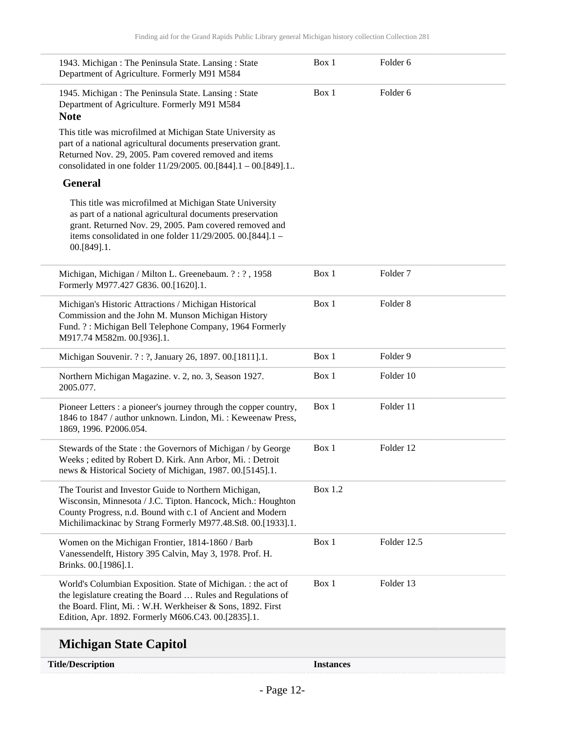| 1943. Michigan: The Peninsula State. Lansing: State<br>Department of Agriculture. Formerly M91 M584                                                                                                                                                           | Box 1   | Folder 6            |
|---------------------------------------------------------------------------------------------------------------------------------------------------------------------------------------------------------------------------------------------------------------|---------|---------------------|
| 1945. Michigan: The Peninsula State. Lansing: State<br>Department of Agriculture. Formerly M91 M584<br><b>Note</b>                                                                                                                                            | Box 1   | Folder 6            |
| This title was microfilmed at Michigan State University as<br>part of a national agricultural documents preservation grant.<br>Returned Nov. 29, 2005. Pam covered removed and items<br>consolidated in one folder 11/29/2005. 00.[844].1 - 00.[849].1        |         |                     |
| <b>General</b>                                                                                                                                                                                                                                                |         |                     |
| This title was microfilmed at Michigan State University<br>as part of a national agricultural documents preservation<br>grant. Returned Nov. 29, 2005. Pam covered removed and<br>items consolidated in one folder $11/29/2005$ . 00.[844].1 -<br>00.[849].1. |         |                     |
| Michigan, Michigan / Milton L. Greenebaum. ?: ?, 1958<br>Formerly M977.427 G836. 00.[1620].1.                                                                                                                                                                 | Box 1   | Folder <sub>7</sub> |
| Michigan's Historic Attractions / Michigan Historical<br>Commission and the John M. Munson Michigan History<br>Fund. ?: Michigan Bell Telephone Company, 1964 Formerly<br>M917.74 M582m. 00.[936].1.                                                          | Box 1   | Folder <sub>8</sub> |
| Michigan Souvenir. ?: ?, January 26, 1897. 00.[1811].1.                                                                                                                                                                                                       | Box 1   | Folder 9            |
| Northern Michigan Magazine. v. 2, no. 3, Season 1927.<br>2005.077.                                                                                                                                                                                            | Box 1   | Folder 10           |
| Pioneer Letters : a pioneer's journey through the copper country,<br>1846 to 1847 / author unknown. Lindon, Mi.: Keweenaw Press,<br>1869, 1996. P2006.054.                                                                                                    | Box 1   | Folder 11           |
| Stewards of the State: the Governors of Michigan / by George<br>Weeks ; edited by Robert D. Kirk. Ann Arbor, Mi. : Detroit<br>news & Historical Society of Michigan, 1987. 00.[5145].1.                                                                       | Box 1   | Folder 12           |
| The Tourist and Investor Guide to Northern Michigan,<br>Wisconsin, Minnesota / J.C. Tipton. Hancock, Mich.: Houghton<br>County Progress, n.d. Bound with c.1 of Ancient and Modern<br>Michilimackinac by Strang Formerly M977.48.St8. 00.[1933].1.            | Box 1.2 |                     |
| Women on the Michigan Frontier, 1814-1860 / Barb<br>Vanessendelft, History 395 Calvin, May 3, 1978. Prof. H.<br>Brinks. 00.[1986].1.                                                                                                                          | Box 1   | Folder 12.5         |
| World's Columbian Exposition. State of Michigan. : the act of<br>the legislature creating the Board  Rules and Regulations of<br>the Board. Flint, Mi.: W.H. Werkheiser & Sons, 1892. First<br>Edition, Apr. 1892. Formerly M606.C43. 00.[2835].1.            | Box 1   | Folder 13           |
| <b>Michigan State Capitol</b>                                                                                                                                                                                                                                 |         |                     |

 $\overline{\phantom{a}}$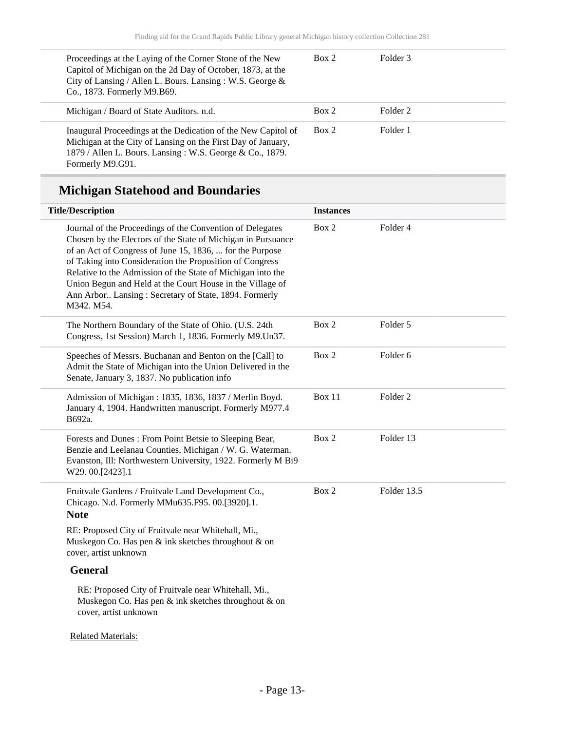| Proceedings at the Laying of the Corner Stone of the New<br>Capitol of Michigan on the 2d Day of October, 1873, at the<br>City of Lansing / Allen L. Bours. Lansing : W.S. George &<br>Co., 1873. Formerly M9.B69. | Box 2 | Folder 3 |
|--------------------------------------------------------------------------------------------------------------------------------------------------------------------------------------------------------------------|-------|----------|
| Michigan / Board of State Auditors. n.d.                                                                                                                                                                           | Box 2 | Folder 2 |
| Inaugural Proceedings at the Dedication of the New Capitol of<br>Michigan at the City of Lansing on the First Day of January,<br>1879 / Allen L. Bours. Lansing : W.S. George & Co., 1879.<br>Formerly M9.G91.     | Box 2 | Folder 1 |

# **Michigan Statehood and Boundaries**

| <b>Title/Description</b>                                                                                                                                                                                                                                                                                                                                                                                                                             | <b>Instances</b> |             |
|------------------------------------------------------------------------------------------------------------------------------------------------------------------------------------------------------------------------------------------------------------------------------------------------------------------------------------------------------------------------------------------------------------------------------------------------------|------------------|-------------|
| Journal of the Proceedings of the Convention of Delegates<br>Chosen by the Electors of the State of Michigan in Pursuance<br>of an Act of Congress of June 15, 1836,  for the Purpose<br>of Taking into Consideration the Proposition of Congress<br>Relative to the Admission of the State of Michigan into the<br>Union Begun and Held at the Court House in the Village of<br>Ann Arbor Lansing: Secretary of State, 1894. Formerly<br>M342. M54. | Box 2            | Folder 4    |
| The Northern Boundary of the State of Ohio. (U.S. 24th<br>Congress, 1st Session) March 1, 1836. Formerly M9. Un37.                                                                                                                                                                                                                                                                                                                                   | Box 2            | Folder 5    |
| Speeches of Messrs. Buchanan and Benton on the [Call] to<br>Admit the State of Michigan into the Union Delivered in the<br>Senate, January 3, 1837. No publication info                                                                                                                                                                                                                                                                              | Box 2            | Folder 6    |
| Admission of Michigan: 1835, 1836, 1837 / Merlin Boyd.<br>January 4, 1904. Handwritten manuscript. Formerly M977.4<br>B692a.                                                                                                                                                                                                                                                                                                                         | Box 11           | Folder 2    |
| Forests and Dunes: From Point Betsie to Sleeping Bear,<br>Benzie and Leelanau Counties, Michigan / W. G. Waterman.<br>Evanston, Ill: Northwestern University, 1922. Formerly M Bi9<br>W29.00.[2423].1                                                                                                                                                                                                                                                | Box 2            | Folder 13   |
| Fruitvale Gardens / Fruitvale Land Development Co.,<br>Chicago. N.d. Formerly MMu635.F95. 00.[3920].1.<br><b>Note</b>                                                                                                                                                                                                                                                                                                                                | Box 2            | Folder 13.5 |
| RE: Proposed City of Fruitvale near Whitehall, Mi.,<br>Muskegon Co. Has pen & ink sketches throughout & on<br>cover, artist unknown                                                                                                                                                                                                                                                                                                                  |                  |             |
| <b>General</b>                                                                                                                                                                                                                                                                                                                                                                                                                                       |                  |             |
| RE: Proposed City of Fruitvale near Whitehall, Mi.,<br>Muskegon Co. Has pen & ink sketches throughout & on<br>cover, artist unknown                                                                                                                                                                                                                                                                                                                  |                  |             |
| <b>Related Materials:</b>                                                                                                                                                                                                                                                                                                                                                                                                                            |                  |             |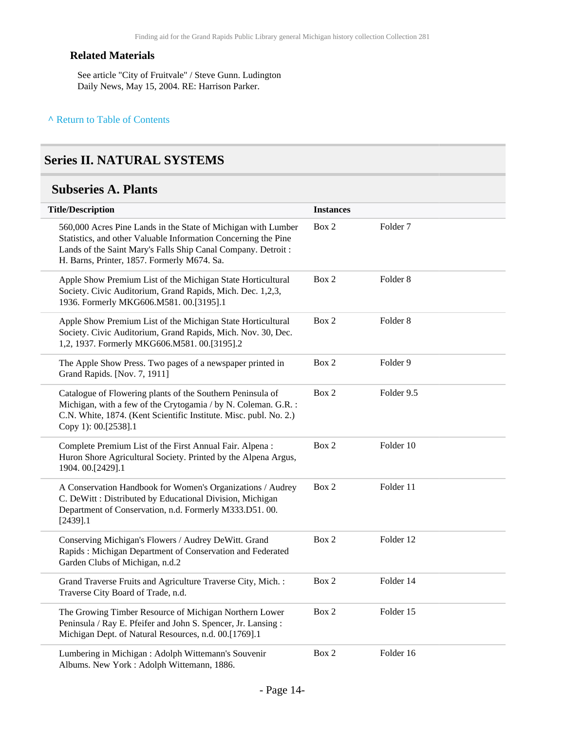#### **Related Materials**

See article "City of Fruitvale" / Steve Gunn. Ludington Daily News, May 15, 2004. RE: Harrison Parker.

#### **^** [Return to Table of Contents](#page-1-0)

## <span id="page-13-0"></span>**Series II. NATURAL SYSTEMS**

### <span id="page-13-1"></span>**Subseries A. Plants**

| <b>Title/Description</b>                                                                                                                                                                                                                       | <b>Instances</b> |                     |  |
|------------------------------------------------------------------------------------------------------------------------------------------------------------------------------------------------------------------------------------------------|------------------|---------------------|--|
| 560,000 Acres Pine Lands in the State of Michigan with Lumber<br>Statistics, and other Valuable Information Concerning the Pine<br>Lands of the Saint Mary's Falls Ship Canal Company. Detroit:<br>H. Barns, Printer, 1857. Formerly M674. Sa. | Box 2            | Folder <sub>7</sub> |  |
| Apple Show Premium List of the Michigan State Horticultural<br>Society. Civic Auditorium, Grand Rapids, Mich. Dec. 1,2,3,<br>1936. Formerly MKG606.M581. 00.[3195].1                                                                           | Box 2            | Folder <sub>8</sub> |  |
| Apple Show Premium List of the Michigan State Horticultural<br>Society. Civic Auditorium, Grand Rapids, Mich. Nov. 30, Dec.<br>1,2, 1937. Formerly MKG606.M581. 00.[3195].2                                                                    | Box 2            | Folder <sub>8</sub> |  |
| The Apple Show Press. Two pages of a newspaper printed in<br>Grand Rapids. [Nov. 7, 1911]                                                                                                                                                      | Box 2            | Folder 9            |  |
| Catalogue of Flowering plants of the Southern Peninsula of<br>Michigan, with a few of the Crytogamia / by N. Coleman. G.R. :<br>C.N. White, 1874. (Kent Scientific Institute. Misc. publ. No. 2.)<br>Copy 1): 00.[2538].1                      | Box 2            | Folder 9.5          |  |
| Complete Premium List of the First Annual Fair. Alpena:<br>Huron Shore Agricultural Society. Printed by the Alpena Argus,<br>1904.00.[2429].1                                                                                                  | Box 2            | Folder 10           |  |
| A Conservation Handbook for Women's Organizations / Audrey<br>C. DeWitt: Distributed by Educational Division, Michigan<br>Department of Conservation, n.d. Formerly M333.D51.00.<br>[2439].1                                                   | Box 2            | Folder 11           |  |
| Conserving Michigan's Flowers / Audrey DeWitt. Grand<br>Rapids: Michigan Department of Conservation and Federated<br>Garden Clubs of Michigan, n.d.2                                                                                           | Box 2            | Folder 12           |  |
| Grand Traverse Fruits and Agriculture Traverse City, Mich. :<br>Traverse City Board of Trade, n.d.                                                                                                                                             | Box 2            | Folder 14           |  |
| The Growing Timber Resource of Michigan Northern Lower<br>Peninsula / Ray E. Pfeifer and John S. Spencer, Jr. Lansing:<br>Michigan Dept. of Natural Resources, n.d. 00.[1769].1                                                                | Box 2            | Folder 15           |  |
| Lumbering in Michigan : Adolph Wittemann's Souvenir<br>Albums. New York: Adolph Wittemann, 1886.                                                                                                                                               | Box 2            | Folder 16           |  |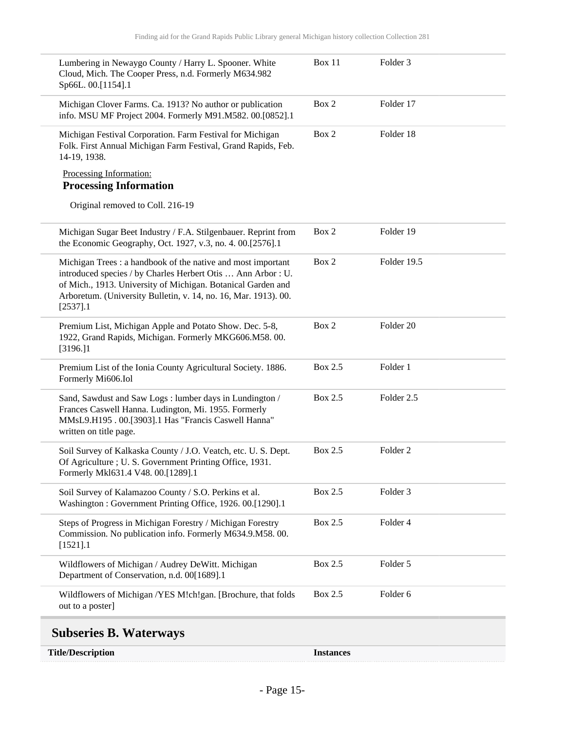| Lumbering in Newaygo County / Harry L. Spooner. White<br>Cloud, Mich. The Cooper Press, n.d. Formerly M634.982<br>Sp66L. 00.[1154].1                                                                                                                                          | Box 11  | Folder <sub>3</sub> |
|-------------------------------------------------------------------------------------------------------------------------------------------------------------------------------------------------------------------------------------------------------------------------------|---------|---------------------|
| Michigan Clover Farms. Ca. 1913? No author or publication<br>info. MSU MF Project 2004. Formerly M91.M582. 00.[0852].1                                                                                                                                                        | Box 2   | Folder 17           |
| Michigan Festival Corporation. Farm Festival for Michigan<br>Folk. First Annual Michigan Farm Festival, Grand Rapids, Feb.<br>14-19, 1938.                                                                                                                                    | Box 2   | Folder 18           |
| Processing Information:<br><b>Processing Information</b>                                                                                                                                                                                                                      |         |                     |
| Original removed to Coll. 216-19                                                                                                                                                                                                                                              |         |                     |
| Michigan Sugar Beet Industry / F.A. Stilgenbauer. Reprint from<br>the Economic Geography, Oct. 1927, v.3, no. 4. 00.[2576].1                                                                                                                                                  | Box 2   | Folder 19           |
| Michigan Trees: a handbook of the native and most important<br>introduced species / by Charles Herbert Otis  Ann Arbor : U.<br>of Mich., 1913. University of Michigan. Botanical Garden and<br>Arboretum. (University Bulletin, v. 14, no. 16, Mar. 1913). 00.<br>$[2537]$ .1 | Box 2   | Folder 19.5         |
| Premium List, Michigan Apple and Potato Show. Dec. 5-8,<br>1922, Grand Rapids, Michigan. Formerly MKG606.M58.00.<br>[3196.]1                                                                                                                                                  | Box 2   | Folder 20           |
| Premium List of the Ionia County Agricultural Society. 1886.<br>Formerly Mi606.Iol                                                                                                                                                                                            | Box 2.5 | Folder 1            |
| Sand, Sawdust and Saw Logs: lumber days in Lundington /<br>Frances Caswell Hanna. Ludington, Mi. 1955. Formerly<br>MMsL9.H195 . 00.[3903].1 Has "Francis Caswell Hanna"<br>written on title page.                                                                             | Box 2.5 | Folder 2.5          |
| Soil Survey of Kalkaska County / J.O. Veatch, etc. U. S. Dept.<br>Of Agriculture : U. S. Government Printing Office, 1931.<br>Formerly Mkl631.4 V48. 00.[1289].1                                                                                                              | Box 2.5 | Folder <sub>2</sub> |
| Soil Survey of Kalamazoo County / S.O. Perkins et al.<br>Washington: Government Printing Office, 1926. 00.[1290].1                                                                                                                                                            | Box 2.5 | Folder 3            |
| Steps of Progress in Michigan Forestry / Michigan Forestry<br>Commission. No publication info. Formerly M634.9.M58.00.<br>$[1521]$ .1                                                                                                                                         | Box 2.5 | Folder 4            |
| Wildflowers of Michigan / Audrey DeWitt. Michigan<br>Department of Conservation, n.d. 00[1689].1                                                                                                                                                                              | Box 2.5 | Folder 5            |
| Wildflowers of Michigan /YES M!ch!gan. [Brochure, that folds<br>out to a poster]                                                                                                                                                                                              | Box 2.5 | Folder 6            |
| Subseries R Waterways                                                                                                                                                                                                                                                         |         |                     |

#### <span id="page-14-0"></span>**Subseries B. Waterways**

| <b>Title/Description</b> |  |
|--------------------------|--|
|--------------------------|--|

**Instances**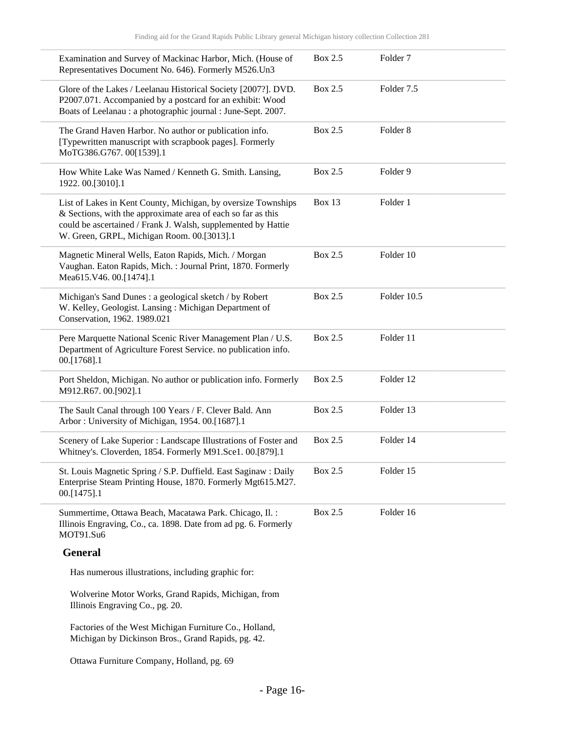| Examination and Survey of Mackinac Harbor, Mich. (House of<br>Representatives Document No. 646). Formerly M526.Un3                                                                                                                           | Box 2.5 | Folder <sub>7</sub> |
|----------------------------------------------------------------------------------------------------------------------------------------------------------------------------------------------------------------------------------------------|---------|---------------------|
| Glore of the Lakes / Leelanau Historical Society [2007?]. DVD.<br>P2007.071. Accompanied by a postcard for an exhibit: Wood<br>Boats of Leelanau : a photographic journal : June-Sept. 2007.                                                 | Box 2.5 | Folder 7.5          |
| The Grand Haven Harbor. No author or publication info.<br>[Typewritten manuscript with scrapbook pages]. Formerly<br>MoTG386.G767.00[1539].1                                                                                                 | Box 2.5 | Folder <sub>8</sub> |
| How White Lake Was Named / Kenneth G. Smith. Lansing,<br>1922. 00.[3010].1                                                                                                                                                                   | Box 2.5 | Folder 9            |
| List of Lakes in Kent County, Michigan, by oversize Townships<br>& Sections, with the approximate area of each so far as this<br>could be ascertained / Frank J. Walsh, supplemented by Hattie<br>W. Green, GRPL, Michigan Room. 00.[3013].1 | Box 13  | Folder 1            |
| Magnetic Mineral Wells, Eaton Rapids, Mich. / Morgan<br>Vaughan. Eaton Rapids, Mich.: Journal Print, 1870. Formerly<br>Mea615.V46.00.[1474].1                                                                                                | Box 2.5 | Folder 10           |
| Michigan's Sand Dunes : a geological sketch / by Robert<br>W. Kelley, Geologist. Lansing: Michigan Department of<br>Conservation, 1962. 1989.021                                                                                             | Box 2.5 | Folder 10.5         |
| Pere Marquette National Scenic River Management Plan / U.S.<br>Department of Agriculture Forest Service. no publication info.<br>00.[1768].1                                                                                                 | Box 2.5 | Folder 11           |
| Port Sheldon, Michigan. No author or publication info. Formerly<br>M912.R67.00.[902].1                                                                                                                                                       | Box 2.5 | Folder 12           |
| The Sault Canal through 100 Years / F. Clever Bald. Ann<br>Arbor: University of Michigan, 1954. 00.[1687].1                                                                                                                                  | Box 2.5 | Folder 13           |
| Scenery of Lake Superior : Landscape Illustrations of Foster and<br>Whitney's. Cloverden, 1854. Formerly M91.Sce1. 00.[879].1                                                                                                                | Box 2.5 | Folder 14           |
| St. Louis Magnetic Spring / S.P. Duffield. East Saginaw : Daily<br>Enterprise Steam Printing House, 1870. Formerly Mgt615.M27.<br>$00.$ [1475].1                                                                                             | Box 2.5 | Folder 15           |
| Summertime, Ottawa Beach, Macatawa Park. Chicago, Il. :<br>Illinois Engraving, Co., ca. 1898. Date from ad pg. 6. Formerly<br>MOT91.Su6                                                                                                      | Box 2.5 | Folder 16           |
| <b>General</b>                                                                                                                                                                                                                               |         |                     |
| Has numerous illustrations, including graphic for:                                                                                                                                                                                           |         |                     |
| Wolverine Motor Works, Grand Rapids, Michigan, from<br>Illinois Engraving Co., pg. 20.                                                                                                                                                       |         |                     |
| Factories of the West Michigan Furniture Co., Holland,<br>Michigan by Dickinson Bros., Grand Rapids, pg. 42.                                                                                                                                 |         |                     |
| Ottawa Furniture Company, Holland, pg. 69                                                                                                                                                                                                    |         |                     |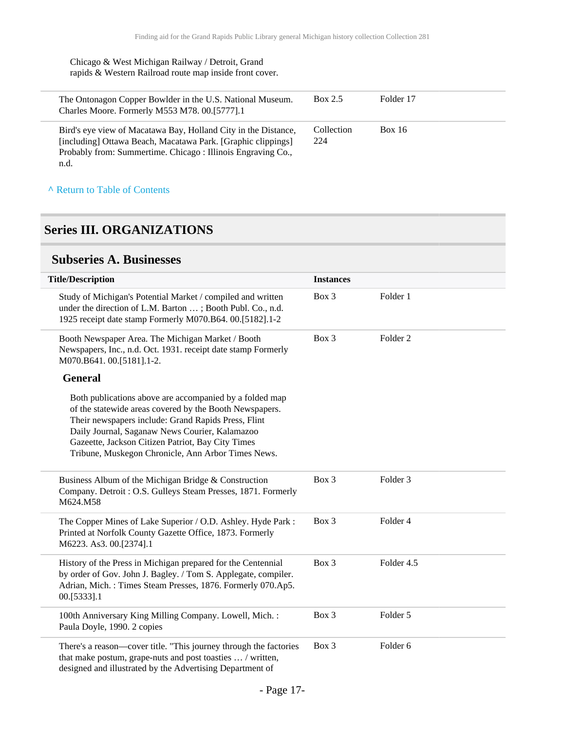Chicago & West Michigan Railway / Detroit, Grand rapids & Western Railroad route map inside front cover.

| The Ontonagon Copper Bowlder in the U.S. National Museum.<br>Charles Moore. Formerly M553 M78. 00.[5777].1                                                                                            | Box 2.5           | Folder 17     |
|-------------------------------------------------------------------------------------------------------------------------------------------------------------------------------------------------------|-------------------|---------------|
| Bird's eye view of Macatawa Bay, Holland City in the Distance,<br>[including] Ottawa Beach, Macatawa Park. [Graphic clippings]<br>Probably from: Summertime. Chicago: Illinois Engraving Co.,<br>n.d. | Collection<br>224 | <b>Box 16</b> |

#### **^** [Return to Table of Contents](#page-1-0)

## <span id="page-16-0"></span>**Series III. ORGANIZATIONS**

### <span id="page-16-1"></span>**Subseries A. Businesses**

| <b>Title/Description</b>                                                                                                                                                                                                                                                                                                               | <b>Instances</b> |                     |
|----------------------------------------------------------------------------------------------------------------------------------------------------------------------------------------------------------------------------------------------------------------------------------------------------------------------------------------|------------------|---------------------|
| Study of Michigan's Potential Market / compiled and written<br>under the direction of L.M. Barton ; Booth Publ. Co., n.d.<br>1925 receipt date stamp Formerly M070.B64. 00.[5182].1-2                                                                                                                                                  | Box 3            | Folder 1            |
| Booth Newspaper Area. The Michigan Market / Booth<br>Newspapers, Inc., n.d. Oct. 1931. receipt date stamp Formerly<br>M070.B641.00.[5181].1-2.                                                                                                                                                                                         | Box 3            | Folder <sub>2</sub> |
| <b>General</b>                                                                                                                                                                                                                                                                                                                         |                  |                     |
| Both publications above are accompanied by a folded map<br>of the statewide areas covered by the Booth Newspapers.<br>Their newspapers include: Grand Rapids Press, Flint<br>Daily Journal, Saganaw News Courier, Kalamazoo<br>Gazeette, Jackson Citizen Patriot, Bay City Times<br>Tribune, Muskegon Chronicle, Ann Arbor Times News. |                  |                     |
| Business Album of the Michigan Bridge & Construction<br>Company. Detroit: O.S. Gulleys Steam Presses, 1871. Formerly<br>M624.M58                                                                                                                                                                                                       | Box 3            | Folder <sub>3</sub> |
| The Copper Mines of Lake Superior / O.D. Ashley. Hyde Park:<br>Printed at Norfolk County Gazette Office, 1873. Formerly<br>M6223. As3. 00.[2374].1                                                                                                                                                                                     | Box 3            | Folder 4            |
| History of the Press in Michigan prepared for the Centennial<br>by order of Gov. John J. Bagley. / Tom S. Applegate, compiler.<br>Adrian, Mich.: Times Steam Presses, 1876. Formerly 070.Ap5.<br>00.[5333].1                                                                                                                           | Box 3            | Folder 4.5          |
| 100th Anniversary King Milling Company. Lowell, Mich.:<br>Paula Doyle, 1990. 2 copies                                                                                                                                                                                                                                                  | Box 3            | Folder 5            |
| There's a reason—cover title. "This journey through the factories<br>that make postum, grape-nuts and post toasties  / written,<br>designed and illustrated by the Advertising Department of                                                                                                                                           | Box 3            | Folder 6            |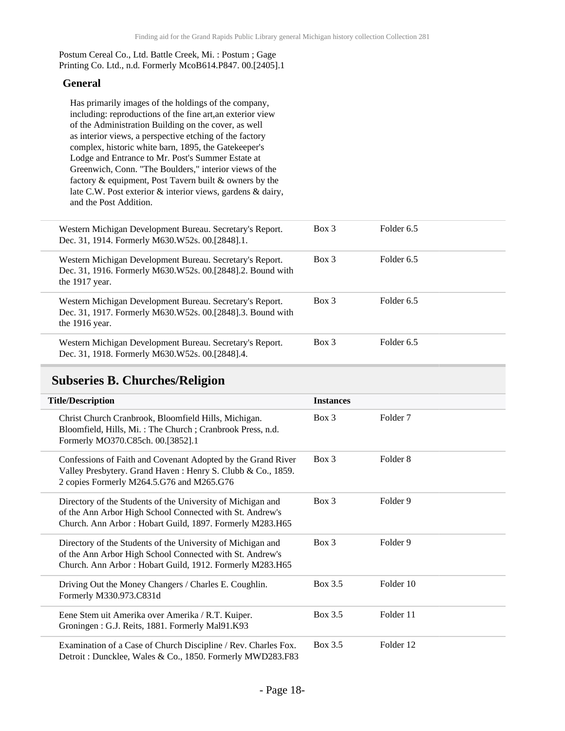Postum Cereal Co., Ltd. Battle Creek, Mi. : Postum ; Gage Printing Co. Ltd., n.d. Formerly McoB614.P847. 00.[2405].1

#### **General**

Has primarily images of the holdings of the company, including: reproductions of the fine art,an exterior view of the Administration Building on the cover, as well as interior views, a perspective etching of the factory complex, historic white barn, 1895, the Gatekeeper's Lodge and Entrance to Mr. Post's Summer Estate at Greenwich, Conn. "The Boulders," interior views of the factory & equipment, Post Tavern built & owners by the late C.W. Post exterior & interior views, gardens & dairy, and the Post Addition.

| Western Michigan Development Bureau. Secretary's Report.<br>Dec. 31, 1914. Formerly M630.W52s. 00.[2848].1.                              | $Box$ 3 | Folder 6.5 |
|------------------------------------------------------------------------------------------------------------------------------------------|---------|------------|
| Western Michigan Development Bureau. Secretary's Report.<br>Dec. 31, 1916. Formerly M630.W52s. 00.[2848].2. Bound with<br>the 1917 year. | Box 3   | Folder 6.5 |
| Western Michigan Development Bureau. Secretary's Report.<br>Dec. 31, 1917. Formerly M630.W52s. 00.[2848].3. Bound with<br>the 1916 year. | $Box$ 3 | Folder 6.5 |
| Western Michigan Development Bureau. Secretary's Report.<br>Dec. 31, 1918. Formerly M630.W52s. 00.[2848].4.                              | $Box$ 3 | Folder 6.5 |

## <span id="page-17-0"></span>**Subseries B. Churches/Religion**

| <b>Title/Description</b> |                                                                                                                                                                                     | <b>Instances</b> |                     |
|--------------------------|-------------------------------------------------------------------------------------------------------------------------------------------------------------------------------------|------------------|---------------------|
|                          | Christ Church Cranbrook, Bloomfield Hills, Michigan.<br>Bloomfield, Hills, Mi.: The Church; Cranbrook Press, n.d.<br>Formerly MO370.C85ch. 00.[3852].1                              | Box 3            | Folder <sub>7</sub> |
|                          | Confessions of Faith and Covenant Adopted by the Grand River<br>Valley Presbytery. Grand Haven: Henry S. Clubb & Co., 1859.<br>2 copies Formerly M264.5.G76 and M265.G76            | $Box\ 3$         | Folder <sub>8</sub> |
|                          | Directory of the Students of the University of Michigan and<br>of the Ann Arbor High School Connected with St. Andrew's<br>Church. Ann Arbor: Hobart Guild, 1897. Formerly M283.H65 | $Box\ 3$         | Folder 9            |
|                          | Directory of the Students of the University of Michigan and<br>of the Ann Arbor High School Connected with St. Andrew's<br>Church. Ann Arbor: Hobart Guild, 1912. Formerly M283.H65 | Box 3            | Folder 9            |
|                          | Driving Out the Money Changers / Charles E. Coughlin.<br>Formerly M330.973.C831d                                                                                                    | Box 3.5          | Folder 10           |
|                          | Eene Stem uit Amerika over Amerika / R.T. Kuiper.<br>Groningen: G.J. Reits, 1881. Formerly Mal91.K93                                                                                | Box 3.5          | Folder 11           |
|                          | Examination of a Case of Church Discipline / Rev. Charles Fox.<br>Detroit: Duncklee, Wales & Co., 1850. Formerly MWD283.F83                                                         | Box 3.5          | Folder 12           |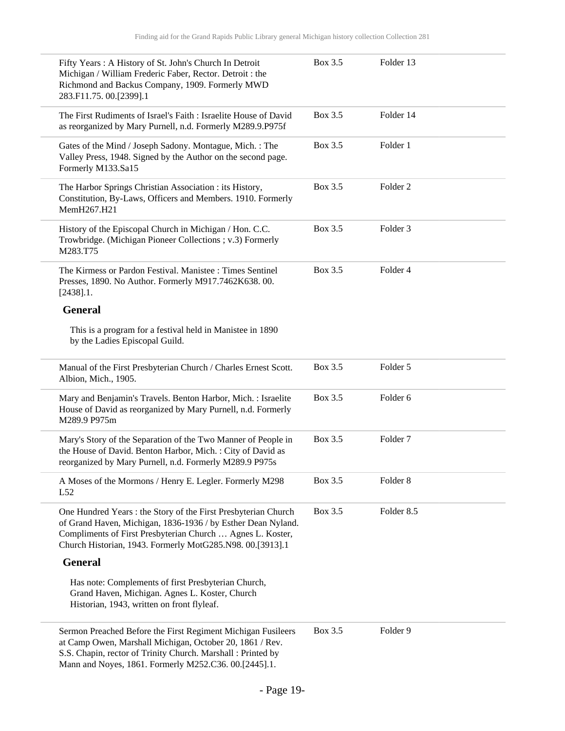| Fifty Years: A History of St. John's Church In Detroit<br>Michigan / William Frederic Faber, Rector. Detroit : the<br>Richmond and Backus Company, 1909. Formerly MWD<br>283.F11.75.00.[2399].1                                                          | Box 3.5 | Folder 13           |
|----------------------------------------------------------------------------------------------------------------------------------------------------------------------------------------------------------------------------------------------------------|---------|---------------------|
| The First Rudiments of Israel's Faith : Israelite House of David<br>as reorganized by Mary Purnell, n.d. Formerly M289.9.P975f                                                                                                                           | Box 3.5 | Folder 14           |
| Gates of the Mind / Joseph Sadony. Montague, Mich.: The<br>Valley Press, 1948. Signed by the Author on the second page.<br>Formerly M133.Sa15                                                                                                            | Box 3.5 | Folder 1            |
| The Harbor Springs Christian Association : its History,<br>Constitution, By-Laws, Officers and Members. 1910. Formerly<br>MemH267.H21                                                                                                                    | Box 3.5 | Folder <sub>2</sub> |
| History of the Episcopal Church in Michigan / Hon. C.C.<br>Trowbridge. (Michigan Pioneer Collections ; v.3) Formerly<br>M283.T75                                                                                                                         | Box 3.5 | Folder 3            |
| The Kirmess or Pardon Festival. Manistee : Times Sentinel<br>Presses, 1890. No Author. Formerly M917.7462K638.00.<br>$[2438]$ .1.                                                                                                                        | Box 3.5 | Folder 4            |
| <b>General</b>                                                                                                                                                                                                                                           |         |                     |
| This is a program for a festival held in Manistee in 1890<br>by the Ladies Episcopal Guild.                                                                                                                                                              |         |                     |
| Manual of the First Presbyterian Church / Charles Ernest Scott.<br>Albion, Mich., 1905.                                                                                                                                                                  | Box 3.5 | Folder 5            |
| Mary and Benjamin's Travels. Benton Harbor, Mich.: Israelite<br>House of David as reorganized by Mary Purnell, n.d. Formerly<br>M289.9 P975m                                                                                                             | Box 3.5 | Folder 6            |
| Mary's Story of the Separation of the Two Manner of People in<br>the House of David. Benton Harbor, Mich.: City of David as<br>reorganized by Mary Purnell, n.d. Formerly M289.9 P975s                                                                   | Box 3.5 | Folder <sub>7</sub> |
| A Moses of the Mormons / Henry E. Legler. Formerly M298<br>L52                                                                                                                                                                                           | Box 3.5 | Folder <sub>8</sub> |
| One Hundred Years: the Story of the First Presbyterian Church<br>of Grand Haven, Michigan, 1836-1936 / by Esther Dean Nyland.<br>Compliments of First Presbyterian Church  Agnes L. Koster,<br>Church Historian, 1943. Formerly MotG285.N98. 00.[3913].1 | Box 3.5 | Folder 8.5          |
| <b>General</b>                                                                                                                                                                                                                                           |         |                     |
| Has note: Complements of first Presbyterian Church,<br>Grand Haven, Michigan. Agnes L. Koster, Church<br>Historian, 1943, written on front flyleaf.                                                                                                      |         |                     |
| Sermon Preached Before the First Regiment Michigan Fusileers<br>at Camp Owen, Marshall Michigan, October 20, 1861 / Rev.<br>S.S. Chapin, rector of Trinity Church. Marshall : Printed by<br>Mann and Noyes, 1861. Formerly M252.C36. 00.[2445].1.        | Box 3.5 | Folder 9            |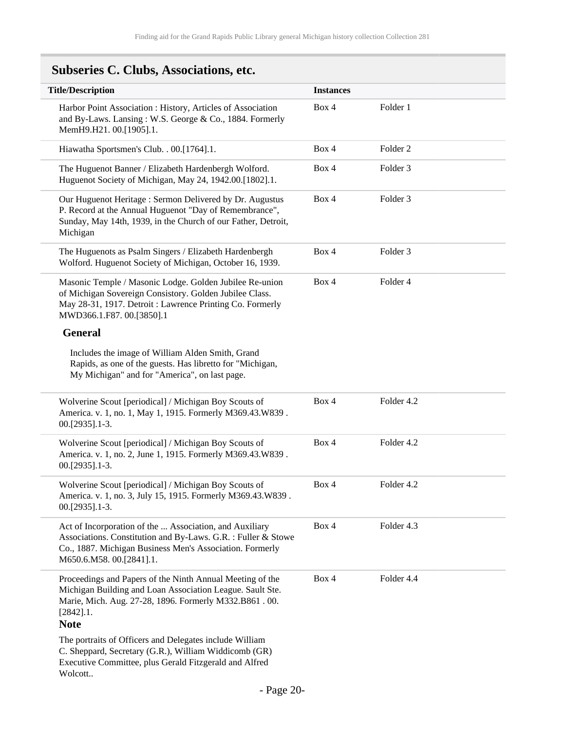# <span id="page-19-0"></span>**Subseries C. Clubs, Associations, etc.**

| <b>Title/Description</b>                                                                                                                                                                                         | <b>Instances</b> |                     |
|------------------------------------------------------------------------------------------------------------------------------------------------------------------------------------------------------------------|------------------|---------------------|
| Harbor Point Association : History, Articles of Association<br>and By-Laws. Lansing: W.S. George & Co., 1884. Formerly<br>MemH9.H21. 00.[1905].1.                                                                | Box 4            | Folder 1            |
| Hiawatha Sportsmen's Club. . 00.[1764].1.                                                                                                                                                                        | Box 4            | Folder <sub>2</sub> |
| The Huguenot Banner / Elizabeth Hardenbergh Wolford.<br>Huguenot Society of Michigan, May 24, 1942.00.[1802].1.                                                                                                  | Box 4            | Folder 3            |
| Our Huguenot Heritage: Sermon Delivered by Dr. Augustus<br>P. Record at the Annual Huguenot "Day of Remembrance",<br>Sunday, May 14th, 1939, in the Church of our Father, Detroit,<br>Michigan                   | Box 4            | Folder <sub>3</sub> |
| The Huguenots as Psalm Singers / Elizabeth Hardenbergh<br>Wolford. Huguenot Society of Michigan, October 16, 1939.                                                                                               | Box 4            | Folder 3            |
| Masonic Temple / Masonic Lodge. Golden Jubilee Re-union<br>of Michigan Sovereign Consistory. Golden Jubilee Class.<br>May 28-31, 1917. Detroit: Lawrence Printing Co. Formerly<br>MWD366.1.F87.00.[3850].1       | Box 4            | Folder 4            |
| <b>General</b>                                                                                                                                                                                                   |                  |                     |
| Includes the image of William Alden Smith, Grand<br>Rapids, as one of the guests. Has libretto for "Michigan,<br>My Michigan" and for "America", on last page.                                                   |                  |                     |
| Wolverine Scout [periodical] / Michigan Boy Scouts of<br>America. v. 1, no. 1, May 1, 1915. Formerly M369.43.W839.<br>00.[2935].1-3.                                                                             | Box 4            | Folder 4.2          |
| Wolverine Scout [periodical] / Michigan Boy Scouts of<br>America. v. 1, no. 2, June 1, 1915. Formerly M369.43.W839.<br>$00.[2935]$ . 1-3.                                                                        | Box 4            | Folder 4.2          |
| Wolverine Scout [periodical] / Michigan Boy Scouts of<br>America. v. 1, no. 3, July 15, 1915. Formerly M369.43.W839.<br>$00.[2935].1-3.$                                                                         | Box 4            | Folder 4.2          |
| Act of Incorporation of the  Association, and Auxiliary<br>Associations. Constitution and By-Laws. G.R. : Fuller & Stowe<br>Co., 1887. Michigan Business Men's Association. Formerly<br>M650.6.M58. 00.[2841].1. | Box 4            | Folder 4.3          |
| Proceedings and Papers of the Ninth Annual Meeting of the<br>Michigan Building and Loan Association League. Sault Ste.<br>Marie, Mich. Aug. 27-28, 1896. Formerly M332.B861.00.<br>$[2842]$ .1.<br><b>Note</b>   | Box 4            | Folder 4.4          |
| The portraits of Officers and Delegates include William<br>C. Sheppard, Secretary (G.R.), William Widdicomb (GR)<br>Executive Committee, plus Gerald Fitzgerald and Alfred<br>Wolcott                            |                  |                     |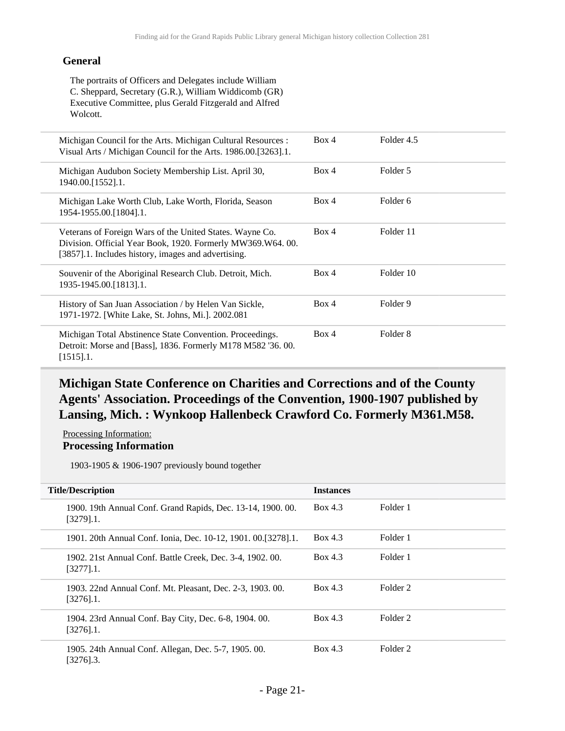The portraits of Officers and Delegates include William C. Sheppard, Secretary (G.R.), William Widdicomb (GR) Executive Committee, plus Gerald Fitzgerald and Alfred Wolcott.

| Michigan Council for the Arts. Michigan Cultural Resources :<br>Visual Arts / Michigan Council for the Arts. 1986.00.[3263].1.                                                | Box 4 | Folder 4.5 |
|-------------------------------------------------------------------------------------------------------------------------------------------------------------------------------|-------|------------|
| Michigan Audubon Society Membership List. April 30,<br>1940.00.[1552].1.                                                                                                      | Box 4 | Folder 5   |
| Michigan Lake Worth Club, Lake Worth, Florida, Season<br>1954-1955.00.[1804].1.                                                                                               | Box 4 | Folder 6   |
| Veterans of Foreign Wars of the United States. Wayne Co.<br>Division. Official Year Book, 1920. Formerly MW369.W64.00.<br>[3857].1. Includes history, images and advertising. | Box 4 | Folder 11  |
| Souvenir of the Aboriginal Research Club. Detroit, Mich.<br>1935-1945.00.[1813].1.                                                                                            | Box 4 | Folder 10  |
| History of San Juan Association / by Helen Van Sickle,<br>1971-1972. [White Lake, St. Johns, Mi.]. 2002.081                                                                   | Box 4 | Folder 9   |
| Michigan Total Abstinence State Convention. Proceedings.<br>Detroit: Morse and [Bass], 1836. Formerly M178 M582 '36.00.<br>$[1515]$ .1.                                       | Box 4 | Folder 8   |

## **Michigan State Conference on Charities and Corrections and of the County Agents' Association. Proceedings of the Convention, 1900-1907 published by Lansing, Mich. : Wynkoop Hallenbeck Crawford Co. Formerly M361.M58.**

Processing Information: **Processing Information**

1903-1905 & 1906-1907 previously bound together

| <b>Title/Description</b>                                                  | <b>Instances</b> |                     |
|---------------------------------------------------------------------------|------------------|---------------------|
| 1900. 19th Annual Conf. Grand Rapids, Dec. 13-14, 1900. 00.<br>[3279].1.  | Box 4.3          | Folder 1            |
| 1901. 20th Annual Conf. Ionia, Dec. 10-12, 1901. 00. [3278]. 1.           | Box 4.3          | Folder 1            |
| 1902. 21st Annual Conf. Battle Creek, Dec. 3-4, 1902. 00.<br>$[3277]$ .1. | Box 4.3          | Folder 1            |
| 1903. 22nd Annual Conf. Mt. Pleasant, Dec. 2-3, 1903. 00.<br>$[3276]$ .1. | Box $4.3$        | Folder 2            |
| 1904. 23rd Annual Conf. Bay City, Dec. 6-8, 1904. 00.<br>$[3276]$ .1.     | Box 4.3          | Folder 2            |
| 1905. 24th Annual Conf. Allegan, Dec. 5-7, 1905. 00.<br>$[3276]$ .3.      | Box 4.3          | Folder <sub>2</sub> |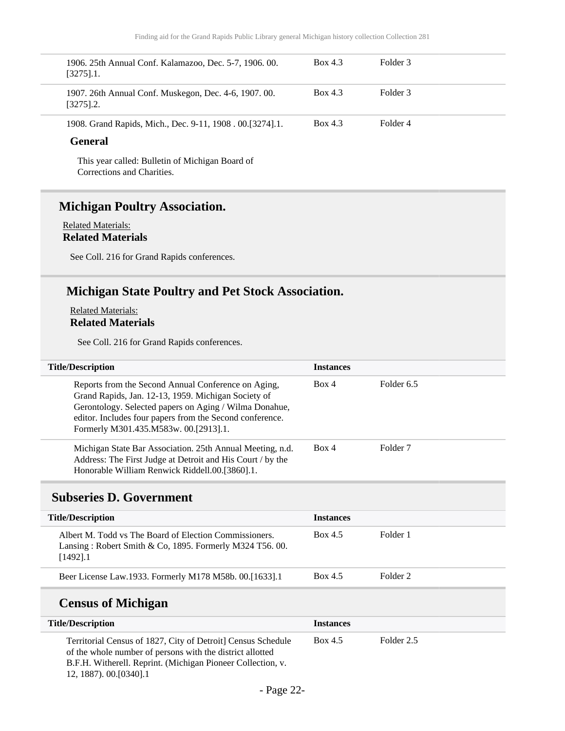| 1906. 25th Annual Conf. Kalamazoo, Dec. 5-7, 1906. 00.<br>$[3275]$ .1. | Box 4.3 | Folder 3 |
|------------------------------------------------------------------------|---------|----------|
| 1907. 26th Annual Conf. Muskegon, Dec. 4-6, 1907. 00.<br>$[3275]$ .2.  | Box 4.3 | Folder 3 |
| 1908. Grand Rapids, Mich., Dec. 9-11, 1908. 00. [3274].1.              | Box 4.3 | Folder 4 |

This year called: Bulletin of Michigan Board of Corrections and Charities.

### **Michigan Poultry Association.**

Related Materials: **Related Materials**

See Coll. 216 for Grand Rapids conferences.

### **Michigan State Poultry and Pet Stock Association.**

#### Related Materials: **Related Materials**

See Coll. 216 for Grand Rapids conferences.

| <b>Title/Description</b>                                                                                                                                                                                                                                                  | <b>Instances</b> |                     |  |
|---------------------------------------------------------------------------------------------------------------------------------------------------------------------------------------------------------------------------------------------------------------------------|------------------|---------------------|--|
| Reports from the Second Annual Conference on Aging,<br>Grand Rapids, Jan. 12-13, 1959. Michigan Society of<br>Gerontology. Selected papers on Aging / Wilma Donahue,<br>editor. Includes four papers from the Second conference.<br>Formerly M301.435.M583w. 00.[2913].1. | Box 4            | Folder 6.5          |  |
| Michigan State Bar Association. 25th Annual Meeting, n.d.<br>Address: The First Judge at Detroit and His Court / by the<br>Honorable William Renwick Riddell.00.[3860].1.                                                                                                 | Box 4            | Folder <sub>7</sub> |  |

### <span id="page-21-0"></span>**Subseries D. Government**

| <b>Title/Description</b>                                                                                                      | <b>Instances</b> |          |
|-------------------------------------------------------------------------------------------------------------------------------|------------------|----------|
| Albert M. Todd vs The Board of Election Commissioners.<br>Lansing: Robert Smith & Co, 1895. Formerly M324 T56.00.<br>[1492].1 | Box 4.5          | Folder 1 |
| Beer License Law.1933. Formerly M178 M58b. 00. [1633]. 1                                                                      | Box 4.5          | Folder 2 |

### **Census of Michigan**

| <b>Title/Description</b>                                                                                                                                                                                            | <b>Instances</b> |            |
|---------------------------------------------------------------------------------------------------------------------------------------------------------------------------------------------------------------------|------------------|------------|
| Territorial Census of 1827, City of Detroit Census Schedule<br>of the whole number of persons with the district allotted<br>B.F.H. Witherell. Reprint. (Michigan Pioneer Collection, v.<br>12, 1887). 00. [0340]. 1 | Box 4.5          | Folder 2.5 |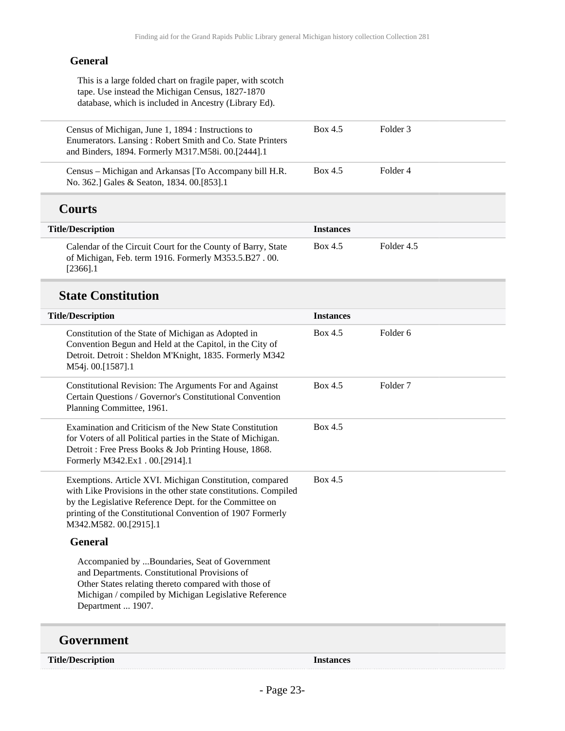This is a large folded chart on fragile paper, with scotch tape. Use instead the Michigan Census, 1827-1870 database, which is included in Ancestry (Library Ed).

No. 362.] Gales & Seaton, 1834. 00.[853].1

Census of Michigan, June 1, 1894 : Instructions to Enumerators. Lansing : Robert Smith and Co. State Printers and Binders, 1894. Formerly M317.M58i. 00.[2444].1 Box 4.5 Folder 3 Census – Michigan and Arkansas [To Accompany bill H.R. Box 4.5 Folder 4

### **Courts**

| <b>Title/Description</b>                                                                                                            | <b>Instances</b> |            |
|-------------------------------------------------------------------------------------------------------------------------------------|------------------|------------|
| Calendar of the Circuit Court for the County of Barry, State<br>of Michigan, Feb. term 1916. Formerly M353.5.B27.00.<br>$[2366]$ .1 | Box 4.5          | Folder 4.5 |

### **State Constitution**

| <b>Title/Description</b>                                                                                                                                                                                                                                                       | <b>Instances</b> |                     |
|--------------------------------------------------------------------------------------------------------------------------------------------------------------------------------------------------------------------------------------------------------------------------------|------------------|---------------------|
| Constitution of the State of Michigan as Adopted in<br>Convention Begun and Held at the Capitol, in the City of<br>Detroit. Detroit: Sheldon M'Knight, 1835. Formerly M342<br>M54j. 00.[1587].1                                                                                | Box 4.5          | Folder 6            |
| Constitutional Revision: The Arguments For and Against<br>Certain Questions / Governor's Constitutional Convention<br>Planning Committee, 1961.                                                                                                                                | Box 4.5          | Folder <sub>7</sub> |
| Examination and Criticism of the New State Constitution<br>for Voters of all Political parties in the State of Michigan.<br>Detroit: Free Press Books & Job Printing House, 1868.<br>Formerly M342.Ex1.00.[2914].1                                                             | Box 4.5          |                     |
| Exemptions. Article XVI. Michigan Constitution, compared<br>with Like Provisions in the other state constitutions. Compiled<br>by the Legislative Reference Dept. for the Committee on<br>printing of the Constitutional Convention of 1907 Formerly<br>M342.M582. 00.[2915].1 | Box 4.5          |                     |
| <b>General</b>                                                                                                                                                                                                                                                                 |                  |                     |
| Accompanied by Boundaries, Seat of Government<br>and Departments. Constitutional Provisions of<br>Other States relating thereto compared with those of<br>Michigan / compiled by Michigan Legislative Reference<br>Department  1907.                                           |                  |                     |

#### **Government**

**Title/Description Instances**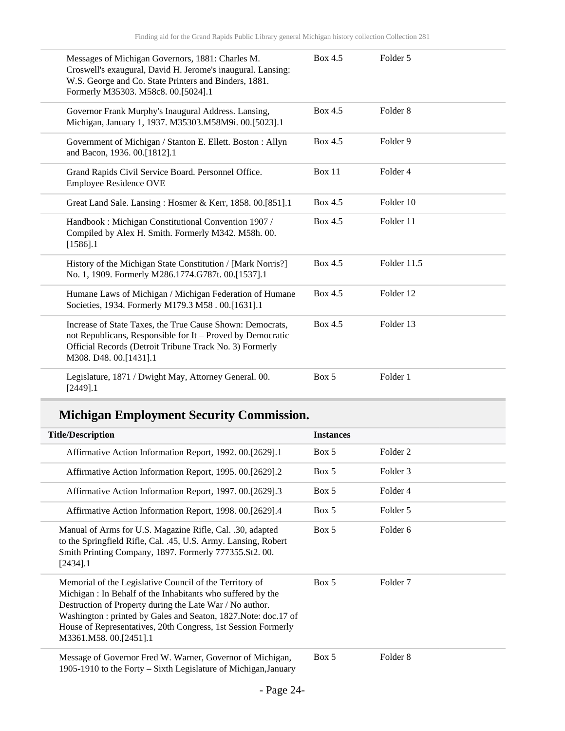| Messages of Michigan Governors, 1881: Charles M.<br>Croswell's exaugural, David H. Jerome's inaugural. Lansing:<br>W.S. George and Co. State Printers and Binders, 1881.<br>Formerly M35303. M58c8. 00.[5024].1 | Box 4.5 | Folder 5            |
|-----------------------------------------------------------------------------------------------------------------------------------------------------------------------------------------------------------------|---------|---------------------|
| Governor Frank Murphy's Inaugural Address. Lansing,<br>Michigan, January 1, 1937. M35303.M58M9i. 00.[5023].1                                                                                                    | Box 4.5 | Folder <sub>8</sub> |
| Government of Michigan / Stanton E. Ellett. Boston : Allyn<br>and Bacon, 1936. 00.[1812].1                                                                                                                      | Box 4.5 | Folder 9            |
| Grand Rapids Civil Service Board. Personnel Office.<br><b>Employee Residence OVE</b>                                                                                                                            | Box 11  | Folder 4            |
| Great Land Sale. Lansing: Hosmer & Kerr, 1858. 00.[851].1                                                                                                                                                       | Box 4.5 | Folder 10           |
| Handbook: Michigan Constitutional Convention 1907 /<br>Compiled by Alex H. Smith. Formerly M342. M58h. 00.<br>$[1586]$ .1                                                                                       | Box 4.5 | Folder 11           |
| History of the Michigan State Constitution / [Mark Norris?]<br>No. 1, 1909. Formerly M286.1774.G787t. 00.[1537].1                                                                                               | Box 4.5 | Folder 11.5         |
| Humane Laws of Michigan / Michigan Federation of Humane<br>Societies, 1934. Formerly M179.3 M58 . 00.[1631].1                                                                                                   | Box 4.5 | Folder 12           |
| Increase of State Taxes, the True Cause Shown: Democrats,<br>not Republicans, Responsible for It – Proved by Democratic<br>Official Records (Detroit Tribune Track No. 3) Formerly<br>M308. D48. 00.[1431].1    | Box 4.5 | Folder 13           |
| Legislature, 1871 / Dwight May, Attorney General. 00.<br>$[2449]$ .1                                                                                                                                            | Box 5   | Folder 1            |

# **Michigan Employment Security Commission.**

| <b>Title/Description</b>                                                                                                                                                                                                                                                                                                                      | <b>Instances</b> |                     |
|-----------------------------------------------------------------------------------------------------------------------------------------------------------------------------------------------------------------------------------------------------------------------------------------------------------------------------------------------|------------------|---------------------|
| Affirmative Action Information Report, 1992. 00.[2629].1                                                                                                                                                                                                                                                                                      | Box 5            | Folder <sub>2</sub> |
| Affirmative Action Information Report, 1995. 00.[2629].2                                                                                                                                                                                                                                                                                      | Box 5            | Folder 3            |
| Affirmative Action Information Report, 1997. 00.[2629].3                                                                                                                                                                                                                                                                                      | Box 5            | Folder 4            |
| Affirmative Action Information Report, 1998. 00.[2629].4                                                                                                                                                                                                                                                                                      | Box 5            | Folder 5            |
| Manual of Arms for U.S. Magazine Rifle, Cal. .30, adapted<br>to the Springfield Rifle, Cal. .45, U.S. Army. Lansing, Robert<br>Smith Printing Company, 1897. Formerly 777355.St2.00.<br>$[2434]$ .1                                                                                                                                           | Box 5            | Folder 6            |
| Memorial of the Legislative Council of the Territory of<br>Michigan: In Behalf of the Inhabitants who suffered by the<br>Destruction of Property during the Late War / No author.<br>Washington: printed by Gales and Seaton, 1827. Note: doc.17 of<br>House of Representatives, 20th Congress, 1st Session Formerly<br>M3361.M58.00.[2451].1 | Box 5            | Folder <sub>7</sub> |
| Message of Governor Fred W. Warner, Governor of Michigan,<br>1905-1910 to the Forty - Sixth Legislature of Michigan, January                                                                                                                                                                                                                  | Box 5            | Folder 8            |
|                                                                                                                                                                                                                                                                                                                                               |                  |                     |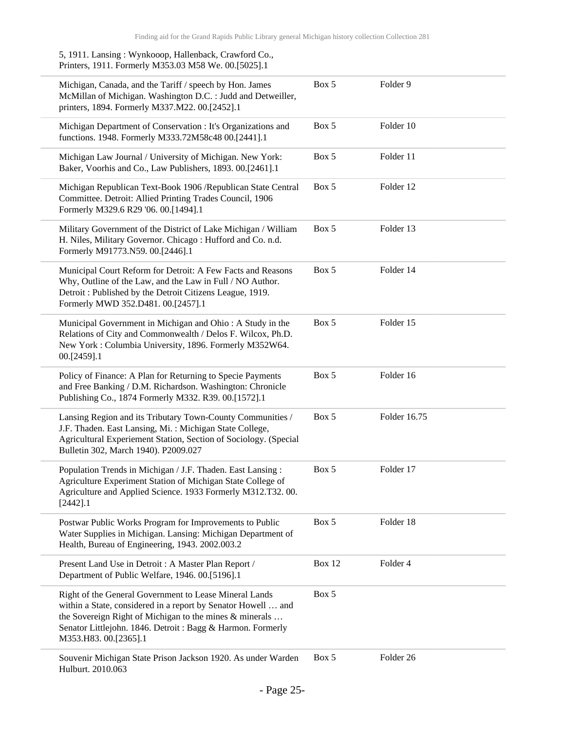| 5, 1911. Lansing: Wynkooop, Hallenback, Crawford Co.,<br>Printers, 1911. Formerly M353.03 M58 We. 00.[5025].1                                                                                                                                                             |        |              |
|---------------------------------------------------------------------------------------------------------------------------------------------------------------------------------------------------------------------------------------------------------------------------|--------|--------------|
| Michigan, Canada, and the Tariff / speech by Hon. James<br>McMillan of Michigan. Washington D.C. : Judd and Detweiller,<br>printers, 1894. Formerly M337.M22. 00.[2452].1                                                                                                 | Box 5  | Folder 9     |
| Michigan Department of Conservation : It's Organizations and<br>functions. 1948. Formerly M333.72M58c48 00.[2441].1                                                                                                                                                       | Box 5  | Folder 10    |
| Michigan Law Journal / University of Michigan. New York:<br>Baker, Voorhis and Co., Law Publishers, 1893. 00.[2461].1                                                                                                                                                     | Box 5  | Folder 11    |
| Michigan Republican Text-Book 1906 / Republican State Central<br>Committee. Detroit: Allied Printing Trades Council, 1906<br>Formerly M329.6 R29 '06. 00.[1494].1                                                                                                         | Box 5  | Folder 12    |
| Military Government of the District of Lake Michigan / William<br>H. Niles, Military Governor. Chicago: Hufford and Co. n.d.<br>Formerly M91773.N59. 00.[2446].1                                                                                                          | Box 5  | Folder 13    |
| Municipal Court Reform for Detroit: A Few Facts and Reasons<br>Why, Outline of the Law, and the Law in Full / NO Author.<br>Detroit: Published by the Detroit Citizens League, 1919.<br>Formerly MWD 352.D481. 00.[2457].1                                                | Box 5  | Folder 14    |
| Municipal Government in Michigan and Ohio: A Study in the<br>Relations of City and Commonwealth / Delos F. Wilcox, Ph.D.<br>New York: Columbia University, 1896. Formerly M352W64.<br>00.[2459].1                                                                         | Box 5  | Folder 15    |
| Policy of Finance: A Plan for Returning to Specie Payments<br>and Free Banking / D.M. Richardson. Washington: Chronicle<br>Publishing Co., 1874 Formerly M332. R39. 00.[1572].1                                                                                           | Box 5  | Folder 16    |
| Lansing Region and its Tributary Town-County Communities /<br>J.F. Thaden. East Lansing, Mi.: Michigan State College,<br>Agricultural Experiement Station, Section of Sociology. (Special<br>Bulletin 302, March 1940). P2009.027                                         | Box 5  | Folder 16.75 |
| Population Trends in Michigan / J.F. Thaden. East Lansing:<br>Agriculture Experiment Station of Michigan State College of<br>Agriculture and Applied Science. 1933 Formerly M312.T32.00.<br>$[2442]$ .1                                                                   | Box 5  | Folder 17    |
| Postwar Public Works Program for Improvements to Public<br>Water Supplies in Michigan. Lansing: Michigan Department of<br>Health, Bureau of Engineering, 1943. 2002.003.2                                                                                                 | Box 5  | Folder 18    |
| Present Land Use in Detroit: A Master Plan Report /<br>Department of Public Welfare, 1946. 00.[5196].1                                                                                                                                                                    | Box 12 | Folder 4     |
| Right of the General Government to Lease Mineral Lands<br>within a State, considered in a report by Senator Howell  and<br>the Sovereign Right of Michigan to the mines & minerals<br>Senator Littlejohn. 1846. Detroit: Bagg & Harmon. Formerly<br>M353.H83. 00.[2365].1 | Box 5  |              |
| Souvenir Michigan State Prison Jackson 1920. As under Warden<br>Hulburt. 2010.063                                                                                                                                                                                         | Box 5  | Folder 26    |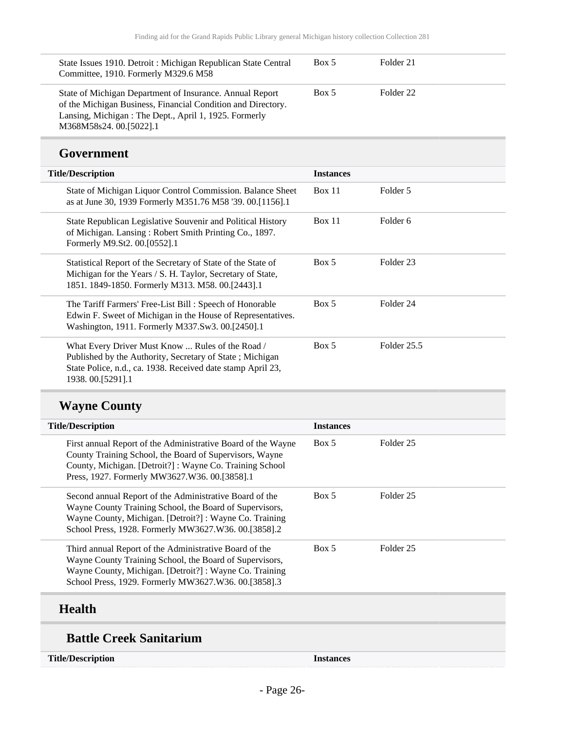| State Issues 1910. Detroit: Michigan Republican State Central<br>Committee, 1910. Formerly M329.6 M58                                                                                                       | Box 5            | Folder <sub>21</sub> |  |
|-------------------------------------------------------------------------------------------------------------------------------------------------------------------------------------------------------------|------------------|----------------------|--|
| State of Michigan Department of Insurance. Annual Report<br>of the Michigan Business, Financial Condition and Directory.<br>Lansing, Michigan: The Dept., April 1, 1925. Formerly<br>M368M58s24.00.[5022].1 | Box 5            | Folder <sub>22</sub> |  |
| Government                                                                                                                                                                                                  |                  |                      |  |
| <b>Title/Description</b>                                                                                                                                                                                    | <b>Instances</b> |                      |  |
| State of Michigan Liquor Control Commission. Balance Sheet<br>as at June 30, 1939 Formerly M351.76 M58 '39. 00.[1156].1                                                                                     | Box 11           | Folder 5             |  |
| State Republican Legislative Souvenir and Political History<br>of Michigan. Lansing: Robert Smith Printing Co., 1897.<br>Formerly M9.St2. 00.[0552].1                                                       | Box 11           | Folder <sub>6</sub>  |  |
| Statistical Report of the Secretary of State of the State of<br>Michigan for the Years / S. H. Taylor, Secretary of State,<br>1851. 1849-1850. Formerly M313. M58. 00.[2443].1                              | Box 5            | Folder <sub>23</sub> |  |
| The Tariff Farmers' Free-List Bill: Speech of Honorable<br>Edwin F. Sweet of Michigan in the House of Representatives.<br>Washington, 1911. Formerly M337.Sw3. 00.[2450].1                                  | Box 5            | Folder <sub>24</sub> |  |
| What Every Driver Must Know  Rules of the Road /<br>Published by the Authority, Secretary of State; Michigan<br>State Police, n.d., ca. 1938. Received date stamp April 23,<br>1938.00.[5291].1             | Box 5            | Folder 25.5          |  |

# **Wayne County**

| <b>Title/Description</b>                                                                                                                                                                                                            | <b>Instances</b> |           |
|-------------------------------------------------------------------------------------------------------------------------------------------------------------------------------------------------------------------------------------|------------------|-----------|
| First annual Report of the Administrative Board of the Wayne<br>County Training School, the Board of Supervisors, Wayne<br>County, Michigan. [Detroit?]: Wayne Co. Training School<br>Press, 1927. Formerly MW3627.W36. 00.[3858].1 | Box 5            | Folder 25 |
| Second annual Report of the Administrative Board of the<br>Wayne County Training School, the Board of Supervisors,<br>Wayne County, Michigan. [Detroit?]: Wayne Co. Training<br>School Press, 1928. Formerly MW3627.W36.00.[3858].2 | Box 5            | Folder 25 |
| Third annual Report of the Administrative Board of the<br>Wayne County Training School, the Board of Supervisors,<br>Wayne County, Michigan. [Detroit?]: Wayne Co. Training<br>School Press, 1929. Formerly MW3627.W36. 00.[3858].3 | Box 5            | Folder 25 |

# **Health**

**Battle Creek Sanitarium**

**Title/Description Instances**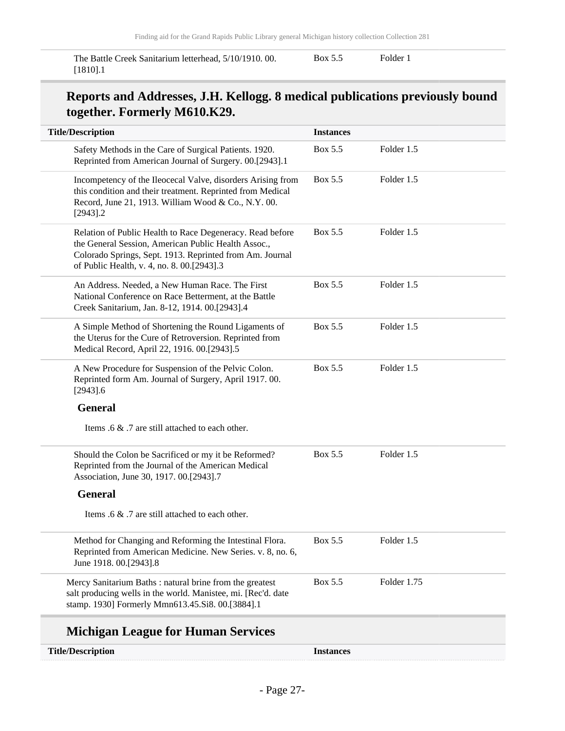The Battle Creek Sanitarium letterhead, 5/10/1910. 00. [1810].1

Box 5.5 Folder 1

## **Reports and Addresses, J.H. Kellogg. 8 medical publications previously bound together. Formerly M610.K29.**

| <b>Title/Description</b>                                                                                                                                                                                                   | <b>Instances</b> |             |
|----------------------------------------------------------------------------------------------------------------------------------------------------------------------------------------------------------------------------|------------------|-------------|
| Safety Methods in the Care of Surgical Patients. 1920.<br>Reprinted from American Journal of Surgery. 00.[2943].1                                                                                                          | Box 5.5          | Folder 1.5  |
| Incompetency of the Ileocecal Valve, disorders Arising from<br>this condition and their treatment. Reprinted from Medical<br>Record, June 21, 1913. William Wood & Co., N.Y. 00.<br>$[2943]$ .2                            | Box 5.5          | Folder 1.5  |
| Relation of Public Health to Race Degeneracy. Read before<br>the General Session, American Public Health Assoc.,<br>Colorado Springs, Sept. 1913. Reprinted from Am. Journal<br>of Public Health, v. 4, no. 8. 00.[2943].3 | Box 5.5          | Folder 1.5  |
| An Address. Needed, a New Human Race. The First<br>National Conference on Race Betterment, at the Battle<br>Creek Sanitarium, Jan. 8-12, 1914. 00.[2943].4                                                                 | Box 5.5          | Folder 1.5  |
| A Simple Method of Shortening the Round Ligaments of<br>the Uterus for the Cure of Retroversion. Reprinted from<br>Medical Record, April 22, 1916. 00.[2943].5                                                             | Box 5.5          | Folder 1.5  |
| A New Procedure for Suspension of the Pelvic Colon.<br>Reprinted form Am. Journal of Surgery, April 1917. 00.<br>$[2943]$ .6                                                                                               | Box 5.5          | Folder 1.5  |
| <b>General</b>                                                                                                                                                                                                             |                  |             |
| Items $.6 \& .7$ are still attached to each other.                                                                                                                                                                         |                  |             |
| Should the Colon be Sacrificed or my it be Reformed?<br>Reprinted from the Journal of the American Medical<br>Association, June 30, 1917. 00.[2943].7                                                                      | Box 5.5          | Folder 1.5  |
| <b>General</b>                                                                                                                                                                                                             |                  |             |
| Items .6 & .7 are still attached to each other.                                                                                                                                                                            |                  |             |
| Method for Changing and Reforming the Intestinal Flora.<br>Reprinted from American Medicine. New Series. v. 8, no. 6,<br>June 1918. 00.[2943].8                                                                            | Box 5.5          | Folder 1.5  |
| Mercy Sanitarium Baths: natural brine from the greatest<br>salt producing wells in the world. Manistee, mi. [Rec'd. date<br>stamp. 1930] Formerly Mmn613.45.Si8. 00.[3884].1                                               | Box 5.5          | Folder 1.75 |

| <b>Title/Description</b> | nstances |
|--------------------------|----------|
|                          |          |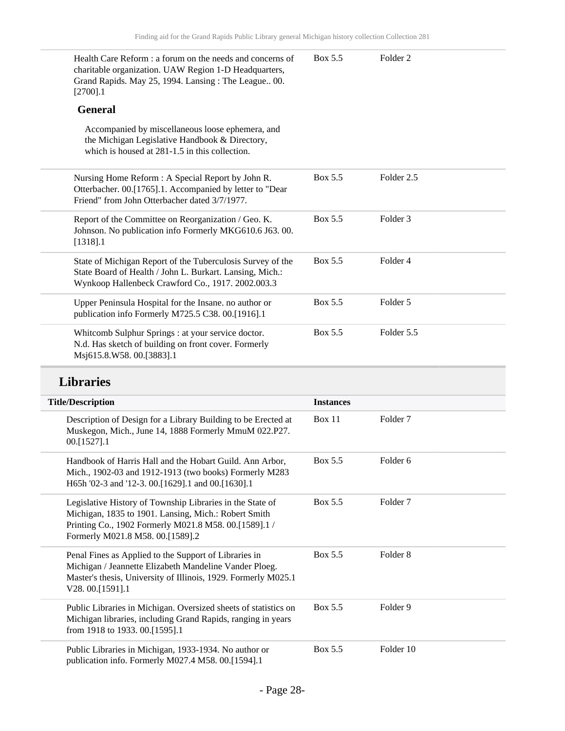| Health Care Reform : a forum on the needs and concerns of<br>charitable organization. UAW Region 1-D Headquarters,<br>Grand Rapids. May 25, 1994. Lansing: The League 00.<br>$[2700]$ .1 | Box 5.5 | Folder <sub>2</sub> |
|------------------------------------------------------------------------------------------------------------------------------------------------------------------------------------------|---------|---------------------|
| <b>General</b>                                                                                                                                                                           |         |                     |
| Accompanied by miscellaneous loose ephemera, and<br>the Michigan Legislative Handbook & Directory,<br>which is housed at 281-1.5 in this collection.                                     |         |                     |
| Nursing Home Reform : A Special Report by John R.<br>Otterbacher. 00.[1765].1. Accompanied by letter to "Dear<br>Friend" from John Otterbacher dated 3/7/1977.                           | Box 5.5 | Folder 2.5          |
| Report of the Committee on Reorganization / Geo. K.<br>Johnson. No publication info Formerly MKG610.6 J63. 00.<br>$[1318]$ .1                                                            | Box 5.5 | Folder <sub>3</sub> |
| State of Michigan Report of the Tuberculosis Survey of the<br>State Board of Health / John L. Burkart. Lansing, Mich.:<br>Wynkoop Hallenbeck Crawford Co., 1917. 2002.003.3              | Box 5.5 | Folder <sub>4</sub> |
| Upper Peninsula Hospital for the Insane. no author or<br>publication info Formerly M725.5 C38. 00.[1916].1                                                                               | Box 5.5 | Folder 5            |
| Whitcomb Sulphur Springs : at your service doctor.<br>N.d. Has sketch of building on front cover. Formerly<br>Msj615.8.W58.00.[3883].1                                                   | Box 5.5 | Folder 5.5          |

# **Libraries**

| <b>Title/Description</b>                                                                                                                                                                                       | <b>Instances</b> |                     |
|----------------------------------------------------------------------------------------------------------------------------------------------------------------------------------------------------------------|------------------|---------------------|
| Description of Design for a Library Building to be Erected at<br>Muskegon, Mich., June 14, 1888 Formerly MmuM 022.P27.<br>$00.$ [1527].1                                                                       | Box 11           | Folder <sub>7</sub> |
| Handbook of Harris Hall and the Hobart Guild. Ann Arbor,<br>Mich., 1902-03 and 1912-1913 (two books) Formerly M283<br>H65h '02-3 and '12-3. 00.[1629].1 and 00.[1630].1                                        | Box 5.5          | Folder 6            |
| Legislative History of Township Libraries in the State of<br>Michigan, 1835 to 1901. Lansing, Mich.: Robert Smith<br>Printing Co., 1902 Formerly M021.8 M58. 00.[1589].1 /<br>Formerly M021.8 M58. 00.[1589].2 | Box 5.5          | Folder <sub>7</sub> |
| Penal Fines as Applied to the Support of Libraries in<br>Michigan / Jeannette Elizabeth Mandeline Vander Ploeg.<br>Master's thesis, University of Illinois, 1929. Formerly M025.1<br>V28.00.[1591].1           | Box 5.5          | Folder 8            |
| Public Libraries in Michigan. Oversized sheets of statistics on<br>Michigan libraries, including Grand Rapids, ranging in years<br>from 1918 to 1933. 00.[1595].1                                              | Box 5.5          | Folder 9            |
| Public Libraries in Michigan, 1933-1934. No author or<br>publication info. Formerly M027.4 M58. 00.[1594].1                                                                                                    | Box 5.5          | Folder 10           |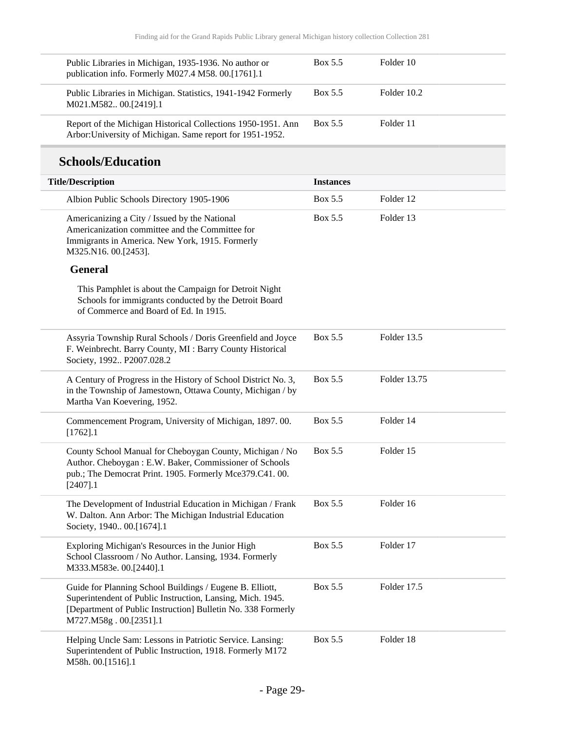| Public Libraries in Michigan, 1935-1936. No author or<br>publication info. Formerly M027.4 M58. 00.[1761].1                                                                                                     | Box 5.5          | Folder 10    |
|-----------------------------------------------------------------------------------------------------------------------------------------------------------------------------------------------------------------|------------------|--------------|
| Public Libraries in Michigan. Statistics, 1941-1942 Formerly<br>M021.M582 00.[2419].1                                                                                                                           | Box 5.5          | Folder 10.2  |
| Report of the Michigan Historical Collections 1950-1951. Ann<br>Arbor: University of Michigan. Same report for 1951-1952.                                                                                       | Box 5.5          | Folder 11    |
| <b>Schools/Education</b>                                                                                                                                                                                        |                  |              |
| <b>Title/Description</b>                                                                                                                                                                                        | <b>Instances</b> |              |
| Albion Public Schools Directory 1905-1906                                                                                                                                                                       | Box 5.5          | Folder 12    |
| Americanizing a City / Issued by the National<br>Americanization committee and the Committee for<br>Immigrants in America. New York, 1915. Formerly<br>M325.N16. 00.[2453].                                     | Box 5.5          | Folder 13    |
| <b>General</b>                                                                                                                                                                                                  |                  |              |
| This Pamphlet is about the Campaign for Detroit Night<br>Schools for immigrants conducted by the Detroit Board<br>of Commerce and Board of Ed. In 1915.                                                         |                  |              |
| Assyria Township Rural Schools / Doris Greenfield and Joyce<br>F. Weinbrecht. Barry County, MI: Barry County Historical<br>Society, 1992 P2007.028.2                                                            | Box 5.5          | Folder 13.5  |
| A Century of Progress in the History of School District No. 3,<br>in the Township of Jamestown, Ottawa County, Michigan / by<br>Martha Van Koevering, 1952.                                                     | Box 5.5          | Folder 13.75 |
| Commencement Program, University of Michigan, 1897.00.<br>$[1762]$ .1                                                                                                                                           | Box 5.5          | Folder 14    |
| County School Manual for Cheboygan County, Michigan / No<br>Author. Cheboygan: E.W. Baker, Commissioner of Schools<br>pub.; The Democrat Print. 1905. Formerly Mce379.C41.00.<br>$[2407]$ .1                    | Box 5.5          | Folder 15    |
| The Development of Industrial Education in Michigan / Frank<br>W. Dalton. Ann Arbor: The Michigan Industrial Education<br>Society, 1940 00.[1674].1                                                             | Box 5.5          | Folder 16    |
| Exploring Michigan's Resources in the Junior High<br>School Classroom / No Author. Lansing, 1934. Formerly<br>M333.M583e. 00.[2440].1                                                                           | Box 5.5          | Folder 17    |
| Guide for Planning School Buildings / Eugene B. Elliott,<br>Superintendent of Public Instruction, Lansing, Mich. 1945.<br>[Department of Public Instruction] Bulletin No. 338 Formerly<br>M727.M58g.00.[2351].1 | Box 5.5          | Folder 17.5  |
| Helping Uncle Sam: Lessons in Patriotic Service. Lansing:<br>Superintendent of Public Instruction, 1918. Formerly M172<br>M58h. 00.[1516].1                                                                     | Box 5.5          | Folder 18    |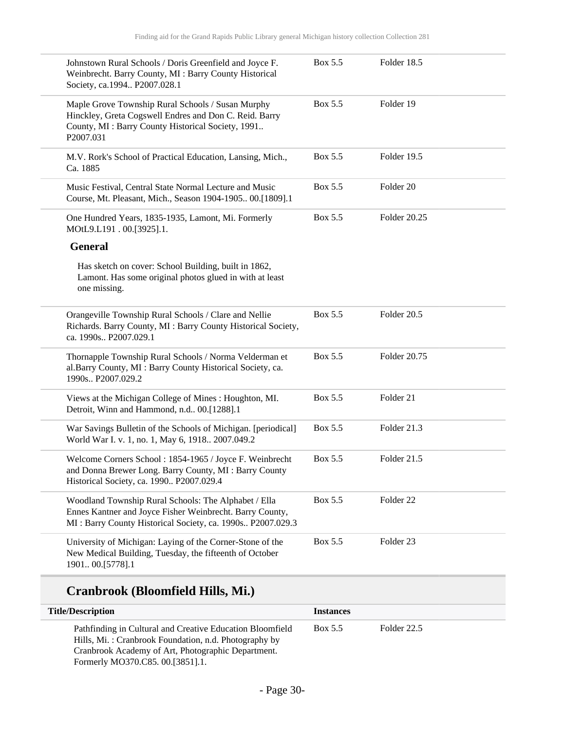| Johnstown Rural Schools / Doris Greenfield and Joyce F.<br>Weinbrecht. Barry County, MI: Barry County Historical<br>Society, ca.1994 P2007.028.1                               | Box 5.5 | Folder 18.5          |
|--------------------------------------------------------------------------------------------------------------------------------------------------------------------------------|---------|----------------------|
| Maple Grove Township Rural Schools / Susan Murphy<br>Hinckley, Greta Cogswell Endres and Don C. Reid. Barry<br>County, MI: Barry County Historical Society, 1991<br>P2007.031  | Box 5.5 | Folder 19            |
| M.V. Rork's School of Practical Education, Lansing, Mich.,<br>Ca. 1885                                                                                                         | Box 5.5 | Folder 19.5          |
| Music Festival, Central State Normal Lecture and Music<br>Course, Mt. Pleasant, Mich., Season 1904-1905 00.[1809].1                                                            | Box 5.5 | Folder 20            |
| One Hundred Years, 1835-1935, Lamont, Mi. Formerly<br>MOtL9.L191.00.[3925].1.                                                                                                  | Box 5.5 | Folder 20.25         |
| <b>General</b>                                                                                                                                                                 |         |                      |
| Has sketch on cover: School Building, built in 1862,<br>Lamont. Has some original photos glued in with at least<br>one missing.                                                |         |                      |
| Orangeville Township Rural Schools / Clare and Nellie<br>Richards. Barry County, MI: Barry County Historical Society,<br>ca. 1990s P2007.029.1                                 | Box 5.5 | Folder 20.5          |
| Thornapple Township Rural Schools / Norma Velderman et<br>al.Barry County, MI: Barry County Historical Society, ca.<br>1990s P2007.029.2                                       | Box 5.5 | Folder 20.75         |
| Views at the Michigan College of Mines : Houghton, MI.<br>Detroit, Winn and Hammond, n.d., 00.[1288].1                                                                         | Box 5.5 | Folder 21            |
| War Savings Bulletin of the Schools of Michigan. [periodical]<br>World War I. v. 1, no. 1, May 6, 1918 2007.049.2                                                              | Box 5.5 | Folder 21.3          |
| Welcome Corners School: 1854-1965 / Joyce F. Weinbrecht<br>and Donna Brewer Long. Barry County, MI: Barry County<br>Historical Society, ca. 1990 P2007.029.4                   | Box 5.5 | Folder 21.5          |
| Woodland Township Rural Schools: The Alphabet / Ella<br>Ennes Kantner and Joyce Fisher Weinbrecht. Barry County,<br>MI: Barry County Historical Society, ca. 1990s P2007.029.3 | Box 5.5 | Folder <sub>22</sub> |
| University of Michigan: Laying of the Corner-Stone of the<br>New Medical Building, Tuesday, the fifteenth of October<br>1901 00.[5778].1                                       | Box 5.5 | Folder 23            |

# **Cranbrook (Bloomfield Hills, Mi.)**

| <b>Title/Description</b>                                                                                                                                                                                     | <b>Instances</b> |             |
|--------------------------------------------------------------------------------------------------------------------------------------------------------------------------------------------------------------|------------------|-------------|
| Pathfinding in Cultural and Creative Education Bloomfield<br>Hills, Mi.: Cranbrook Foundation, n.d. Photography by<br>Cranbrook Academy of Art, Photographic Department.<br>Formerly MO370.C85. 00.[3851].1. | Box 5.5          | Folder 22.5 |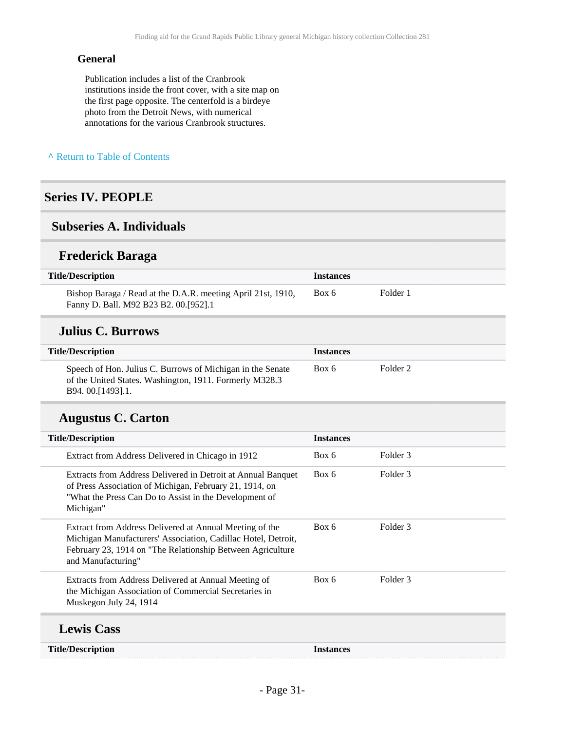Publication includes a list of the Cranbrook institutions inside the front cover, with a site map on the first page opposite. The centerfold is a birdeye photo from the Detroit News, with numerical annotations for the various Cranbrook structures.

#### **^** [Return to Table of Contents](#page-1-0)

### <span id="page-30-0"></span>**Series IV. PEOPLE**

### <span id="page-30-1"></span>**Subseries A. Individuals**

## **Frederick Baraga**

| <b>Title/Description</b>                                                                              | <i>Instances</i> |          |
|-------------------------------------------------------------------------------------------------------|------------------|----------|
| Bishop Baraga / Read at the D.A.R. meeting April 21st, 1910,<br>Fanny D. Ball. M92 B23 B2. 00.[952].1 | Box 6            | Folder 1 |
|                                                                                                       |                  |          |

## **Julius C. Burrows**

| <b>Title/Description</b>                                                                                                                     | <b>Instances</b> |          |
|----------------------------------------------------------------------------------------------------------------------------------------------|------------------|----------|
| Speech of Hon. Julius C. Burrows of Michigan in the Senate<br>of the United States. Washington, 1911. Formerly M328.3<br>B94. 00. [1493]. 1. | Box 6            | Folder 2 |

## **Augustus C. Carton**

| <b>Title/Description</b>                                                                                                                                                                                     | <b>Instances</b> |                     |  |
|--------------------------------------------------------------------------------------------------------------------------------------------------------------------------------------------------------------|------------------|---------------------|--|
| Extract from Address Delivered in Chicago in 1912                                                                                                                                                            | Box 6            | Folder 3            |  |
| Extracts from Address Delivered in Detroit at Annual Banquet<br>of Press Association of Michigan, February 21, 1914, on<br>"What the Press Can Do to Assist in the Development of<br>Michigan"               | Box 6            | Folder 3            |  |
| Extract from Address Delivered at Annual Meeting of the<br>Michigan Manufacturers' Association, Cadillac Hotel, Detroit,<br>February 23, 1914 on "The Relationship Between Agriculture<br>and Manufacturing" | Box 6            | Folder <sub>3</sub> |  |
| Extracts from Address Delivered at Annual Meeting of<br>the Michigan Association of Commercial Secretaries in<br>Muskegon July 24, 1914                                                                      | Box 6            | Folder 3            |  |
| <b>Lewis Cass</b>                                                                                                                                                                                            |                  |                     |  |
| <b>Title/Description</b>                                                                                                                                                                                     | <b>Instances</b> |                     |  |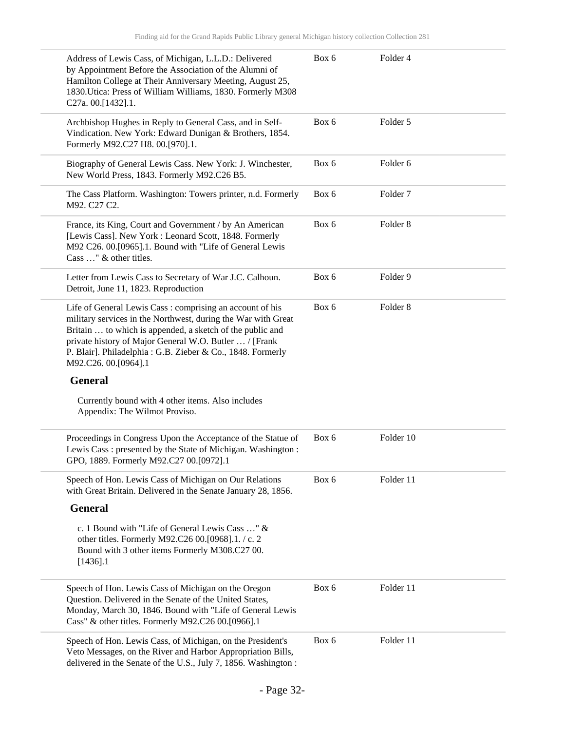| Address of Lewis Cass, of Michigan, L.L.D.: Delivered<br>by Appointment Before the Association of the Alumni of<br>Hamilton College at Their Anniversary Meeting, August 25,<br>1830. Utica: Press of William Williams, 1830. Formerly M308<br>C27a. 00.[1432].1.                                                                      | Box 6 | Folder 4            |  |
|----------------------------------------------------------------------------------------------------------------------------------------------------------------------------------------------------------------------------------------------------------------------------------------------------------------------------------------|-------|---------------------|--|
| Archbishop Hughes in Reply to General Cass, and in Self-<br>Vindication. New York: Edward Dunigan & Brothers, 1854.<br>Formerly M92.C27 H8. 00.[970].1.                                                                                                                                                                                | Box 6 | Folder 5            |  |
| Biography of General Lewis Cass. New York: J. Winchester,<br>New World Press, 1843. Formerly M92.C26 B5.                                                                                                                                                                                                                               | Box 6 | Folder <sub>6</sub> |  |
| The Cass Platform. Washington: Towers printer, n.d. Formerly<br>M92. C27 C2.                                                                                                                                                                                                                                                           | Box 6 | Folder <sub>7</sub> |  |
| France, its King, Court and Government / by An American<br>[Lewis Cass]. New York: Leonard Scott, 1848. Formerly<br>M92 C26. 00.[0965].1. Bound with "Life of General Lewis<br>Cass " & other titles.                                                                                                                                  | Box 6 | Folder <sub>8</sub> |  |
| Letter from Lewis Cass to Secretary of War J.C. Calhoun.<br>Detroit, June 11, 1823. Reproduction                                                                                                                                                                                                                                       | Box 6 | Folder 9            |  |
| Life of General Lewis Cass: comprising an account of his<br>military services in the Northwest, during the War with Great<br>Britain  to which is appended, a sketch of the public and<br>private history of Major General W.O. Butler  / [Frank<br>P. Blair]. Philadelphia: G.B. Zieber & Co., 1848. Formerly<br>M92.C26. 00.[0964].1 | Box 6 | Folder <sub>8</sub> |  |
| <b>General</b>                                                                                                                                                                                                                                                                                                                         |       |                     |  |
| Currently bound with 4 other items. Also includes<br>Appendix: The Wilmot Proviso.                                                                                                                                                                                                                                                     |       |                     |  |
| Proceedings in Congress Upon the Acceptance of the Statue of<br>Lewis Cass: presented by the State of Michigan. Washington:<br>GPO, 1889. Formerly M92.C27 00.[0972].1                                                                                                                                                                 | Box 6 | Folder 10           |  |
| Speech of Hon. Lewis Cass of Michigan on Our Relations<br>with Great Britain. Delivered in the Senate January 28, 1856.                                                                                                                                                                                                                | Box 6 | Folder 11           |  |
| <b>General</b>                                                                                                                                                                                                                                                                                                                         |       |                     |  |
| c. 1 Bound with "Life of General Lewis Cass " &<br>other titles. Formerly M92.C26 00.[0968].1. / c. 2<br>Bound with 3 other items Formerly M308.C27 00.<br>$[1436]$ .1                                                                                                                                                                 |       |                     |  |
| Speech of Hon. Lewis Cass of Michigan on the Oregon<br>Question. Delivered in the Senate of the United States,<br>Monday, March 30, 1846. Bound with "Life of General Lewis<br>Cass" & other titles. Formerly M92.C26 00.[0966].1                                                                                                      | Box 6 | Folder 11           |  |
| Speech of Hon. Lewis Cass, of Michigan, on the President's<br>Veto Messages, on the River and Harbor Appropriation Bills,<br>delivered in the Senate of the U.S., July 7, 1856. Washington:                                                                                                                                            | Box 6 | Folder 11           |  |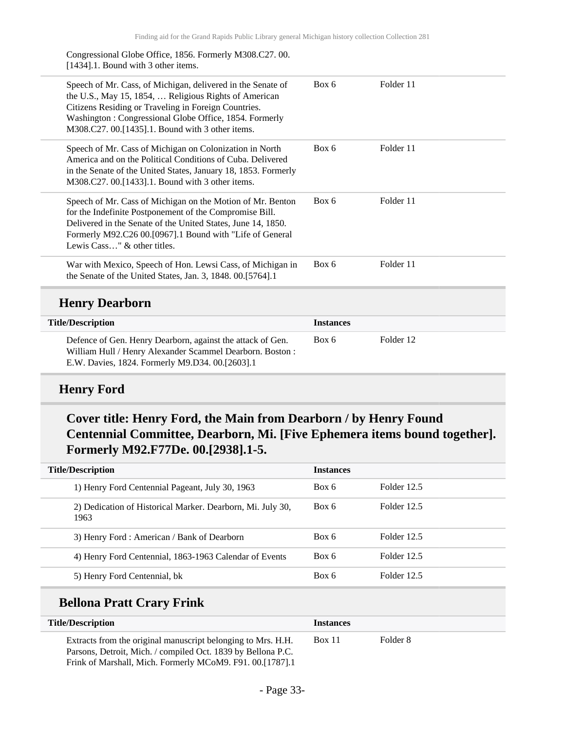Congressional Globe Office, 1856. Formerly M308.C27. 00. [1434].1. Bound with 3 other items.

| Speech of Mr. Cass, of Michigan, delivered in the Senate of<br>the U.S., May 15, 1854,  Religious Rights of American<br>Citizens Residing or Traveling in Foreign Countries.<br>Washington: Congressional Globe Office, 1854. Formerly<br>M308.C27. 00.[1435].1. Bound with 3 other items. | Box 6            | Folder 11 |
|--------------------------------------------------------------------------------------------------------------------------------------------------------------------------------------------------------------------------------------------------------------------------------------------|------------------|-----------|
| Speech of Mr. Cass of Michigan on Colonization in North<br>America and on the Political Conditions of Cuba. Delivered<br>in the Senate of the United States, January 18, 1853. Formerly<br>M308.C27. 00.[1433].1. Bound with 3 other items.                                                | Box 6            | Folder 11 |
| Speech of Mr. Cass of Michigan on the Motion of Mr. Benton<br>for the Indefinite Postponement of the Compromise Bill.<br>Delivered in the Senate of the United States, June 14, 1850.<br>Formerly M92.C26 00.[0967].1 Bound with "Life of General<br>Lewis Cass" & other titles.           | Box 6            | Folder 11 |
| War with Mexico, Speech of Hon. Lewsi Cass, of Michigan in<br>the Senate of the United States, Jan. 3, 1848. 00.[5764].1                                                                                                                                                                   | Box 6            | Folder 11 |
| <b>Henry Dearborn</b>                                                                                                                                                                                                                                                                      |                  |           |
| <b>Title/Description</b>                                                                                                                                                                                                                                                                   | <b>Instances</b> |           |
| Defence of Gen. Henry Dearborn, against the attack of Gen.<br>William Hull / Henry Alexander Scammel Dearborn. Boston:<br>E.W. Davies, 1824. Formerly M9.D34. 00.[2603].1                                                                                                                  | Box 6            | Folder 12 |

### **Henry Ford**

## **Cover title: Henry Ford, the Main from Dearborn / by Henry Found Centennial Committee, Dearborn, Mi. [Five Ephemera items bound together]. Formerly M92.F77De. 00.[2938].1-5.**

| <b>Title/Description</b>                                           | <b>Instances</b> |             |
|--------------------------------------------------------------------|------------------|-------------|
| 1) Henry Ford Centennial Pageant, July 30, 1963                    | Box 6            | Folder 12.5 |
| 2) Dedication of Historical Marker. Dearborn, Mi. July 30,<br>1963 | Box 6            | Folder 12.5 |
| 3) Henry Ford : American / Bank of Dearborn                        | Box 6            | Folder 12.5 |
| 4) Henry Ford Centennial, 1863-1963 Calendar of Events             | Box 6            | Folder 12.5 |
| 5) Henry Ford Centennial, bk                                       | Box 6            | Folder 12.5 |

### **Bellona Pratt Crary Frink**

| <b>Title/Description</b>                                                                                                                                                                  | <b>Instances</b> |          |
|-------------------------------------------------------------------------------------------------------------------------------------------------------------------------------------------|------------------|----------|
| Extracts from the original manuscript belonging to Mrs. H.H.<br>Parsons, Detroit, Mich. / compiled Oct. 1839 by Bellona P.C.<br>Frink of Marshall, Mich. Formerly MCoM9. F91. 00.[1787].1 | <b>Box 11</b>    | Folder 8 |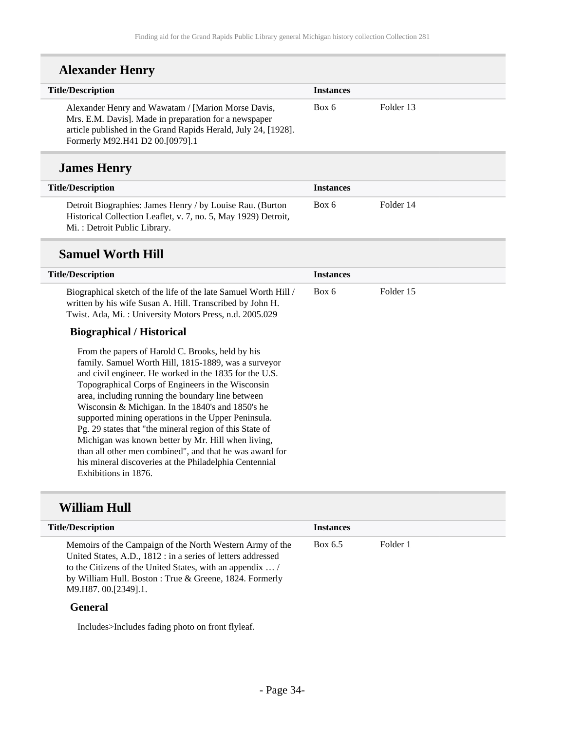| <b>Alexander Henry</b>                                                                                                                                                                                           |                  |           |  |  |
|------------------------------------------------------------------------------------------------------------------------------------------------------------------------------------------------------------------|------------------|-----------|--|--|
| <b>Title/Description</b>                                                                                                                                                                                         | <b>Instances</b> |           |  |  |
| Alexander Henry and Wawatam / [Marion Morse Davis,<br>Mrs. E.M. Davis]. Made in preparation for a newspaper<br>article published in the Grand Rapids Herald, July 24, [1928].<br>Formerly M92.H41 D2 00.[0979].1 | Box 6            | Folder 13 |  |  |
| <b>James Henry</b>                                                                                                                                                                                               |                  |           |  |  |
| <b>Title/Description</b>                                                                                                                                                                                         | <b>Instances</b> |           |  |  |
| Detroit Biographies: James Henry / by Louise Rau. (Burton<br>Historical Collection Leaflet, v. 7, no. 5, May 1929) Detroit,<br>Mi.: Detroit Public Library.                                                      | Box 6            | Folder 14 |  |  |

## **Samuel Worth Hill**

| <b>Title/Description</b>                                                                                                                                                                                                                                                                                                                                                                                                                                                                                                                                                                                                                               | <b>Instances</b> |           |
|--------------------------------------------------------------------------------------------------------------------------------------------------------------------------------------------------------------------------------------------------------------------------------------------------------------------------------------------------------------------------------------------------------------------------------------------------------------------------------------------------------------------------------------------------------------------------------------------------------------------------------------------------------|------------------|-----------|
| Biographical sketch of the life of the late Samuel Worth Hill /<br>written by his wife Susan A. Hill. Transcribed by John H.<br>Twist. Ada, Mi.: University Motors Press, n.d. 2005.029                                                                                                                                                                                                                                                                                                                                                                                                                                                                | Box 6            | Folder 15 |
| <b>Biographical / Historical</b>                                                                                                                                                                                                                                                                                                                                                                                                                                                                                                                                                                                                                       |                  |           |
| From the papers of Harold C. Brooks, held by his<br>family. Samuel Worth Hill, 1815-1889, was a surveyor<br>and civil engineer. He worked in the 1835 for the U.S.<br>Topographical Corps of Engineers in the Wisconsin<br>area, including running the boundary line between<br>Wisconsin & Michigan. In the 1840's and 1850's he<br>supported mining operations in the Upper Peninsula.<br>Pg. 29 states that "the mineral region of this State of<br>Michigan was known better by Mr. Hill when living,<br>than all other men combined", and that he was award for<br>his mineral discoveries at the Philadelphia Centennial<br>Exhibitions in 1876. |                  |           |

## **William Hull**

| <b>Title/Description</b>                                                                                                                                                                                                                                                | <b>Instances</b> |          |
|-------------------------------------------------------------------------------------------------------------------------------------------------------------------------------------------------------------------------------------------------------------------------|------------------|----------|
| Memoirs of the Campaign of the North Western Army of the<br>United States, A.D., 1812 : in a series of letters addressed<br>to the Citizens of the United States, with an appendix  /<br>by William Hull. Boston: True & Greene, 1824. Formerly<br>M9.H87. 00.[2349].1. | Box 6.5          | Folder 1 |

### **General**

Includes>Includes fading photo on front flyleaf.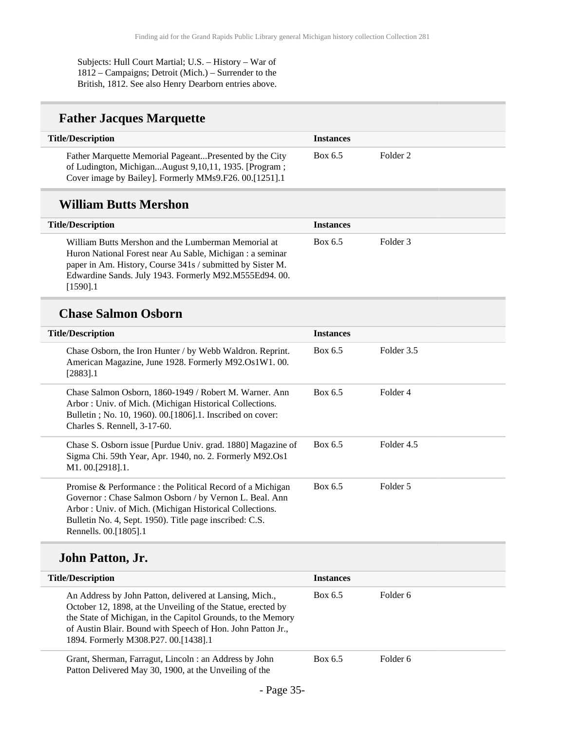Subjects: Hull Court Martial; U.S. – History – War of 1812 – Campaigns; Detroit (Mich.) – Surrender to the British, 1812. See also Henry Dearborn entries above.

## **Father Jacques Marquette**

| <b>Title/Description</b>                                                                                                                                                   | <b>Instances</b> |          |
|----------------------------------------------------------------------------------------------------------------------------------------------------------------------------|------------------|----------|
| Father Marquette Memorial PageantPresented by the City<br>of Ludington, MichiganAugust 9,10,11, 1935. [Program ;<br>Cover image by Bailey]. Formerly MMs9.F26. 00.[1251].1 | Box 6.5          | Folder 2 |

## **William Butts Mershon**

| <b>Title/Description</b>                                                                                                                                                                                                                            | <b>Instances</b> |          |
|-----------------------------------------------------------------------------------------------------------------------------------------------------------------------------------------------------------------------------------------------------|------------------|----------|
| William Butts Mershon and the Lumberman Memorial at<br>Huron National Forest near Au Sable, Michigan : a seminar<br>paper in Am. History, Course 341s / submitted by Sister M.<br>Edwardine Sands. July 1943. Formerly M92.M555Ed94.00.<br>[1590].1 | Box 6.5          | Folder 3 |

### **Chase Salmon Osborn**

| <b>Title/Description</b>                                                                                                                                                                                                                                             | <b>Instances</b> |            |
|----------------------------------------------------------------------------------------------------------------------------------------------------------------------------------------------------------------------------------------------------------------------|------------------|------------|
| Chase Osborn, the Iron Hunter / by Webb Waldron. Reprint.<br>American Magazine, June 1928. Formerly M92.0s1W1.00.<br>$[2883]$ .1                                                                                                                                     | Box 6.5          | Folder 3.5 |
| Chase Salmon Osborn, 1860-1949 / Robert M. Warner. Ann<br>Arbor: Univ. of Mich. (Michigan Historical Collections.)<br>Bulletin; No. 10, 1960). 00. [1806]. 1. Inscribed on cover:<br>Charles S. Rennell, 3-17-60.                                                    | Box 6.5          | Folder 4   |
| Chase S. Osborn issue [Purdue Univ. grad. 1880] Magazine of<br>Sigma Chi. 59th Year, Apr. 1940, no. 2. Formerly M92.Os1<br>M <sub>1</sub> . 00. [2918]. 1.                                                                                                           | Box 6.5          | Folder 4.5 |
| Promise & Performance : the Political Record of a Michigan<br>Governor: Chase Salmon Osborn / by Vernon L. Beal. Ann<br>Arbor: Univ. of Mich. (Michigan Historical Collections.)<br>Bulletin No. 4, Sept. 1950). Title page inscribed: C.S.<br>Rennells. 00.[1805].1 | Box 6.5          | Folder 5   |

## **John Patton, Jr.**

| <b>Title/Description</b>                                                                                                                                                                                                                                                                       | <b>Instances</b> |          |
|------------------------------------------------------------------------------------------------------------------------------------------------------------------------------------------------------------------------------------------------------------------------------------------------|------------------|----------|
| An Address by John Patton, delivered at Lansing, Mich.,<br>October 12, 1898, at the Unveiling of the Statue, erected by<br>the State of Michigan, in the Capitol Grounds, to the Memory<br>of Austin Blair. Bound with Speech of Hon. John Patton Jr.,<br>1894. Formerly M308.P27. 00.[1438].1 | Box 6.5          | Folder 6 |
| Grant, Sherman, Farragut, Lincoln : an Address by John<br>Patton Delivered May 30, 1900, at the Unveiling of the                                                                                                                                                                               | Box 6.5          | Folder 6 |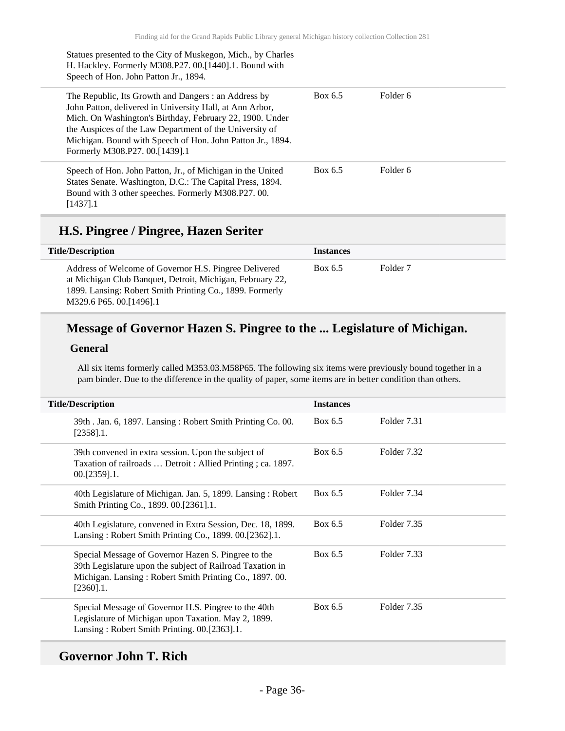| Statues presented to the City of Muskegon, Mich., by Charles<br>H. Hackley. Formerly M308.P27. 00.[1440].1. Bound with<br>Speech of Hon. John Patton Jr., 1894.                                                                                                                                                                         |         |          |  |
|-----------------------------------------------------------------------------------------------------------------------------------------------------------------------------------------------------------------------------------------------------------------------------------------------------------------------------------------|---------|----------|--|
| The Republic, Its Growth and Dangers : an Address by<br>John Patton, delivered in University Hall, at Ann Arbor,<br>Mich. On Washington's Birthday, February 22, 1900. Under<br>the Auspices of the Law Department of the University of<br>Michigan. Bound with Speech of Hon. John Patton Jr., 1894.<br>Formerly M308.P27. 00.[1439].1 | Box 6.5 | Folder 6 |  |
| Speech of Hon. John Patton, Jr., of Michigan in the United<br>States Senate. Washington, D.C.: The Capital Press, 1894.<br>Bound with 3 other speeches. Formerly M308.P27.00.<br>$[1437]$ .1                                                                                                                                            | Box 6.5 | Folder 6 |  |

## **H.S. Pingree / Pingree, Hazen Seriter**

| <b>Title/Description</b>                                                                                                                                                                                    | <b>Instances</b> |                     |
|-------------------------------------------------------------------------------------------------------------------------------------------------------------------------------------------------------------|------------------|---------------------|
| Address of Welcome of Governor H.S. Pingree Delivered<br>at Michigan Club Banquet, Detroit, Michigan, February 22,<br>1899. Lansing: Robert Smith Printing Co., 1899. Formerly<br>M329.6 P65. 00. [1496]. 1 | Box 6.5          | Folder <sub>7</sub> |

## **Message of Governor Hazen S. Pingree to the ... Legislature of Michigan.**

#### **General**

All six items formerly called M353.03.M58P65. The following six items were previously bound together in a pam binder. Due to the difference in the quality of paper, some items are in better condition than others.

| <b>Title/Description</b>                                                                                                                                                                    | <b>Instances</b> |             |
|---------------------------------------------------------------------------------------------------------------------------------------------------------------------------------------------|------------------|-------------|
| 39th . Jan. 6, 1897. Lansing: Robert Smith Printing Co. 00.<br>$[2358]$ .1.                                                                                                                 | Box 6.5          | Folder 7.31 |
| 39th convened in extra session. Upon the subject of<br>Taxation of railroads  Detroit : Allied Printing ; ca. 1897.<br>00.[2359].1.                                                         | Box 6.5          | Folder 7.32 |
| 40th Legislature of Michigan. Jan. 5, 1899. Lansing: Robert<br>Smith Printing Co., 1899. 00.[2361].1.                                                                                       | Box 6.5          | Folder 7.34 |
| 40th Legislature, convened in Extra Session, Dec. 18, 1899.<br>Lansing: Robert Smith Printing Co., 1899. 00.[2362].1.                                                                       | Box 6.5          | Folder 7.35 |
| Special Message of Governor Hazen S. Pingree to the<br>39th Legislature upon the subject of Railroad Taxation in<br>Michigan. Lansing: Robert Smith Printing Co., 1897. 00.<br>$[2360]$ .1. | Box 6.5          | Folder 7.33 |
| Special Message of Governor H.S. Pingree to the 40th<br>Legislature of Michigan upon Taxation. May 2, 1899.<br>Lansing: Robert Smith Printing. 00.[2363].1.                                 | Box 6.5          | Folder 7.35 |
|                                                                                                                                                                                             |                  |             |

### **Governor John T. Rich**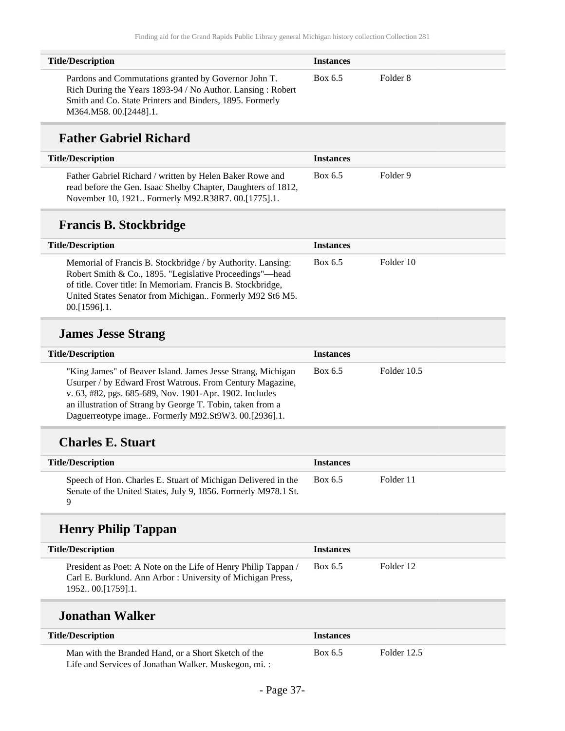| <b>Title/Description</b>                                                                                                                                                                                | <b>Instances</b> |          |
|---------------------------------------------------------------------------------------------------------------------------------------------------------------------------------------------------------|------------------|----------|
| Pardons and Commutations granted by Governor John T.<br>Rich During the Years 1893-94 / No Author. Lansing: Robert<br>Smith and Co. State Printers and Binders, 1895. Formerly<br>M364.M58.00.[2448].1. | Box 6.5          | Folder 8 |

# **Father Gabriel Richard**

| <b>Title/Description</b>                                                                                                                                                        | <b>Instances</b> |          |
|---------------------------------------------------------------------------------------------------------------------------------------------------------------------------------|------------------|----------|
| Father Gabriel Richard / written by Helen Baker Rowe and<br>read before the Gen. Isaac Shelby Chapter, Daughters of 1812,<br>November 10, 1921 Formerly M92.R38R7. 00.[1775].1. | Box 6.5          | Folder 9 |

## **Francis B. Stockbridge**

| <b>Title/Description</b>                                                                                                                                                                                                                                             | <b>Instances</b> |           |
|----------------------------------------------------------------------------------------------------------------------------------------------------------------------------------------------------------------------------------------------------------------------|------------------|-----------|
| Memorial of Francis B. Stockbridge / by Authority. Lansing:<br>Robert Smith & Co., 1895. "Legislative Proceedings"—head<br>of title. Cover title: In Memoriam. Francis B. Stockbridge,<br>United States Senator from Michigan Formerly M92 St6 M5.<br>$00.1596$ ].1. | Box 6.5          | Folder 10 |

## **James Jesse Strang**

| <b>Title/Description</b>                                                                                                                                                                                                                                                                                  | <b>Instances</b> |             |
|-----------------------------------------------------------------------------------------------------------------------------------------------------------------------------------------------------------------------------------------------------------------------------------------------------------|------------------|-------------|
| "King James" of Beaver Island. James Jesse Strang, Michigan<br>Usurper / by Edward Frost Watrous. From Century Magazine,<br>v. 63, #82, pgs. 685-689, Nov. 1901-Apr. 1902. Includes<br>an illustration of Strang by George T. Tobin, taken from a<br>Daguerreotype image Formerly M92.St9W3. 00.[2936].1. | Box 6.5          | Folder 10.5 |

## **Charles E. Stuart**

| <b>Title/Description</b>                                                                                                        | <b>Instances</b> |           |
|---------------------------------------------------------------------------------------------------------------------------------|------------------|-----------|
| Speech of Hon. Charles E. Stuart of Michigan Delivered in the<br>Senate of the United States, July 9, 1856. Formerly M978.1 St. | Box 6.5          | Folder 11 |

# **Henry Philip Tappan**

| <b>Title/Description</b>                                                                                                                            | <b>Instances</b> |           |
|-----------------------------------------------------------------------------------------------------------------------------------------------------|------------------|-----------|
| President as Poet: A Note on the Life of Henry Philip Tappan /<br>Carl E. Burklund. Ann Arbor: University of Michigan Press,<br>1952 00. [1759]. 1. | Box 6.5          | Folder 12 |

## **Jonathan Walker**

| <b>Title/Description</b>                             | <i>Instances</i> |             |
|------------------------------------------------------|------------------|-------------|
| Man with the Branded Hand, or a Short Sketch of the  | Box 6.5          | Folder 12.5 |
| Life and Services of Jonathan Walker. Muskegon, mi.: |                  |             |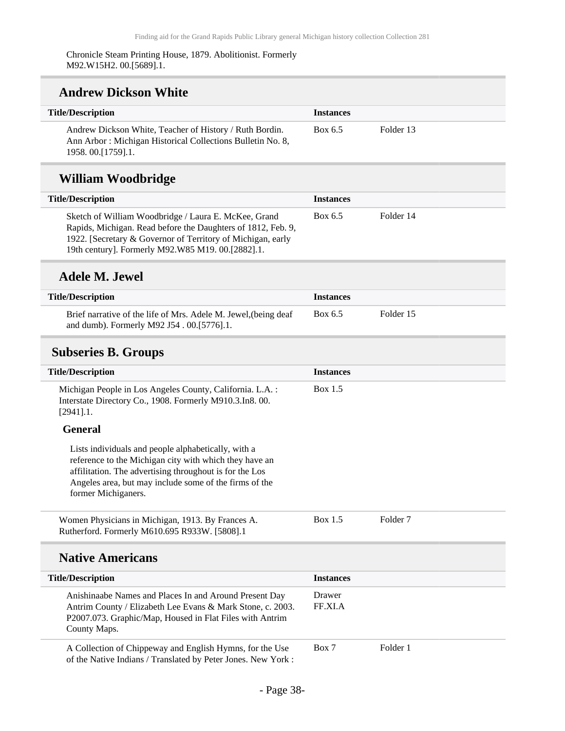#### Chronicle Steam Printing House, 1879. Abolitionist. Formerly M92.W15H2. 00.[5689].1.

#### **Andrew Dickson White**

| <b>Title/Description</b>                                                                                                                   | <b>Instances</b> |           |
|--------------------------------------------------------------------------------------------------------------------------------------------|------------------|-----------|
| Andrew Dickson White, Teacher of History / Ruth Bordin.<br>Ann Arbor: Michigan Historical Collections Bulletin No. 8,<br>1958.00.[1759].1. | Box 6.5          | Folder 13 |

## **William Woodbridge**

| <b>Title/Description</b>                                                                                                                                                                                                                 | <b>Instances</b> |           |
|------------------------------------------------------------------------------------------------------------------------------------------------------------------------------------------------------------------------------------------|------------------|-----------|
| Sketch of William Woodbridge / Laura E. McKee, Grand<br>Rapids, Michigan. Read before the Daughters of 1812, Feb. 9,<br>1922. [Secretary & Governor of Territory of Michigan, early<br>19th century]. Formerly M92.W85 M19. 00.[2882].1. | Box 6.5          | Folder 14 |

### **Adele M. Jewel**

| <b>Title/Description</b>                                                                                      | <i>Instances</i> |           |
|---------------------------------------------------------------------------------------------------------------|------------------|-----------|
| Brief narrative of the life of Mrs. Adele M. Jewel, (being deaf<br>and dumb). Formerly M92 J54 . 00.[5776].1. | Box 6.5          | Folder 15 |

### <span id="page-37-0"></span>**Subseries B. Groups**

| <b>Title/Description</b>                                                                                                                                                                                                                                  | <b>Instances</b>  |                     |
|-----------------------------------------------------------------------------------------------------------------------------------------------------------------------------------------------------------------------------------------------------------|-------------------|---------------------|
| Michigan People in Los Angeles County, California. L.A. :<br>Interstate Directory Co., 1908. Formerly M910.3.In8. 00.<br>$[2941]$ .1.                                                                                                                     | Box $1.5$         |                     |
| <b>General</b>                                                                                                                                                                                                                                            |                   |                     |
| Lists individuals and people alphabetically, with a<br>reference to the Michigan city with which they have an<br>affilitation. The advertising throughout is for the Los<br>Angeles area, but may include some of the firms of the<br>former Michiganers. |                   |                     |
| Women Physicians in Michigan, 1913. By Frances A.<br>Rutherford. Formerly M610.695 R933W. [5808].1                                                                                                                                                        | Box 1.5           | Folder <sub>7</sub> |
| <b>Native Americans</b>                                                                                                                                                                                                                                   |                   |                     |
| <b>Title/Description</b>                                                                                                                                                                                                                                  | <b>Instances</b>  |                     |
| Anishinaabe Names and Places In and Around Present Day<br>Antrim County / Elizabeth Lee Evans & Mark Stone, c. 2003.<br>P2007.073. Graphic/Map, Housed in Flat Files with Antrim<br>County Maps.                                                          | Drawer<br>FF.XI.A |                     |

A Collection of Chippeway and English Hymns, for the Use of the Native Indians / Translated by Peter Jones. New York : Box 7 Folder 1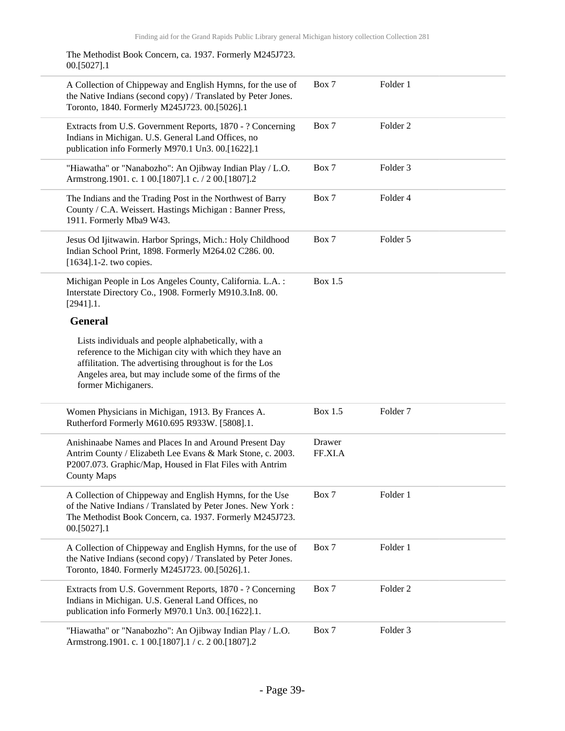The Methodist Book Concern, ca. 1937. Formerly M245J723. 00.[5027].1

| A Collection of Chippeway and English Hymns, for the use of<br>the Native Indians (second copy) / Translated by Peter Jones.<br>Toronto, 1840. Formerly M245J723. 00.[5026].1                                                                             | Box 7             | Folder 1            |
|-----------------------------------------------------------------------------------------------------------------------------------------------------------------------------------------------------------------------------------------------------------|-------------------|---------------------|
| Extracts from U.S. Government Reports, 1870 - ? Concerning<br>Indians in Michigan. U.S. General Land Offices, no<br>publication info Formerly M970.1 Un3. 00.[1622].1                                                                                     | Box 7             | Folder <sub>2</sub> |
| "Hiawatha" or "Nanabozho": An Ojibway Indian Play / L.O.<br>Armstrong. 1901. c. 1 00. [1807]. 1 c. / 2 00. [1807]. 2                                                                                                                                      | Box 7             | Folder 3            |
| The Indians and the Trading Post in the Northwest of Barry<br>County / C.A. Weissert. Hastings Michigan : Banner Press,<br>1911. Formerly Mba9 W43.                                                                                                       | Box 7             | Folder 4            |
| Jesus Od Ijitwawin. Harbor Springs, Mich.: Holy Childhood<br>Indian School Print, 1898. Formerly M264.02 C286.00.<br>[1634].1-2. two copies.                                                                                                              | Box 7             | Folder 5            |
| Michigan People in Los Angeles County, California. L.A. :<br>Interstate Directory Co., 1908. Formerly M910.3.In8. 00.<br>$[2941]$ .1.                                                                                                                     | Box 1.5           |                     |
| <b>General</b>                                                                                                                                                                                                                                            |                   |                     |
| Lists individuals and people alphabetically, with a<br>reference to the Michigan city with which they have an<br>affilitation. The advertising throughout is for the Los<br>Angeles area, but may include some of the firms of the<br>former Michiganers. |                   |                     |
| Women Physicians in Michigan, 1913. By Frances A.<br>Rutherford Formerly M610.695 R933W. [5808].1.                                                                                                                                                        | Box 1.5           | Folder <sub>7</sub> |
| Anishinaabe Names and Places In and Around Present Day<br>Antrim County / Elizabeth Lee Evans & Mark Stone, c. 2003.<br>P2007.073. Graphic/Map, Housed in Flat Files with Antrim<br><b>County Maps</b>                                                    | Drawer<br>FF.XI.A |                     |
| A Collection of Chippeway and English Hymns, for the Use<br>of the Native Indians / Translated by Peter Jones. New York:<br>The Methodist Book Concern, ca. 1937. Formerly M245J723.<br>00.[5027].1                                                       | Box 7             | Folder 1            |
| A Collection of Chippeway and English Hymns, for the use of<br>the Native Indians (second copy) / Translated by Peter Jones.<br>Toronto, 1840. Formerly M245J723. 00.[5026].1.                                                                            | Box 7             | Folder 1            |
| Extracts from U.S. Government Reports, 1870 - ? Concerning<br>Indians in Michigan. U.S. General Land Offices, no<br>publication info Formerly M970.1 Un3. 00.[1622].1.                                                                                    | Box 7             | Folder <sub>2</sub> |
| "Hiawatha" or "Nanabozho": An Ojibway Indian Play / L.O.<br>Armstrong.1901. c. 1 00.[1807].1 / c. 2 00.[1807].2                                                                                                                                           | Box 7             | Folder 3            |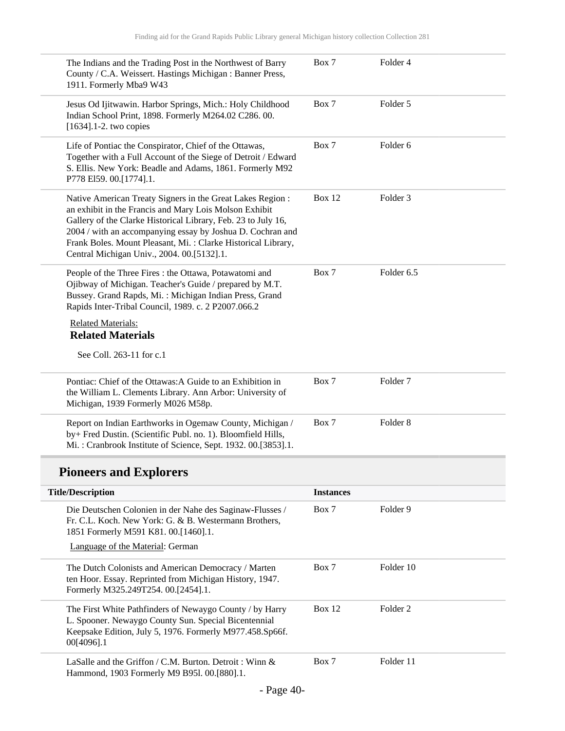| The Indians and the Trading Post in the Northwest of Barry<br>County / C.A. Weissert. Hastings Michigan : Banner Press,<br>1911. Formerly Mba9 W43                                                                                                                                                                                                               | Box 7            | Folder 4            |
|------------------------------------------------------------------------------------------------------------------------------------------------------------------------------------------------------------------------------------------------------------------------------------------------------------------------------------------------------------------|------------------|---------------------|
| Jesus Od Ijitwawin. Harbor Springs, Mich.: Holy Childhood<br>Indian School Print, 1898. Formerly M264.02 C286.00.<br>[1634].1-2. two copies                                                                                                                                                                                                                      | Box 7            | Folder 5            |
| Life of Pontiac the Conspirator, Chief of the Ottawas,<br>Together with a Full Account of the Siege of Detroit / Edward<br>S. Ellis. New York: Beadle and Adams, 1861. Formerly M92<br>P778 E159. 00.[1774].1.                                                                                                                                                   | Box 7            | Folder <sub>6</sub> |
| Native American Treaty Signers in the Great Lakes Region:<br>an exhibit in the Francis and Mary Lois Molson Exhibit<br>Gallery of the Clarke Historical Library, Feb. 23 to July 16,<br>2004 / with an accompanying essay by Joshua D. Cochran and<br>Frank Boles. Mount Pleasant, Mi.: Clarke Historical Library,<br>Central Michigan Univ., 2004. 00.[5132].1. | <b>Box 12</b>    | Folder 3            |
| People of the Three Fires : the Ottawa, Potawatomi and<br>Ojibway of Michigan. Teacher's Guide / prepared by M.T.<br>Bussey. Grand Rapds, Mi.: Michigan Indian Press, Grand<br>Rapids Inter-Tribal Council, 1989. c. 2 P2007.066.2                                                                                                                               | Box 7            | Folder 6.5          |
| <b>Related Materials:</b>                                                                                                                                                                                                                                                                                                                                        |                  |                     |
| <b>Related Materials</b>                                                                                                                                                                                                                                                                                                                                         |                  |                     |
| See Coll. 263-11 for c.1                                                                                                                                                                                                                                                                                                                                         |                  |                     |
| Pontiac: Chief of the Ottawas: A Guide to an Exhibition in<br>the William L. Clements Library. Ann Arbor: University of<br>Michigan, 1939 Formerly M026 M58p.                                                                                                                                                                                                    | Box 7            | Folder <sub>7</sub> |
| Report on Indian Earthworks in Ogemaw County, Michigan /<br>by+ Fred Dustin. (Scientific Publ. no. 1). Bloomfield Hills,<br>Mi.: Cranbrook Institute of Science, Sept. 1932. 00.[3853].1.                                                                                                                                                                        | Box 7            | Folder <sub>8</sub> |
| <b>Pioneers and Explorers</b>                                                                                                                                                                                                                                                                                                                                    |                  |                     |
| <b>Title/Description</b>                                                                                                                                                                                                                                                                                                                                         | <b>Instances</b> |                     |
| Die Deutschen Colonien in der Nahe des Saginaw-Flusses /<br>Fr. C.L. Koch. New York: G. & B. Westermann Brothers,<br>1851 Formerly M591 K81. 00.[1460].1.                                                                                                                                                                                                        | Box 7            | Folder 9            |
| Language of the Material: German                                                                                                                                                                                                                                                                                                                                 |                  |                     |
| The Dutch Colonists and American Democracy / Marten<br>ten Hoor. Essay. Reprinted from Michigan History, 1947.<br>Formerly M325.249T254. 00.[2454].1.                                                                                                                                                                                                            | Box 7            | Folder 10           |
| The First White Pathfinders of Newaygo County / by Harry<br>L. Spooner. Newaygo County Sun. Special Bicentennial<br>Keepsake Edition, July 5, 1976. Formerly M977.458.Sp66f.<br>00[4096].1                                                                                                                                                                       | <b>Box 12</b>    | Folder <sub>2</sub> |
| LaSalle and the Griffon / C.M. Burton. Detroit: Winn &<br>Hammond, 1903 Formerly M9 B951. 00.[880].1.                                                                                                                                                                                                                                                            | Box 7            | Folder 11           |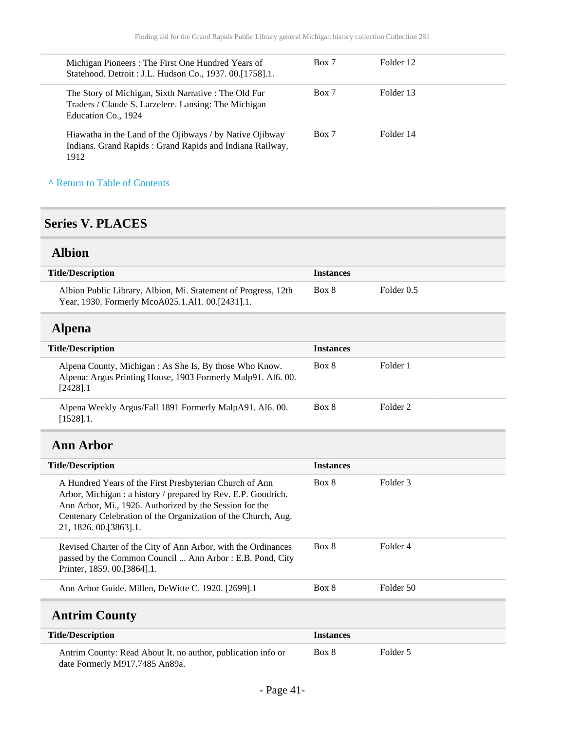| Michigan Pioneers: The First One Hundred Years of<br>Statehood. Detroit: J.L. Hudson Co., 1937. 00.[1758].1.                       | Box 7 | Folder 12 |
|------------------------------------------------------------------------------------------------------------------------------------|-------|-----------|
| The Story of Michigan, Sixth Narrative: The Old Fur<br>Traders / Claude S. Larzelere. Lansing: The Michigan<br>Education Co., 1924 | Box 7 | Folder 13 |
| Hiawatha in the Land of the Ojibways / by Native Ojibway<br>Indians. Grand Rapids: Grand Rapids and Indiana Railway,<br>1912       | Box 7 | Folder 14 |

#### **^** [Return to Table of Contents](#page-1-0)

## <span id="page-40-0"></span>**Series V. PLACES**

### <span id="page-40-1"></span>**Albion**

<span id="page-40-2"></span>

| <b>Title/Description</b>                                                                                                            | <b>Instances</b> |                     |
|-------------------------------------------------------------------------------------------------------------------------------------|------------------|---------------------|
| Albion Public Library, Albion, Mi. Statement of Progress, 12th<br>Year, 1930. Formerly McoA025.1.Al1. 00.[2431].1.                  | Box 8            | Folder 0.5          |
| <b>Alpena</b>                                                                                                                       |                  |                     |
| <b>Title/Description</b>                                                                                                            | <b>Instances</b> |                     |
| Alpena County, Michigan : As She Is, By those Who Know.<br>Alpena: Argus Printing House, 1903 Formerly Malp91. Al6. 00.<br>[2428].1 | Box 8            | Folder 1            |
| Alpena Weekly Argus/Fall 1891 Formerly MalpA91. Alo. 00.<br>[1528].1.                                                               | Box 8            | Folder <sub>2</sub> |

## <span id="page-40-3"></span>**Ann Arbor**

| <b>Title/Description</b>                                                                                                                                                                                                                                                         | <b>Instances</b> |           |  |
|----------------------------------------------------------------------------------------------------------------------------------------------------------------------------------------------------------------------------------------------------------------------------------|------------------|-----------|--|
| A Hundred Years of the First Presbyterian Church of Ann<br>Arbor, Michigan : a history / prepared by Rev. E.P. Goodrich.<br>Ann Arbor, Mi., 1926. Authorized by the Session for the<br>Centenary Celebration of the Organization of the Church, Aug.<br>21, 1826, 00. [3863]. 1. | Box 8            | Folder 3  |  |
| Revised Charter of the City of Ann Arbor, with the Ordinances<br>passed by the Common Council  Ann Arbor : E.B. Pond, City<br>Printer, 1859. 00. [3864]. 1.                                                                                                                      | Box 8            | Folder 4  |  |
| Ann Arbor Guide. Millen, DeWitte C. 1920. [2699].1                                                                                                                                                                                                                               | Box 8            | Folder 50 |  |

# <span id="page-40-4"></span>**Antrim County**

| <b>Title/Description</b>                                     | <i><u><b>Instances</b></u></i> |          |  |
|--------------------------------------------------------------|--------------------------------|----------|--|
| Antrim County: Read About It. no author, publication info or | Box 8                          | Folder 5 |  |
| date Formerly M917.7485 An89a.                               |                                |          |  |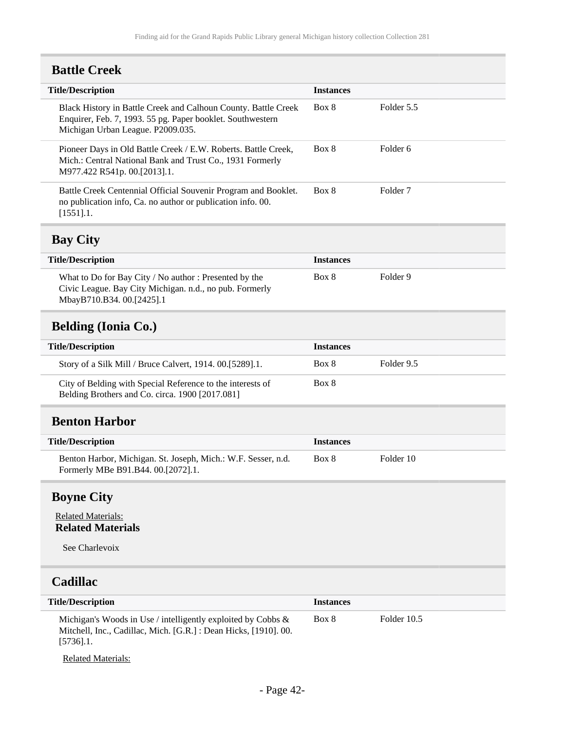## <span id="page-41-0"></span>**Battle Creek**

| <b>Title/Description</b>                                                                                                                                          | <b>Instances</b> |                     |
|-------------------------------------------------------------------------------------------------------------------------------------------------------------------|------------------|---------------------|
| Black History in Battle Creek and Calhoun County. Battle Creek<br>Enquirer, Feb. 7, 1993. 55 pg. Paper booklet. Southwestern<br>Michigan Urban League. P2009.035. | Box 8            | Folder 5.5          |
| Pioneer Days in Old Battle Creek / E.W. Roberts. Battle Creek,<br>Mich.: Central National Bank and Trust Co., 1931 Formerly<br>M977.422 R541p. 00.[2013].1.       | Box 8            | Folder 6            |
| Battle Creek Centennial Official Souvenir Program and Booklet.<br>no publication info, Ca. no author or publication info. 00.<br>$[1551]$ .1.                     | Box 8            | Folder <sub>7</sub> |
|                                                                                                                                                                   |                  |                     |

# <span id="page-41-1"></span>**Bay City**

| <b>Title/Description</b>                                                                                                                     | <b>Instances</b> |          |
|----------------------------------------------------------------------------------------------------------------------------------------------|------------------|----------|
| What to Do for Bay City / No author: Presented by the<br>Civic League. Bay City Michigan. n.d., no pub. Formerly<br>MbayB710.B34.00.[2425].1 | Box 8            | Folder 9 |

# <span id="page-41-2"></span>**Belding (Ionia Co.)**

| <b>Title/Description</b>                                                                                      | <i><u><b>Instances</b></u></i> |            |  |
|---------------------------------------------------------------------------------------------------------------|--------------------------------|------------|--|
| Story of a Silk Mill / Bruce Calvert, 1914. 00.[5289].1.                                                      | Box 8                          | Folder 9.5 |  |
| City of Belding with Special Reference to the interests of<br>Belding Brothers and Co. circa. 1900 [2017.081] | Box 8                          |            |  |

## <span id="page-41-3"></span>**Benton Harbor**

| <b>Title/Description</b>                                      | <i><u><b>Instances</b></u></i> |           |
|---------------------------------------------------------------|--------------------------------|-----------|
| Benton Harbor, Michigan. St. Joseph, Mich.: W.F. Sesser, n.d. | Box 8                          | Folder 10 |
| Formerly MBe B91.B44. 00.[2072].1.                            |                                |           |

## <span id="page-41-4"></span>**Boyne City**

Related Materials: **Related Materials**

See Charlevoix

### <span id="page-41-5"></span>**Cadillac**

| <b>Title/Description</b>                                                                                                                            | <b>Instances</b> |             |  |
|-----------------------------------------------------------------------------------------------------------------------------------------------------|------------------|-------------|--|
| Michigan's Woods in Use / intelligently exploited by Cobbs $\&$<br>Mitchell, Inc., Cadillac, Mich. [G.R.] : Dean Hicks, [1910]. 00.<br>$[5736]$ .1. | Box 8            | Folder 10.5 |  |

Related Materials: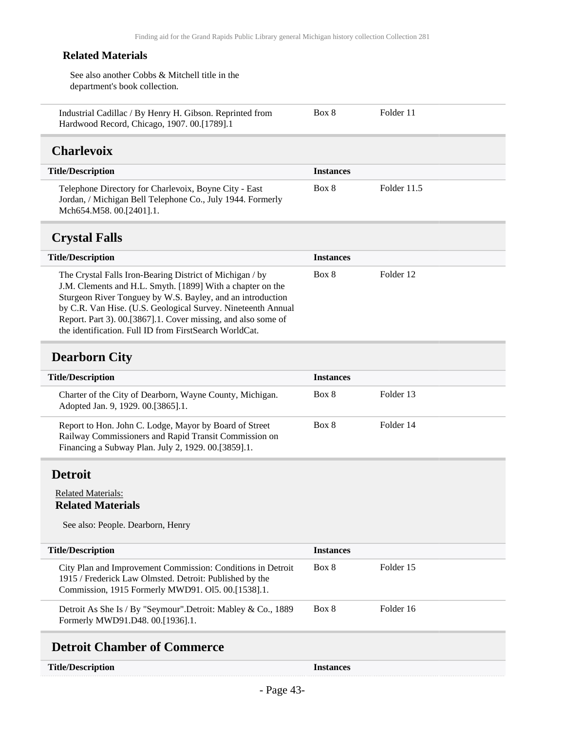#### **Related Materials**

See also another Cobbs & Mitchell title in the department's book collection. Industrial Cadillac / By Henry H. Gibson. Reprinted from Hardwood Record, Chicago, 1907. 00.[1789].1 Box 8 Folder 11 **Charlevoix Title/Description Instances** Box 8 Folder 11.5

<span id="page-42-0"></span>Telephone Directory for Charlevoix, Boyne City - East Jordan, / Michigan Bell Telephone Co., July 1944. Formerly Mch654.M58. 00.[2401].1.

#### <span id="page-42-1"></span>**Crystal Falls**

| <b>Title/Description</b><br><b>Instances</b><br>Folder 12<br>Box 8<br>The Crystal Falls Iron-Bearing District of Michigan / by<br>J.M. Clements and H.L. Smyth. [1899] With a chapter on the<br>Sturgeon River Tonguey by W.S. Bayley, and an introduction<br>by C.R. Van Hise. (U.S. Geological Survey. Nineteenth Annual<br>Report. Part 3). 00.[3867].1. Cover missing, and also some of<br>the identification. Full ID from FirstSearch WorldCat. |  |  |
|-------------------------------------------------------------------------------------------------------------------------------------------------------------------------------------------------------------------------------------------------------------------------------------------------------------------------------------------------------------------------------------------------------------------------------------------------------|--|--|
|                                                                                                                                                                                                                                                                                                                                                                                                                                                       |  |  |
|                                                                                                                                                                                                                                                                                                                                                                                                                                                       |  |  |

# <span id="page-42-2"></span>**Dearborn City**

| <b>Title/Description</b>                                                                                                                                                | <b>Instances</b> |           |
|-------------------------------------------------------------------------------------------------------------------------------------------------------------------------|------------------|-----------|
| Charter of the City of Dearborn, Wayne County, Michigan.<br>Adopted Jan. 9, 1929. 00. [3865].1.                                                                         | Box 8            | Folder 13 |
| Report to Hon. John C. Lodge, Mayor by Board of Street<br>Railway Commissioners and Rapid Transit Commission on<br>Financing a Subway Plan. July 2, 1929. 00. [3859].1. | Box 8            | Folder 14 |

#### <span id="page-42-3"></span>**Detroit**

#### Related Materials: **Related Materials**

See also: People. Dearborn, Henry

| <b>Title/Description</b>                                                                                                                                                     | <b>Instances</b> |           |
|------------------------------------------------------------------------------------------------------------------------------------------------------------------------------|------------------|-----------|
| City Plan and Improvement Commission: Conditions in Detroit<br>1915 / Frederick Law Olmsted. Detroit: Published by the<br>Commission, 1915 Formerly MWD91. Ol5. 00.[1538].1. | Box 8            | Folder 15 |
| Detroit As She Is / By "Seymour". Detroit: Mabley & Co., 1889<br>Formerly MWD91.D48. 00.[1936].1.                                                                            | Box 8            | Folder 16 |
|                                                                                                                                                                              |                  |           |

## <span id="page-42-4"></span>**Detroit Chamber of Commerce**

| <b>Title/Description</b> | <b>Instances</b> |
|--------------------------|------------------|
|--------------------------|------------------|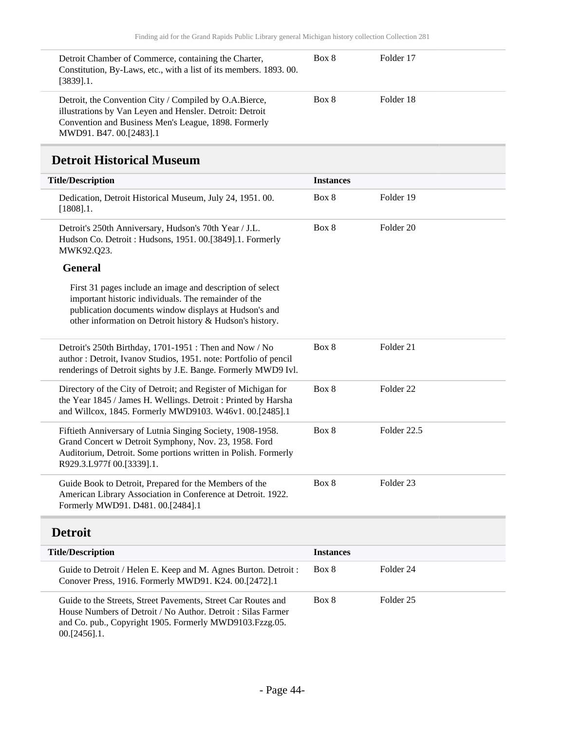<span id="page-43-1"></span><span id="page-43-0"></span>

| Detroit Chamber of Commerce, containing the Charter,<br>Constitution, By-Laws, etc., with a list of its members. 1893. 00.<br>$[3839]$ .1.                                                                                             | Box 8            | Folder 17            |  |
|----------------------------------------------------------------------------------------------------------------------------------------------------------------------------------------------------------------------------------------|------------------|----------------------|--|
| Detroit, the Convention City / Compiled by O.A.Bierce,<br>illustrations by Van Leyen and Hensler. Detroit: Detroit<br>Convention and Business Men's League, 1898. Formerly<br>MWD91. B47. 00.[2483].1                                  | Box 8            | Folder 18            |  |
| <b>Detroit Historical Museum</b>                                                                                                                                                                                                       |                  |                      |  |
| <b>Title/Description</b>                                                                                                                                                                                                               | <b>Instances</b> |                      |  |
| Dedication, Detroit Historical Museum, July 24, 1951. 00.<br>$[1808]$ .1.                                                                                                                                                              | Box 8            | Folder 19            |  |
| Detroit's 250th Anniversary, Hudson's 70th Year / J.L.<br>Hudson Co. Detroit: Hudsons, 1951. 00.[3849].1. Formerly<br>MWK92.Q23.                                                                                                       | Box 8            | Folder 20            |  |
| <b>General</b>                                                                                                                                                                                                                         |                  |                      |  |
| First 31 pages include an image and description of select<br>important historic individuals. The remainder of the<br>publication documents window displays at Hudson's and<br>other information on Detroit history & Hudson's history. |                  |                      |  |
| Detroit's 250th Birthday, 1701-1951 : Then and Now / No<br>author : Detroit, Ivanov Studios, 1951. note: Portfolio of pencil<br>renderings of Detroit sights by J.E. Bange. Formerly MWD9 Ivl.                                         | Box 8            | Folder 21            |  |
| Directory of the City of Detroit; and Register of Michigan for<br>the Year 1845 / James H. Wellings. Detroit: Printed by Harsha<br>and Willcox, 1845. Formerly MWD9103. W46v1. 00.[2485].1                                             | Box 8            | Folder <sub>22</sub> |  |
| Fiftieth Anniversary of Lutnia Singing Society, 1908-1958.<br>Grand Concert w Detroit Symphony, Nov. 23, 1958. Ford<br>Auditorium, Detroit. Some portions written in Polish. Formerly<br>R929.3.L977f 00.[3339].1.                     | Box 8            | Folder 22.5          |  |
| Guide Book to Detroit, Prepared for the Members of the<br>American Library Association in Conference at Detroit. 1922.<br>Formerly MWD91. D481. 00.[2484].1                                                                            | Box 8            | Folder <sub>23</sub> |  |
| <b>Detroit</b>                                                                                                                                                                                                                         |                  |                      |  |
| <b>Title/Description</b>                                                                                                                                                                                                               | <b>Instances</b> |                      |  |
| Guide to Detroit / Helen E. Keep and M. Agnes Burton. Detroit:<br>Conover Press, 1916. Formerly MWD91. K24. 00.[2472].1                                                                                                                | Box 8            | Folder <sub>24</sub> |  |
| Guide to the Streets, Street Pavements, Street Car Routes and<br>House Numbers of Detroit / No Author. Detroit: Silas Farmer<br>and Co. pub., Copyright 1905. Formerly MWD9103.Fzzg.05.<br>00.[2456].1.                                | Box 8            | Folder <sub>25</sub> |  |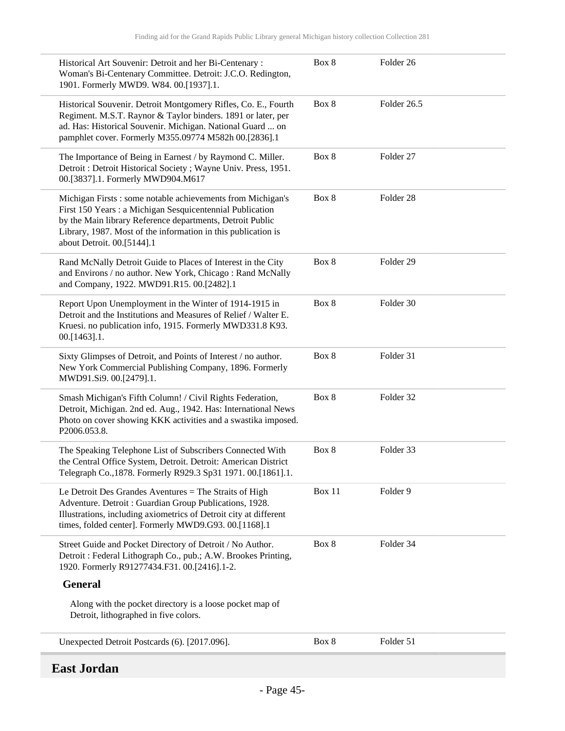| Historical Art Souvenir: Detroit and her Bi-Centenary :<br>Woman's Bi-Centenary Committee. Detroit: J.C.O. Redington,<br>1901. Formerly MWD9. W84. 00.[1937].1.                                                                                                                    | Box 8  | Folder 26            |
|------------------------------------------------------------------------------------------------------------------------------------------------------------------------------------------------------------------------------------------------------------------------------------|--------|----------------------|
| Historical Souvenir. Detroit Montgomery Rifles, Co. E., Fourth<br>Regiment. M.S.T. Raynor & Taylor binders. 1891 or later, per<br>ad. Has: Historical Souvenir. Michigan. National Guard  on<br>pamphlet cover. Formerly M355.09774 M582h 00.[2836].1                              | Box 8  | Folder 26.5          |
| The Importance of Being in Earnest / by Raymond C. Miller.<br>Detroit: Detroit Historical Society; Wayne Univ. Press, 1951.<br>00.[3837].1. Formerly MWD904.M617                                                                                                                   | Box 8  | Folder 27            |
| Michigan Firsts: some notable achievements from Michigan's<br>First 150 Years: a Michigan Sesquicentennial Publication<br>by the Main library Reference departments, Detroit Public<br>Library, 1987. Most of the information in this publication is<br>about Detroit. 00.[5144].1 | Box 8  | Folder <sub>28</sub> |
| Rand McNally Detroit Guide to Places of Interest in the City<br>and Environs / no author. New York, Chicago: Rand McNally<br>and Company, 1922. MWD91.R15. 00.[2482].1                                                                                                             | Box 8  | Folder <sub>29</sub> |
| Report Upon Unemployment in the Winter of 1914-1915 in<br>Detroit and the Institutions and Measures of Relief / Walter E.<br>Kruesi. no publication info, 1915. Formerly MWD331.8 K93.<br>$00.$ [1463].1.                                                                          | Box 8  | Folder 30            |
| Sixty Glimpses of Detroit, and Points of Interest / no author.<br>New York Commercial Publishing Company, 1896. Formerly<br>MWD91.Si9. 00.[2479].1.                                                                                                                                | Box 8  | Folder 31            |
| Smash Michigan's Fifth Column! / Civil Rights Federation,<br>Detroit, Michigan. 2nd ed. Aug., 1942. Has: International News<br>Photo on cover showing KKK activities and a swastika imposed.<br>P2006.053.8.                                                                       | Box 8  | Folder 32            |
| The Speaking Telephone List of Subscribers Connected With<br>the Central Office System, Detroit. Detroit: American District<br>Telegraph Co., 1878. Formerly R929.3 Sp31 1971. 00.[1861].1.                                                                                        | Box 8  | Folder 33            |
| Le Detroit Des Grandes Aventures = The Straits of High<br>Adventure. Detroit : Guardian Group Publications, 1928.<br>Illustrations, including axiometrics of Detroit city at different<br>times, folded center]. Formerly MWD9.G93. 00.[1168].1                                    | Box 11 | Folder 9             |
| Street Guide and Pocket Directory of Detroit / No Author.<br>Detroit: Federal Lithograph Co., pub.; A.W. Brookes Printing,<br>1920. Formerly R91277434.F31. 00.[2416].1-2.                                                                                                         | Box 8  | Folder 34            |
| <b>General</b>                                                                                                                                                                                                                                                                     |        |                      |
| Along with the pocket directory is a loose pocket map of<br>Detroit, lithographed in five colors.                                                                                                                                                                                  |        |                      |
| Unexpected Detroit Postcards (6). [2017.096].                                                                                                                                                                                                                                      | Box 8  | Folder 51            |
|                                                                                                                                                                                                                                                                                    |        |                      |

# <span id="page-44-0"></span>**East Jordan**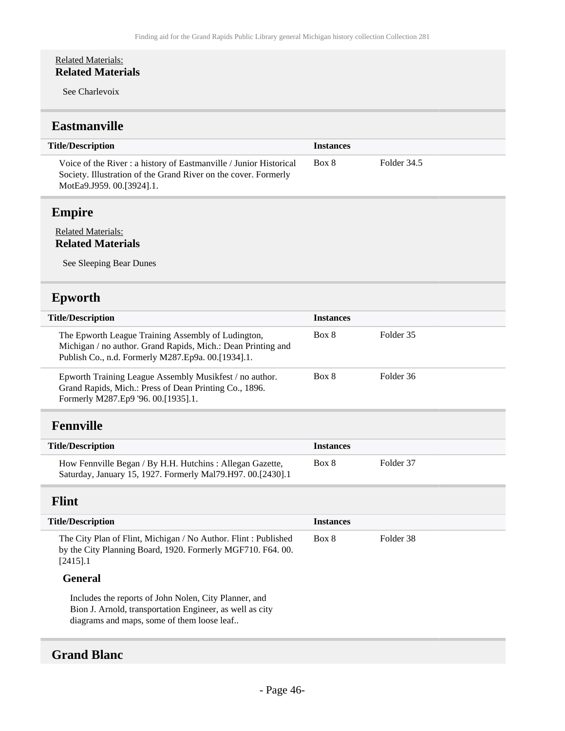#### Related Materials: **Related Materials**

See Charlevoix

## <span id="page-45-0"></span>**Eastmanville**

| <b>Title/Description</b>                                                                                                                                           | <b>Instances</b> |             |
|--------------------------------------------------------------------------------------------------------------------------------------------------------------------|------------------|-------------|
| Voice of the River : a history of Eastmanville / Junior Historical<br>Society. Illustration of the Grand River on the cover. Formerly<br>MotEa9.J959. 00.[3924].1. | Box 8            | Folder 34.5 |
|                                                                                                                                                                    |                  |             |

## <span id="page-45-1"></span>**Empire**

#### Related Materials: **Related Materials**

See Sleeping Bear Dunes

## <span id="page-45-2"></span>**Epworth**

| <b>Title/Description</b>                                                                                                                                                 | <b>Instances</b> |           |
|--------------------------------------------------------------------------------------------------------------------------------------------------------------------------|------------------|-----------|
| The Epworth League Training Assembly of Ludington,<br>Michigan / no author. Grand Rapids, Mich.: Dean Printing and<br>Publish Co., n.d. Formerly M287.Ep9a. 00.[1934].1. | Box 8            | Folder 35 |
| Epworth Training League Assembly Musikfest / no author.<br>Grand Rapids, Mich.: Press of Dean Printing Co., 1896.<br>Formerly M287.Ep9 '96. 00.[1935].1.                 | Box 8            | Folder 36 |
| <b>Fennville</b>                                                                                                                                                         |                  |           |
| <b>Title/Description</b>                                                                                                                                                 | <b>Instances</b> |           |

<span id="page-45-3"></span>

| How Fennville Began / By H.H. Hutchins : Allegan Gazette,   | Box 8 | Folder 37 |  |
|-------------------------------------------------------------|-------|-----------|--|
| Saturday, January 15, 1927. Formerly Mal79.H97. 00.[2430].1 |       |           |  |

## <span id="page-45-4"></span>**Flint**

| <b>Title/Description</b>                                                                                                                     | <b>Instances</b> |           |
|----------------------------------------------------------------------------------------------------------------------------------------------|------------------|-----------|
| The City Plan of Flint, Michigan / No Author. Flint: Published<br>by the City Planning Board, 1920. Formerly MGF710. F64. 00.<br>$[2415]$ .1 | Box 8            | Folder 38 |
| General                                                                                                                                      |                  |           |
| Includes the reports of John Nolen, City Planner, and<br>Bion J. Arnold, transportation Engineer, as well as city                            |                  |           |

diagrams and maps, some of them loose leaf..

## <span id="page-45-5"></span>**Grand Blanc**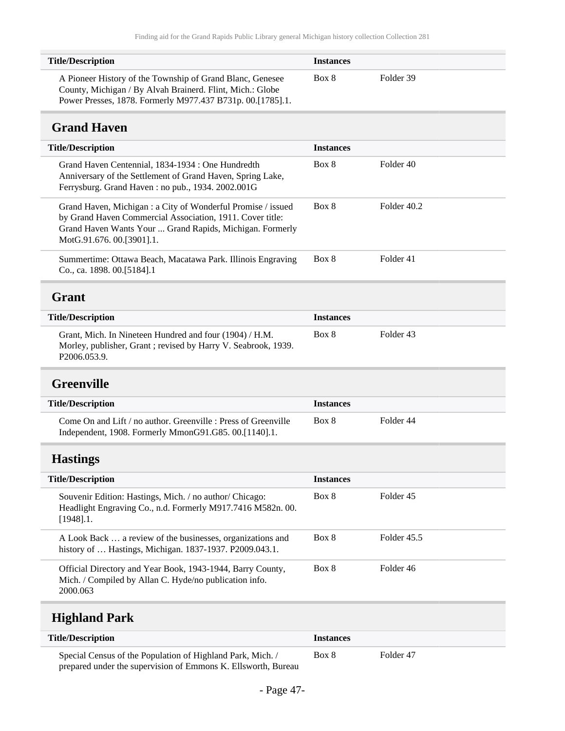| <b>Title/Description</b>                                                                                                                                                             | <b>Instances</b> |           |
|--------------------------------------------------------------------------------------------------------------------------------------------------------------------------------------|------------------|-----------|
| A Pioneer History of the Township of Grand Blanc, Genesee<br>County, Michigan / By Alvah Brainerd. Flint, Mich.: Globe<br>Power Presses, 1878. Formerly M977.437 B731p. 00.[1785].1. | Box 8            | Folder 39 |

## <span id="page-46-0"></span>**Grand Haven**

| <b>Title/Description</b>                                                                                                                                                                                           | <b>Instances</b> |             |
|--------------------------------------------------------------------------------------------------------------------------------------------------------------------------------------------------------------------|------------------|-------------|
| Grand Haven Centennial, 1834-1934 : One Hundredth<br>Anniversary of the Settlement of Grand Haven, Spring Lake,<br>Ferrysburg. Grand Haven: no pub., 1934. 2002.001G                                               | Box 8            | Folder 40   |
| Grand Haven, Michigan : a City of Wonderful Promise / issued<br>by Grand Haven Commercial Association, 1911. Cover title:<br>Grand Haven Wants Your  Grand Rapids, Michigan. Formerly<br>MotG.91.676. 00.[3901].1. | Box 8            | Folder 40.2 |
| Summertime: Ottawa Beach, Macatawa Park. Illinois Engraving<br>Co., ca. 1898. 00.[5184].1                                                                                                                          | Box 8            | Folder 41   |
| Grant                                                                                                                                                                                                              |                  |             |
| <b>Title/Description</b>                                                                                                                                                                                           | <b>Instances</b> |             |
| Grant, Mich. In Nineteen Hundred and four (1904) / H.M.                                                                                                                                                            | Box 8            | Folder 43   |

<span id="page-46-1"></span>Morley, publisher, Grant ; revised by Harry V. Seabrook, 1939. P2006.053.9.

## <span id="page-46-2"></span>**Greenville**

| <b>Title/Description</b>                                       | <i>Instances</i> |           |  |
|----------------------------------------------------------------|------------------|-----------|--|
| Come On and Lift / no author. Greenville : Press of Greenville | Box 8            | Folder 44 |  |
| Independent, 1908. Formerly MmonG91.G85. 00.[1140].1.          |                  |           |  |

# <span id="page-46-3"></span>**Hastings**

| <b>Title/Description</b>                                                                                                               | <b>Instances</b> |             |
|----------------------------------------------------------------------------------------------------------------------------------------|------------------|-------------|
| Souvenir Edition: Hastings, Mich. / no author/ Chicago:<br>Headlight Engraving Co., n.d. Formerly M917.7416 M582n. 00.<br>$[1948]$ .1. | Box 8            | Folder 45   |
| A Look Back  a review of the businesses, organizations and<br>history of  Hastings, Michigan. 1837-1937. P2009.043.1.                  | Box 8            | Folder 45.5 |
| Official Directory and Year Book, 1943-1944, Barry County,<br>Mich. / Compiled by Allan C. Hyde/no publication info.<br>2000.063       | Box 8            | Folder 46   |

# <span id="page-46-4"></span>**Highland Park**

| <b>Title/Description</b>                                      | <b>Instances</b> |           |  |
|---------------------------------------------------------------|------------------|-----------|--|
| Special Census of the Population of Highland Park, Mich. /    | Box 8            | Folder 47 |  |
| prepared under the supervision of Emmons K. Ellsworth, Bureau |                  |           |  |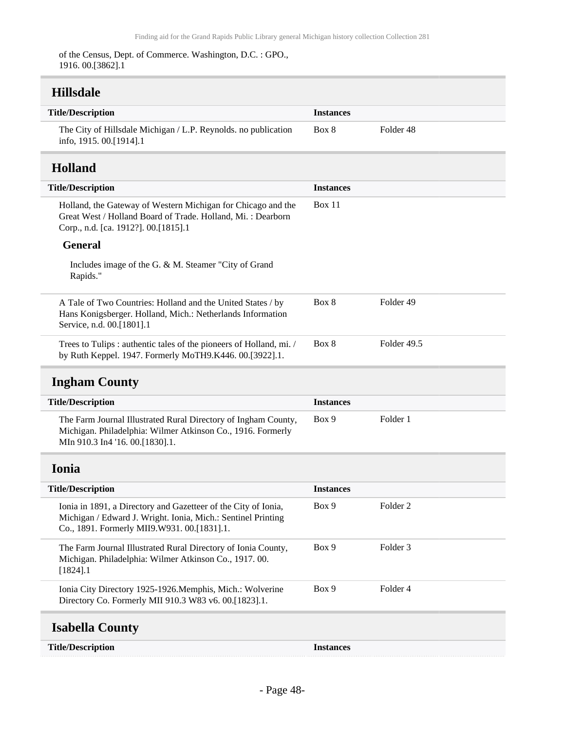```
of the Census, Dept. of Commerce. Washington, D.C. : GPO.,
1916. 00.[3862].1
```
### **Hillsdale**

<span id="page-47-1"></span><span id="page-47-0"></span>

| <b>Title/Description</b>                                                                                                                                            | <b>Instances</b> |             |
|---------------------------------------------------------------------------------------------------------------------------------------------------------------------|------------------|-------------|
| The City of Hillsdale Michigan / L.P. Reynolds. no publication<br>info, 1915. 00.[1914].1                                                                           | Box 8            | Folder 48   |
| <b>Holland</b>                                                                                                                                                      |                  |             |
| <b>Title/Description</b>                                                                                                                                            | <b>Instances</b> |             |
| Holland, the Gateway of Western Michigan for Chicago and the<br>Great West / Holland Board of Trade. Holland, Mi.: Dearborn<br>Corp., n.d. [ca. 1912?]. 00.[1815].1 | Box 11           |             |
| <b>General</b>                                                                                                                                                      |                  |             |
| Includes image of the G. & M. Steamer "City of Grand<br>Rapids."                                                                                                    |                  |             |
| A Tale of Two Countries: Holland and the United States / by<br>Hans Konigsberger. Holland, Mich.: Netherlands Information<br>Service, n.d. 00.[1801].1              | Box 8            | Folder 49   |
| Trees to Tulips: authentic tales of the pioneers of Holland, mi. /<br>by Ruth Keppel. 1947. Formerly MoTH9.K446. 00.[3922].1.                                       | Box 8            | Folder 49.5 |
|                                                                                                                                                                     |                  |             |

## <span id="page-47-2"></span>**Ingham County**

| <b>Title/Description</b>                                                                                                                                          | <b>Instances</b> |          |
|-------------------------------------------------------------------------------------------------------------------------------------------------------------------|------------------|----------|
| The Farm Journal Illustrated Rural Directory of Ingham County,<br>Michigan. Philadelphia: Wilmer Atkinson Co., 1916. Formerly<br>MIn 910.3 In4 '16. 00. [1830].1. | Box 9            | Folder 1 |

## <span id="page-47-3"></span>**Ionia**

 $\overline{a}$ 

| <b>Title/Description</b>                                                                                                                                                      | <b>Instances</b> |          |
|-------------------------------------------------------------------------------------------------------------------------------------------------------------------------------|------------------|----------|
| Ionia in 1891, a Directory and Gazetteer of the City of Ionia,<br>Michigan / Edward J. Wright. Ionia, Mich.: Sentinel Printing<br>Co., 1891. Formerly MII9.W931. 00.[1831].1. | Box 9            | Folder 2 |
| The Farm Journal Illustrated Rural Directory of Ionia County,<br>Michigan. Philadelphia: Wilmer Atkinson Co., 1917. 00.<br>$[1824]$ .1                                        | Box 9            | Folder 3 |
| Ionia City Directory 1925-1926. Memphis, Mich.: Wolverine<br>Directory Co. Formerly MII 910.3 W83 v6. 00.[1823].1.                                                            | Box 9            | Folder 4 |
| Isahalla County                                                                                                                                                               |                  |          |

#### <span id="page-47-4"></span>**Isabella County**

**Title/Description Instances**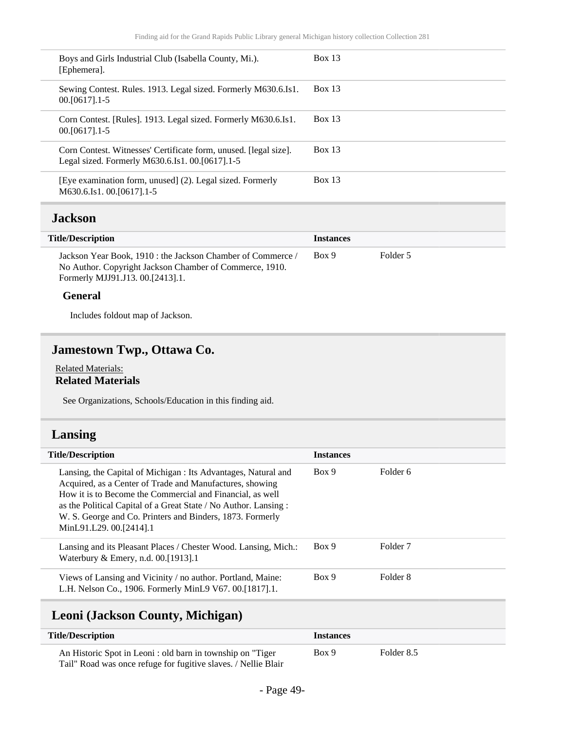| Boys and Girls Industrial Club (Isabella County, Mi.).<br>[Ephemera].                                               | Box 13        |
|---------------------------------------------------------------------------------------------------------------------|---------------|
| Sewing Contest. Rules. 1913. Legal sized. Formerly M630.6.Is1.<br>$00.$ [0617].1-5                                  | <b>Box 13</b> |
| Corn Contest. [Rules]. 1913. Legal sized. Formerly M630.6. Is 1.<br>$00.0617$ ].1-5                                 | <b>Box 13</b> |
| Corn Contest. Witnesses' Certificate form, unused. [legal size].<br>Legal sized. Formerly M630.6.Is1. 00.[0617].1-5 | <b>Box 13</b> |
| [Eye examination form, unused] (2). Legal sized. Formerly<br>M630.6.Is1. 00.[0617].1-5                              | Box 13        |

### <span id="page-48-0"></span>**Jackson**

| <b>Title/Description</b>                                                                                                                                   | <b>Instances</b> |          |
|------------------------------------------------------------------------------------------------------------------------------------------------------------|------------------|----------|
| Jackson Year Book, 1910 : the Jackson Chamber of Commerce /<br>No Author. Copyright Jackson Chamber of Commerce, 1910.<br>Formerly MJJ91.J13. 00.[2413].1. | Box 9            | Folder 5 |

#### **General**

Includes foldout map of Jackson.

### <span id="page-48-1"></span>**Jamestown Twp., Ottawa Co.**

#### Related Materials: **Related Materials**

See Organizations, Schools/Education in this finding aid.

## <span id="page-48-2"></span>**Lansing**

| <b>Title/Description</b>                                                                                                                                                                                                                                                                                                                            | <b>Instances</b> |                     |
|-----------------------------------------------------------------------------------------------------------------------------------------------------------------------------------------------------------------------------------------------------------------------------------------------------------------------------------------------------|------------------|---------------------|
| Lansing, the Capital of Michigan : Its Advantages, Natural and<br>Acquired, as a Center of Trade and Manufactures, showing<br>How it is to Become the Commercial and Financial, as well<br>as the Political Capital of a Great State / No Author. Lansing :<br>W. S. George and Co. Printers and Binders, 1873. Formerly<br>MinL91.L29. 00.[2414].1 | Box 9            | Folder 6            |
| Lansing and its Pleasant Places / Chester Wood. Lansing, Mich.:<br>Waterbury & Emery, n.d. 00.[1913].1                                                                                                                                                                                                                                              | Box 9            | Folder <sub>7</sub> |
| Views of Lansing and Vicinity / no author. Portland, Maine:<br>L.H. Nelson Co., 1906. Formerly MinL9 V67. 00. [1817]. 1.                                                                                                                                                                                                                            | Box 9            | Folder 8            |

## <span id="page-48-3"></span>**Leoni (Jackson County, Michigan)**

| <b>Title/Description</b>                                                                                                     | <b>Instances</b> |            |
|------------------------------------------------------------------------------------------------------------------------------|------------------|------------|
| An Historic Spot in Leoni: old barn in township on "Tiger"<br>Tail" Road was once refuge for fugitive slaves. / Nellie Blair | Box 9            | Folder 8.5 |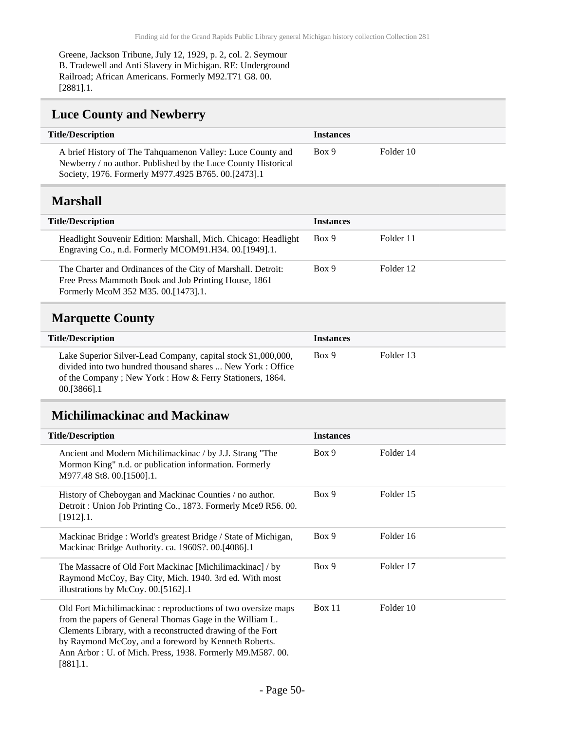Greene, Jackson Tribune, July 12, 1929, p. 2, col. 2. Seymour B. Tradewell and Anti Slavery in Michigan. RE: Underground Railroad; African Americans. Formerly M92.T71 G8. 00. [2881].1.

## <span id="page-49-0"></span>**Luce County and Newberry**

| <b>Title/Description</b>                                                                                                                                                           | <b>Instances</b> |           |
|------------------------------------------------------------------------------------------------------------------------------------------------------------------------------------|------------------|-----------|
| A brief History of The Tahquamenon Valley: Luce County and<br>Newberry / no author. Published by the Luce County Historical<br>Society, 1976. Formerly M977.4925 B765. 00.[2473].1 | Box 9            | Folder 10 |

## <span id="page-49-1"></span>**Marshall**

| <b>Title/Description</b>                                                                                                                                     | <b>Instances</b> |           |
|--------------------------------------------------------------------------------------------------------------------------------------------------------------|------------------|-----------|
| Headlight Souvenir Edition: Marshall, Mich. Chicago: Headlight<br>Engraving Co., n.d. Formerly MCOM91.H34. 00.[1949].1.                                      | Box 9            | Folder 11 |
| The Charter and Ordinances of the City of Marshall. Detroit:<br>Free Press Mammoth Book and Job Printing House, 1861<br>Formerly McoM 352 M35. 00. [1473].1. | Box 9            | Folder 12 |

## <span id="page-49-2"></span>**Marquette County**

| <b>Title/Description</b>                                                                                                                                                                                 | <b>Instances</b> |           |
|----------------------------------------------------------------------------------------------------------------------------------------------------------------------------------------------------------|------------------|-----------|
| Lake Superior Silver-Lead Company, capital stock \$1,000,000,<br>divided into two hundred thousand shares  New York: Office<br>of the Company; New York: How & Ferry Stationers, 1864.<br>$00.13866$ ].1 | Box 9            | Folder 13 |

## <span id="page-49-3"></span>**Michilimackinac and Mackinaw**

| <b>Title/Description</b>                                                                                                                                                                                                                                                                                                   | <b>Instances</b> |           |  |
|----------------------------------------------------------------------------------------------------------------------------------------------------------------------------------------------------------------------------------------------------------------------------------------------------------------------------|------------------|-----------|--|
| Ancient and Modern Michilimackinac / by J.J. Strang "The<br>Mormon King" n.d. or publication information. Formerly<br>M977.48 St8. 00.[1500].1.                                                                                                                                                                            | Box 9            | Folder 14 |  |
| History of Cheboygan and Mackinac Counties / no author.<br>Detroit: Union Job Printing Co., 1873. Formerly Mce9 R56.00.<br>$[1912]$ .1.                                                                                                                                                                                    | Box 9            | Folder 15 |  |
| Mackinac Bridge: World's greatest Bridge / State of Michigan,<br>Mackinac Bridge Authority. ca. 1960S?. 00.[4086].1                                                                                                                                                                                                        | Box 9            | Folder 16 |  |
| The Massacre of Old Fort Mackinac [Michilimackinac] / by<br>Raymond McCoy, Bay City, Mich. 1940. 3rd ed. With most<br>illustrations by McCoy. 00.[5162].1                                                                                                                                                                  | Box 9            | Folder 17 |  |
| Old Fort Michilimackinac : reproductions of two oversize maps<br>from the papers of General Thomas Gage in the William L.<br>Clements Library, with a reconstructed drawing of the Fort<br>by Raymond McCoy, and a foreword by Kenneth Roberts.<br>Ann Arbor: U. of Mich. Press, 1938. Formerly M9.M587.00.<br>$[881]$ .1. | Box 11           | Folder 10 |  |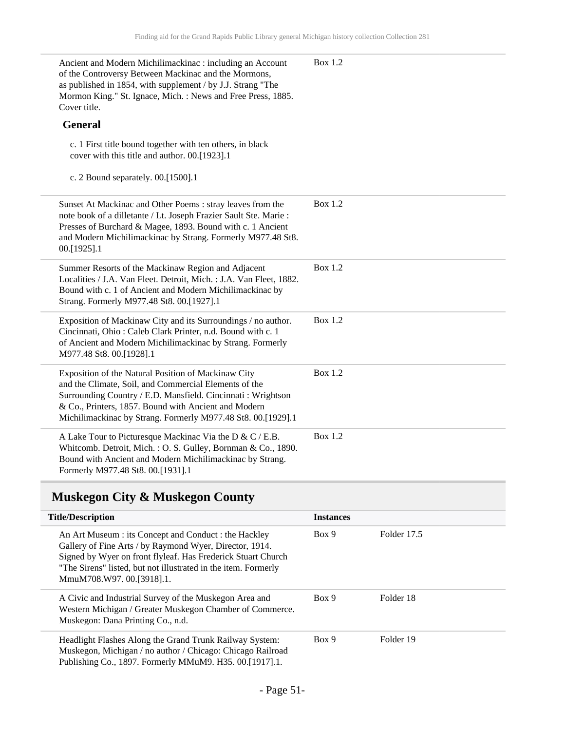| Ancient and Modern Michilimackinac : including an Account<br>of the Controversy Between Mackinac and the Mormons,<br>as published in 1854, with supplement / by J.J. Strang "The<br>Mormon King." St. Ignace, Mich.: News and Free Press, 1885.<br>Cover title.                                      | <b>Box 1.2</b> |
|------------------------------------------------------------------------------------------------------------------------------------------------------------------------------------------------------------------------------------------------------------------------------------------------------|----------------|
| <b>General</b>                                                                                                                                                                                                                                                                                       |                |
| c. 1 First title bound together with ten others, in black<br>cover with this title and author. 00.[1923].1                                                                                                                                                                                           |                |
| c. 2 Bound separately. 00.[1500].1                                                                                                                                                                                                                                                                   |                |
| Sunset At Mackinac and Other Poems: stray leaves from the<br>note book of a dilletante / Lt. Joseph Frazier Sault Ste. Marie :<br>Presses of Burchard & Magee, 1893. Bound with c. 1 Ancient<br>and Modern Michilimackinac by Strang. Formerly M977.48 St8.<br>00.[1925].1                           | <b>Box 1.2</b> |
| Summer Resorts of the Mackinaw Region and Adjacent<br>Localities / J.A. Van Fleet. Detroit, Mich.: J.A. Van Fleet, 1882.<br>Bound with c. 1 of Ancient and Modern Michilimackinac by<br>Strang. Formerly M977.48 St8. 00.[1927].1                                                                    | <b>Box 1.2</b> |
| Exposition of Mackinaw City and its Surroundings / no author.<br>Cincinnati, Ohio: Caleb Clark Printer, n.d. Bound with c. 1<br>of Ancient and Modern Michilimackinac by Strang. Formerly<br>M977.48 St8. 00.[1928].1                                                                                | <b>Box 1.2</b> |
| Exposition of the Natural Position of Mackinaw City<br>and the Climate, Soil, and Commercial Elements of the<br>Surrounding Country / E.D. Mansfield. Cincinnati : Wrightson<br>& Co., Printers, 1857. Bound with Ancient and Modern<br>Michilimackinac by Strang. Formerly M977.48 St8. 00.[1929].1 | <b>Box 1.2</b> |
| A Lake Tour to Picturesque Mackinac Via the D & C / E.B.<br>Whitcomb. Detroit, Mich.: O. S. Gulley, Bornman & Co., 1890.<br>Bound with Ancient and Modern Michilimackinac by Strang.<br>Formerly M977.48 St8. 00.[1931].1                                                                            | <b>Box 1.2</b> |

# <span id="page-50-0"></span>**Muskegon City & Muskegon County**

| <b>Title/Description</b>                                                                                                                                                                                                                                                       | <b>Instances</b> |             |
|--------------------------------------------------------------------------------------------------------------------------------------------------------------------------------------------------------------------------------------------------------------------------------|------------------|-------------|
| An Art Museum : its Concept and Conduct : the Hackley<br>Gallery of Fine Arts / by Raymond Wyer, Director, 1914.<br>Signed by Wyer on front flyleaf. Has Frederick Stuart Church<br>"The Sirens" listed, but not illustrated in the item. Formerly<br>MmuM708.W97.00.[3918].1. | Box 9            | Folder 17.5 |
| A Civic and Industrial Survey of the Muskegon Area and<br>Western Michigan / Greater Muskegon Chamber of Commerce.<br>Muskegon: Dana Printing Co., n.d.                                                                                                                        | Box 9            | Folder 18   |
| Headlight Flashes Along the Grand Trunk Railway System:<br>Muskegon, Michigan / no author / Chicago: Chicago Railroad<br>Publishing Co., 1897. Formerly MMuM9. H35. 00. [1917]. 1.                                                                                             | Box 9            | Folder 19   |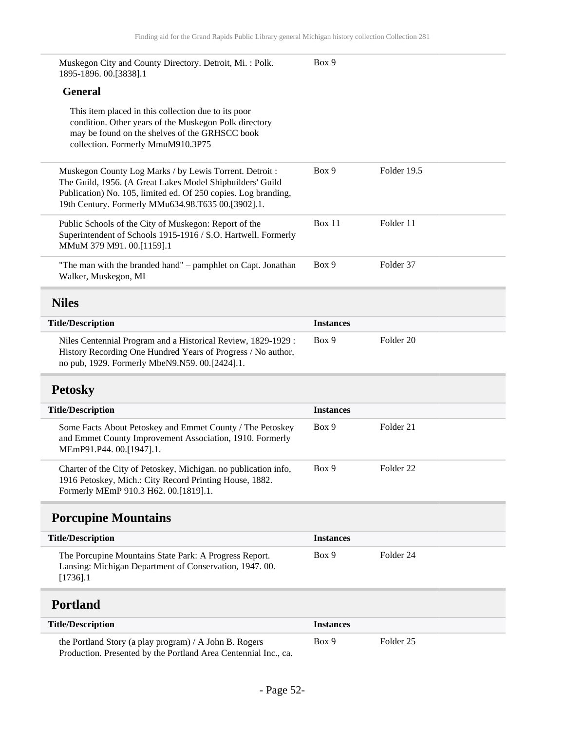<span id="page-51-3"></span><span id="page-51-2"></span><span id="page-51-1"></span><span id="page-51-0"></span>

| Muskegon City and County Directory. Detroit, Mi.: Polk.<br>1895-1896. 00.[3838].1                                                                                                                                                           | Box 9            |                      |
|---------------------------------------------------------------------------------------------------------------------------------------------------------------------------------------------------------------------------------------------|------------------|----------------------|
| <b>General</b>                                                                                                                                                                                                                              |                  |                      |
| This item placed in this collection due to its poor<br>condition. Other years of the Muskegon Polk directory<br>may be found on the shelves of the GRHSCC book<br>collection. Formerly MmuM910.3P75                                         |                  |                      |
| Muskegon County Log Marks / by Lewis Torrent. Detroit:<br>The Guild, 1956. (A Great Lakes Model Shipbuilders' Guild<br>Publication) No. 105, limited ed. Of 250 copies. Log branding,<br>19th Century. Formerly MMu634.98.T635 00.[3902].1. | Box 9            | Folder 19.5          |
| Public Schools of the City of Muskegon: Report of the<br>Superintendent of Schools 1915-1916 / S.O. Hartwell. Formerly<br>MMuM 379 M91.00.[1159].1                                                                                          | Box 11           | Folder 11            |
| "The man with the branded hand" – pamphlet on Capt. Jonathan<br>Walker, Muskegon, MI                                                                                                                                                        | Box 9            | Folder 37            |
| <b>Niles</b>                                                                                                                                                                                                                                |                  |                      |
| <b>Title/Description</b>                                                                                                                                                                                                                    | <b>Instances</b> |                      |
| Niles Centennial Program and a Historical Review, 1829-1929 :<br>History Recording One Hundred Years of Progress / No author,<br>no pub, 1929. Formerly MbeN9.N59. 00.[2424].1.                                                             | Box 9            | Folder <sub>20</sub> |
| <b>Petosky</b>                                                                                                                                                                                                                              |                  |                      |
| <b>Title/Description</b>                                                                                                                                                                                                                    | <b>Instances</b> |                      |
| Some Facts About Petoskey and Emmet County / The Petoskey<br>and Emmet County Improvement Association, 1910. Formerly<br>MEmP91.P44.00.[1947].1.                                                                                            | Box 9            | Folder <sub>21</sub> |
| Charter of the City of Petoskey, Michigan. no publication info,<br>1916 Petoskey, Mich.: City Record Printing House, 1882.<br>Formerly MEmP 910.3 H62. 00.[1819].1.                                                                         | Box 9            | Folder <sub>22</sub> |
| <b>Porcupine Mountains</b>                                                                                                                                                                                                                  |                  |                      |
| <b>Title/Description</b>                                                                                                                                                                                                                    | <b>Instances</b> |                      |
| The Porcupine Mountains State Park: A Progress Report.<br>Lansing: Michigan Department of Conservation, 1947.00.<br>$[1736]$ .1                                                                                                             | Box 9            | Folder <sub>24</sub> |
| <b>Portland</b>                                                                                                                                                                                                                             |                  |                      |
| <b>Title/Description</b>                                                                                                                                                                                                                    | <b>Instances</b> |                      |
| the Portland Story (a play program) / A John B. Rogers<br>Production. Presented by the Portland Area Centennial Inc., ca.                                                                                                                   | Box 9            | Folder <sub>25</sub> |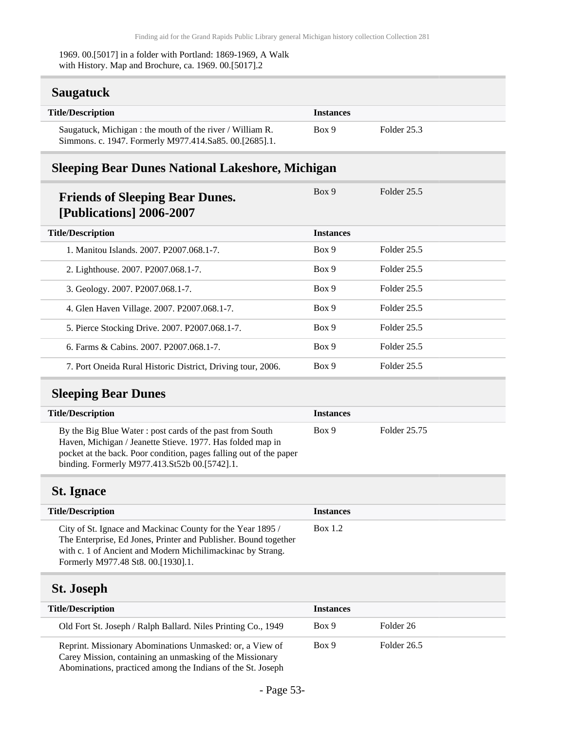1969. 00.[5017] in a folder with Portland: 1869-1969, A Walk with History. Map and Brochure, ca. 1969. 00.[5017].2

### <span id="page-52-0"></span>**Saugatuck**

| <b>Title/Description</b>                                                                                            | <i>Instances</i> |             |  |
|---------------------------------------------------------------------------------------------------------------------|------------------|-------------|--|
| Saugatuck, Michigan : the mouth of the river / William R.<br>Simmons. c. 1947. Formerly M977.414.Sa85. 00.[2685].1. | Box 9            | Folder 25.3 |  |

# <span id="page-52-1"></span>**Sleeping Bear Dunes National Lakeshore, Michigan**

| <b>Friends of Sleeping Bear Dunes.</b><br>[Publications] 2006-2007 | Box 9            | Folder 25.5 |
|--------------------------------------------------------------------|------------------|-------------|
| <b>Title/Description</b>                                           | <b>Instances</b> |             |
| 1. Manitou Islands, 2007. P2007.068.1-7.                           | Box 9            | Folder 25.5 |
| 2. Lighthouse. 2007. P2007.068.1-7.                                | Box 9            | Folder 25.5 |
| 3. Geology. 2007. P2007.068.1-7.                                   | Box 9            | Folder 25.5 |
| 4. Glen Haven Village. 2007. P2007.068.1-7.                        | Box 9            | Folder 25.5 |
| 5. Pierce Stocking Drive. 2007. P2007.068.1-7.                     | Box 9            | Folder 25.5 |
| 6. Farms & Cabins. 2007. P2007.068.1-7.                            | Box 9            | Folder 25.5 |
| 7. Port Oneida Rural Historic District, Driving tour, 2006.        | Box 9            | Folder 25.5 |

## <span id="page-52-2"></span>**Sleeping Bear Dunes**

| <b>Title/Description</b>                                                                                                                                                                                                                      | <b>Instances</b> |              |
|-----------------------------------------------------------------------------------------------------------------------------------------------------------------------------------------------------------------------------------------------|------------------|--------------|
| By the Big Blue Water: post cards of the past from South<br>Haven, Michigan / Jeanette Stieve. 1977. Has folded map in<br>pocket at the back. Poor condition, pages falling out of the paper<br>binding. Formerly M977.413.St52b 00.[5742].1. | Box 9            | Folder 25.75 |

## <span id="page-52-3"></span>**St. Ignace**

| <b>Title/Description</b>                                                                                                                                                                                                            | <b>Instances</b> |
|-------------------------------------------------------------------------------------------------------------------------------------------------------------------------------------------------------------------------------------|------------------|
| City of St. Ignace and Mackinac County for the Year 1895 /<br>The Enterprise, Ed Jones, Printer and Publisher. Bound together<br>with c. 1 of Ancient and Modern Michilimackinac by Strang.<br>Formerly M977.48 St8. 00. [1930]. 1. | <b>Box</b> 1.2   |

## <span id="page-52-4"></span>**St. Joseph**

| <b>Title/Description</b>                                                                                                                                                            | <b>Instances</b> |             |
|-------------------------------------------------------------------------------------------------------------------------------------------------------------------------------------|------------------|-------------|
| Old Fort St. Joseph / Ralph Ballard. Niles Printing Co., 1949                                                                                                                       | Box 9            | Folder 26   |
| Reprint. Missionary Abominations Unmasked: or, a View of<br>Carey Mission, containing an unmasking of the Missionary<br>Abominations, practiced among the Indians of the St. Joseph | Box 9            | Folder 26.5 |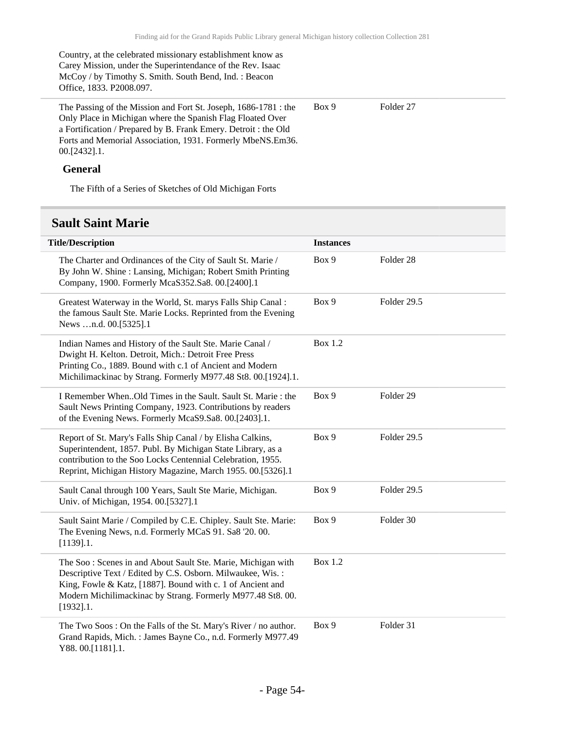Country, at the celebrated missionary establishment know as Carey Mission, under the Superintendance of the Rev. Isaac McCoy / by Timothy S. Smith. South Bend, Ind. : Beacon Office, 1833. P2008.097.

The Passing of the Mission and Fort St. Joseph, 1686-1781 : the Only Place in Michigan where the Spanish Flag Floated Over a Fortification / Prepared by B. Frank Emery. Detroit : the Old Forts and Memorial Association, 1931. Formerly MbeNS.Em36. 00.[2432].1. Box 9 Folder 27

#### **General**

The Fifth of a Series of Sketches of Old Michigan Forts

#### <span id="page-53-0"></span>**Sault Saint Marie**

| <b>Title/Description</b>                                                                                                                                                                                                                                                 | <b>Instances</b> |                      |
|--------------------------------------------------------------------------------------------------------------------------------------------------------------------------------------------------------------------------------------------------------------------------|------------------|----------------------|
| The Charter and Ordinances of the City of Sault St. Marie /<br>By John W. Shine: Lansing, Michigan; Robert Smith Printing<br>Company, 1900. Formerly McaS352.Sa8. 00.[2400].1                                                                                            | Box 9            | Folder <sub>28</sub> |
| Greatest Waterway in the World, St. marys Falls Ship Canal:<br>the famous Sault Ste. Marie Locks. Reprinted from the Evening<br>News n.d. 00.[5325].1                                                                                                                    | Box 9            | Folder 29.5          |
| Indian Names and History of the Sault Ste. Marie Canal /<br>Dwight H. Kelton. Detroit, Mich.: Detroit Free Press<br>Printing Co., 1889. Bound with c.1 of Ancient and Modern<br>Michilimackinac by Strang. Formerly M977.48 St8. 00.[1924].1.                            | Box 1.2          |                      |
| I Remember WhenOld Times in the Sault. Sault St. Marie: the<br>Sault News Printing Company, 1923. Contributions by readers<br>of the Evening News. Formerly McaS9.Sa8. 00.[2403].1.                                                                                      | Box 9            | Folder 29            |
| Report of St. Mary's Falls Ship Canal / by Elisha Calkins,<br>Superintendent, 1857. Publ. By Michigan State Library, as a<br>contribution to the Soo Locks Centennial Celebration, 1955.<br>Reprint, Michigan History Magazine, March 1955. 00.[5326].1                  | Box 9            | Folder 29.5          |
| Sault Canal through 100 Years, Sault Ste Marie, Michigan.<br>Univ. of Michigan, 1954. 00.[5327].1                                                                                                                                                                        | Box 9            | Folder 29.5          |
| Sault Saint Marie / Compiled by C.E. Chipley. Sault Ste. Marie:<br>The Evening News, n.d. Formerly MCaS 91. Sa8 '20. 00.<br>[1139].1.                                                                                                                                    | Box 9            | Folder 30            |
| The Soo : Scenes in and About Sault Ste. Marie, Michigan with<br>Descriptive Text / Edited by C.S. Osborn. Milwaukee, Wis.:<br>King, Fowle & Katz, [1887]. Bound with c. 1 of Ancient and<br>Modern Michilimackinac by Strang. Formerly M977.48 St8. 00.<br>$[1932]$ .1. | <b>Box 1.2</b>   |                      |
| The Two Soos: On the Falls of the St. Mary's River / no author.<br>Grand Rapids, Mich.: James Bayne Co., n.d. Formerly M977.49<br>Y88.00.[1181].1.                                                                                                                       | Box 9            | Folder 31            |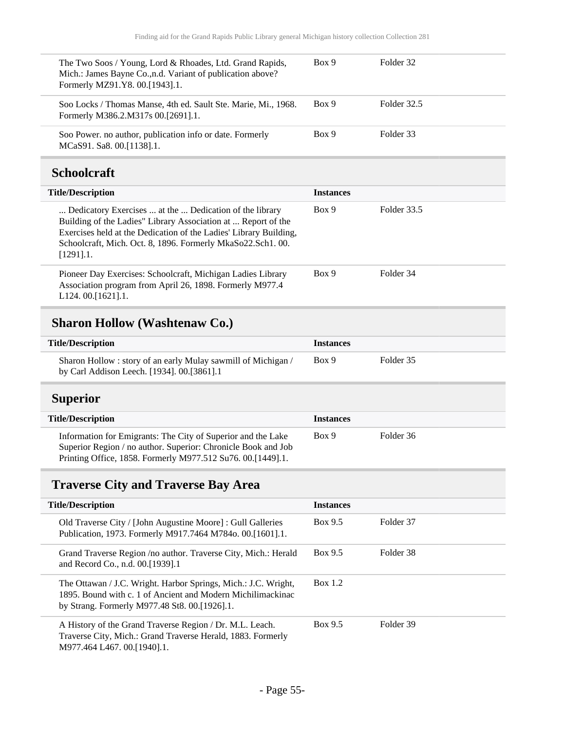<span id="page-54-0"></span>

| The Two Soos / Young, Lord & Rhoades, Ltd. Grand Rapids,<br>Mich.: James Bayne Co.,n.d. Variant of publication above?<br>Formerly MZ91.Y8. 00.[1943].1.                                                                                                                      | Box 9            | Folder 32   |
|------------------------------------------------------------------------------------------------------------------------------------------------------------------------------------------------------------------------------------------------------------------------------|------------------|-------------|
| Soo Locks / Thomas Manse, 4th ed. Sault Ste. Marie, Mi., 1968.<br>Formerly M386.2.M317s 00.[2691].1.                                                                                                                                                                         | Box 9            | Folder 32.5 |
| Soo Power. no author, publication info or date. Formerly<br>MCaS91. Sa8. 00.[1138].1.                                                                                                                                                                                        | Box 9            | Folder 33   |
| <b>Schoolcraft</b>                                                                                                                                                                                                                                                           |                  |             |
| <b>Title/Description</b>                                                                                                                                                                                                                                                     | <b>Instances</b> |             |
| Dedicatory Exercises  at the  Dedication of the library<br>Building of the Ladies" Library Association at  Report of the<br>Exercises held at the Dedication of the Ladies' Library Building,<br>Schoolcraft, Mich. Oct. 8, 1896. Formerly MkaSo22.Sch1. 00.<br>$[1291]$ .1. | Box 9            | Folder 33.5 |
| Pioneer Day Exercises: Schoolcraft, Michigan Ladies Library<br>Association program from April 26, 1898. Formerly M977.4<br>L124.00.[1621].1.                                                                                                                                 | Box 9            | Folder 34   |
| <b>Sharon Hollow (Washtenaw Co.)</b>                                                                                                                                                                                                                                         |                  |             |
| <b>Title/Description</b>                                                                                                                                                                                                                                                     | <b>Instances</b> |             |
| Sharon Hollow: story of an early Mulay sawmill of Michigan /<br>by Carl Addison Leech. [1934]. 00.[3861].1                                                                                                                                                                   | Box 9            | Folder 35   |
| <b>Superior</b>                                                                                                                                                                                                                                                              |                  |             |
| <b>Title/Description</b>                                                                                                                                                                                                                                                     | <b>Instances</b> |             |
| Information for Emigrants: The City of Superior and the Lake<br>Superior Region / no author. Superior: Chronicle Book and Job<br>Printing Office, 1858. Formerly M977.512 Su76. 00.[1449].1.                                                                                 | Box 9            | Folder 36   |
| <b>Traverse City and Traverse Bay Area</b>                                                                                                                                                                                                                                   |                  |             |

<span id="page-54-3"></span><span id="page-54-2"></span><span id="page-54-1"></span>

| <b>Title/Description</b>                                                                                                                                                         | <b>Instances</b> |           |
|----------------------------------------------------------------------------------------------------------------------------------------------------------------------------------|------------------|-----------|
| Old Traverse City / [John Augustine Moore] : Gull Galleries<br>Publication, 1973. Formerly M917.7464 M784o. 00. [1601].1.                                                        | Box 9.5          | Folder 37 |
| Grand Traverse Region /no author. Traverse City, Mich.: Herald<br>and Record Co., n.d. 00. [1939]. 1                                                                             | Box 9.5          | Folder 38 |
| The Ottawan / J.C. Wright. Harbor Springs, Mich.: J.C. Wright,<br>1895. Bound with c. 1 of Ancient and Modern Michilimackinac<br>by Strang. Formerly M977.48 St8. 00. [1926]. 1. | Box $1.2$        |           |
| A History of the Grand Traverse Region / Dr. M.L. Leach.<br>Traverse City, Mich.: Grand Traverse Herald, 1883. Formerly<br>M977.464 L467. 00.[1940].1.                           | Box 9.5          | Folder 39 |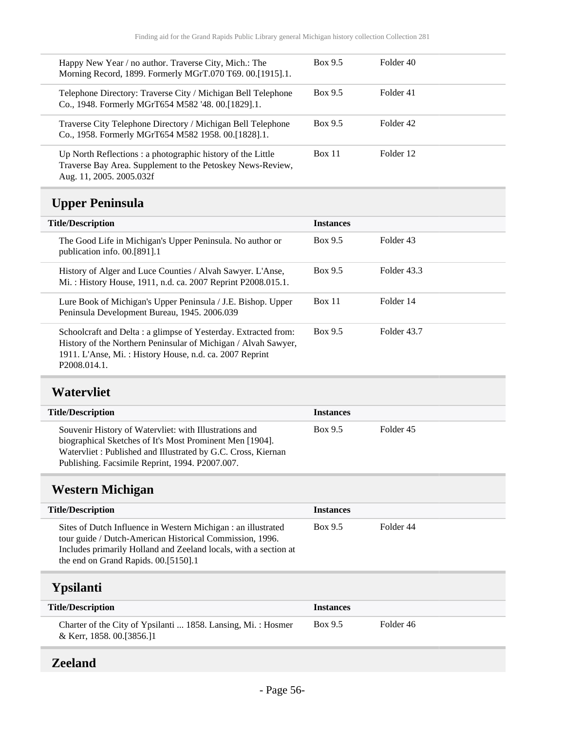| Happy New Year / no author. Traverse City, Mich.: The<br>Morning Record, 1899. Formerly MGrT.070 T69. 00.[1915].1.                                   | Box 9.5 | Folder 40 |
|------------------------------------------------------------------------------------------------------------------------------------------------------|---------|-----------|
| Telephone Directory: Traverse City / Michigan Bell Telephone<br>Co., 1948. Formerly MGrT654 M582 '48. 00. [1829].1.                                  | Box 9.5 | Folder 41 |
| Traverse City Telephone Directory / Michigan Bell Telephone<br>Co., 1958. Formerly MGrT654 M582 1958. 00. [1828]. 1.                                 | Box 9.5 | Folder 42 |
| Up North Reflections: a photographic history of the Little<br>Traverse Bay Area. Supplement to the Petoskey News-Review,<br>Aug. 11, 2005. 2005.032f | Box 11  | Folder 12 |

# <span id="page-55-0"></span>**Upper Peninsula**

| <b>Title/Description</b>                                                                                                                                                                                                   | <b>Instances</b> |             |
|----------------------------------------------------------------------------------------------------------------------------------------------------------------------------------------------------------------------------|------------------|-------------|
| The Good Life in Michigan's Upper Peninsula. No author or<br>publication info. 00.[891].1                                                                                                                                  | Box 9.5          | Folder 43   |
| History of Alger and Luce Counties / Alvah Sawyer. L'Anse,<br>Mi.: History House, 1911, n.d. ca. 2007 Reprint P2008.015.1.                                                                                                 | Box 9.5          | Folder 43.3 |
| Lure Book of Michigan's Upper Peninsula / J.E. Bishop. Upper<br>Peninsula Development Bureau, 1945. 2006.039                                                                                                               | Box 11           | Folder 14   |
| Schoolcraft and Delta : a glimpse of Yesterday. Extracted from:<br>History of the Northern Peninsular of Michigan / Alvah Sawyer,<br>1911. L'Anse, Mi. : History House, n.d. ca. 2007 Reprint<br>P <sub>2008.014.1</sub> . | Box 9.5          | Folder 43.7 |

# <span id="page-55-1"></span>**Watervliet**

| <b>Title/Description</b>                                                                                                                                                                                                              | <b>Instances</b> |           |
|---------------------------------------------------------------------------------------------------------------------------------------------------------------------------------------------------------------------------------------|------------------|-----------|
| Souvenir History of Watervliet: with Illustrations and<br>biographical Sketches of It's Most Prominent Men [1904].<br>Watervliet: Published and Illustrated by G.C. Cross, Kiernan<br>Publishing. Facsimile Reprint, 1994. P2007.007. | Box 9.5          | Folder 45 |

# <span id="page-55-2"></span>**Western Michigan**

| <b>Title/Description</b>                                                                                                                                                                                                              | <b>Instances</b> |           |
|---------------------------------------------------------------------------------------------------------------------------------------------------------------------------------------------------------------------------------------|------------------|-----------|
| Sites of Dutch Influence in Western Michigan : an illustrated<br>tour guide / Dutch-American Historical Commission, 1996.<br>Includes primarily Holland and Zeeland locals, with a section at<br>the end on Grand Rapids. 00.[5150].1 | Box 9.5          | Folder 44 |
| <b>Ypsilanti</b>                                                                                                                                                                                                                      |                  |           |
| <b>Title/Description</b>                                                                                                                                                                                                              | <b>Instances</b> |           |
| Charter of the City of Ypsilanti  1858. Lansing, Mi.: Hosmer<br>& Kerr, 1858. 00. [3856.] 1                                                                                                                                           | Box 9.5          | Folder 46 |

# <span id="page-55-4"></span><span id="page-55-3"></span>**Zeeland**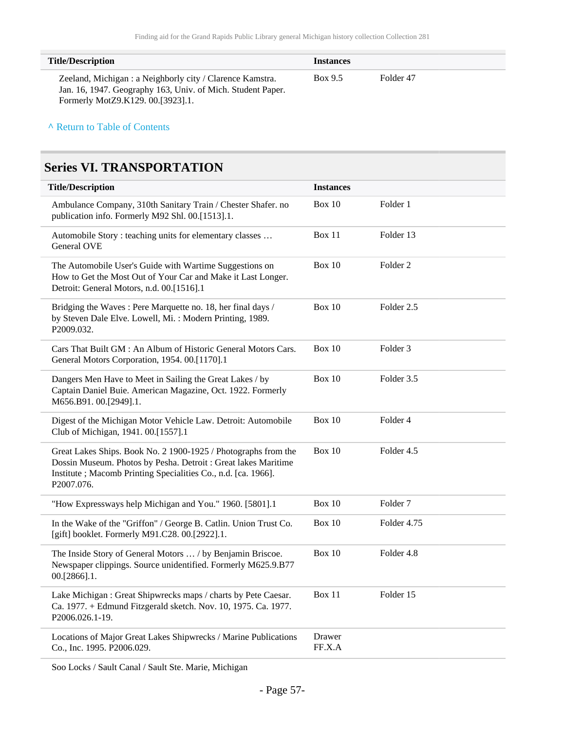| <b>Title/Description</b>                                                                                                                                      | <b>Instances</b> |           |
|---------------------------------------------------------------------------------------------------------------------------------------------------------------|------------------|-----------|
| Zeeland, Michigan : a Neighborly city / Clarence Kamstra.<br>Jan. 16, 1947. Geography 163, Univ. of Mich. Student Paper.<br>Formerly MotZ9.K129. 00.[3923].1. | Box 9.5          | Folder 47 |

#### **^** [Return to Table of Contents](#page-1-0)

# <span id="page-56-0"></span>**Series VI. TRANSPORTATION**

| <b>Title/Description</b>                                                                                                                                                                                         | <b>Instances</b> |                     |
|------------------------------------------------------------------------------------------------------------------------------------------------------------------------------------------------------------------|------------------|---------------------|
| Ambulance Company, 310th Sanitary Train / Chester Shafer. no<br>publication info. Formerly M92 Shl. 00.[1513].1.                                                                                                 | Box 10           | Folder 1            |
| Automobile Story: teaching units for elementary classes<br>General OVE                                                                                                                                           | Box 11           | Folder 13           |
| The Automobile User's Guide with Wartime Suggestions on<br>How to Get the Most Out of Your Car and Make it Last Longer.<br>Detroit: General Motors, n.d. 00.[1516].1                                             | Box 10           | Folder <sub>2</sub> |
| Bridging the Waves: Pere Marquette no. 18, her final days /<br>by Steven Dale Elve. Lowell, Mi.: Modern Printing, 1989.<br>P2009.032.                                                                            | Box 10           | Folder 2.5          |
| Cars That Built GM : An Album of Historic General Motors Cars.<br>General Motors Corporation, 1954. 00.[1170].1                                                                                                  | Box 10           | Folder <sub>3</sub> |
| Dangers Men Have to Meet in Sailing the Great Lakes / by<br>Captain Daniel Buie. American Magazine, Oct. 1922. Formerly<br>M656.B91.00.[2949].1.                                                                 | Box 10           | Folder 3.5          |
| Digest of the Michigan Motor Vehicle Law. Detroit: Automobile<br>Club of Michigan, 1941. 00.[1557].1                                                                                                             | Box 10           | Folder <sub>4</sub> |
| Great Lakes Ships. Book No. 2 1900-1925 / Photographs from the<br>Dossin Museum. Photos by Pesha. Detroit : Great lakes Maritime<br>Institute ; Macomb Printing Specialities Co., n.d. [ca. 1966].<br>P2007.076. | <b>Box 10</b>    | Folder 4.5          |
| "How Expressways help Michigan and You." 1960. [5801].1                                                                                                                                                          | Box 10           | Folder <sub>7</sub> |
| In the Wake of the "Griffon" / George B. Catlin. Union Trust Co.<br>[gift] booklet. Formerly M91.C28. 00.[2922].1.                                                                                               | Box 10           | Folder 4.75         |
| The Inside Story of General Motors  / by Benjamin Briscoe.<br>Newspaper clippings. Source unidentified. Formerly M625.9.B77<br>00.[2866].1.                                                                      | Box 10           | Folder 4.8          |
| Lake Michigan: Great Shipwrecks maps / charts by Pete Caesar.<br>Ca. 1977. + Edmund Fitzgerald sketch. Nov. 10, 1975. Ca. 1977.<br>P2006.026.1-19.                                                               | Box 11           | Folder 15           |
| Locations of Major Great Lakes Shipwrecks / Marine Publications<br>Co., Inc. 1995. P2006.029.                                                                                                                    | Drawer<br>FF.X.A |                     |
|                                                                                                                                                                                                                  |                  |                     |

Soo Locks / Sault Canal / Sault Ste. Marie, Michigan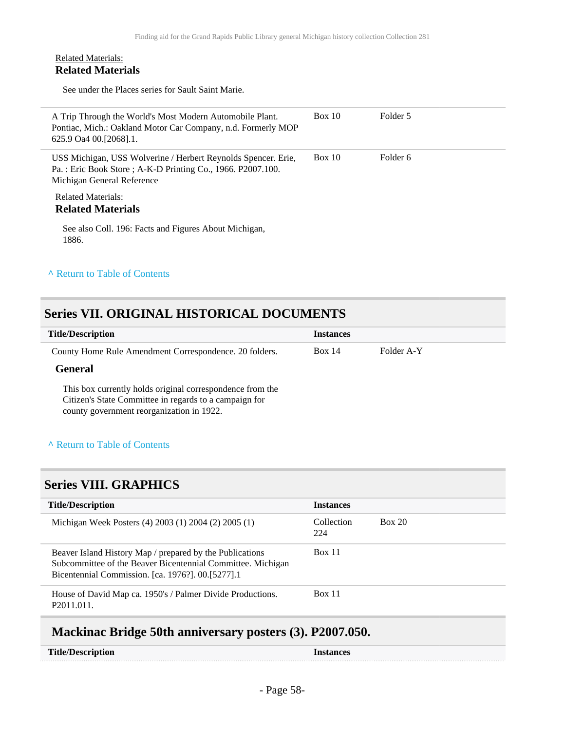#### Related Materials: **Related Materials**

See under the Places series for Sault Saint Marie.

| A Trip Through the World's Most Modern Automobile Plant.<br>Pontiac, Mich.: Oakland Motor Car Company, n.d. Formerly MOP<br>625.9 Oa4 00.[2068].1.        | Box 10 | Folder 5 |
|-----------------------------------------------------------------------------------------------------------------------------------------------------------|--------|----------|
| USS Michigan, USS Wolverine / Herbert Reynolds Spencer. Erie,<br>Pa.: Eric Book Store; A-K-D Printing Co., 1966. P2007.100.<br>Michigan General Reference | Box 10 | Folder 6 |
| <b>Related Materials:</b><br><b>Related Materials</b>                                                                                                     |        |          |
| See also Coll. 196: Facts and Figures About Michigan,<br>1886.                                                                                            |        |          |

#### **^** [Return to Table of Contents](#page-1-0)

### <span id="page-57-0"></span>**Series VII. ORIGINAL HISTORICAL DOCUMENTS**

| <b>Title/Description</b>                                  | <b>Instances</b> |            |
|-----------------------------------------------------------|------------------|------------|
| County Home Rule Amendment Correspondence. 20 folders.    | <b>Box 14</b>    | Folder A-Y |
| <b>General</b>                                            |                  |            |
| This box currently holds original correspondence from the |                  |            |

Citizen's State Committee in regards to a campaign for county government reorganization in 1922.

#### **^** [Return to Table of Contents](#page-1-0)

### <span id="page-57-1"></span>**Series VIII. GRAPHICS**

| <b>Title/Description</b>                                                                                                                                                       | <b>Instances</b>  |        |
|--------------------------------------------------------------------------------------------------------------------------------------------------------------------------------|-------------------|--------|
| Michigan Week Posters (4) 2003 (1) 2004 (2) 2005 (1)                                                                                                                           | Collection<br>224 | Box 20 |
| Beaver Island History Map / prepared by the Publications<br>Subcommittee of the Beaver Bicentennial Committee. Michigan<br>Bicentennial Commission. [ca. 1976?]. 00. [5277]. 1 | <b>Box 11</b>     |        |
| House of David Map ca. 1950's / Palmer Divide Productions.<br>P <sub>2011.011</sub> .                                                                                          | <b>Box 11</b>     |        |

# <span id="page-57-2"></span>**Mackinac Bridge 50th anniversary posters (3). P2007.050.**

| <b>Title/Description</b> | nstances |
|--------------------------|----------|
|                          |          |